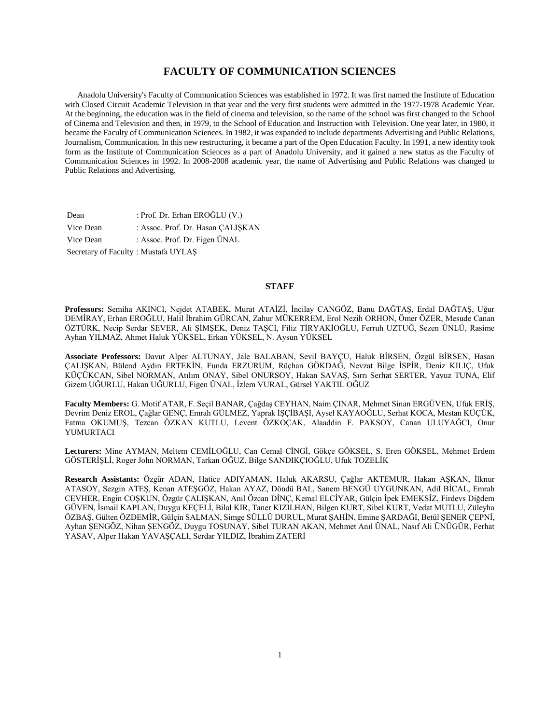# **FACULTY OF COMMUNICATION SCIENCES**

 Anadolu University's Faculty of Communication Sciences was established in 1972. It was first named the Institute of Education with Closed Circuit Academic Television in that year and the very first students were admitted in the 1977-1978 Academic Year. At the beginning, the education was in the field of cinema and television, so the name of the school was first changed to the School of Cinema and Television and then, in 1979, to the School of Education and Instruction with Television. One year later, in 1980, it became the Faculty of Communication Sciences. In 1982, it was expanded to include departments Advertising and Public Relations, Journalism, Communication. In this new restructuring, it became a part of the Open Education Faculty. In 1991, a new identity took form as the Institute of Communication Sciences as a part of Anadolu University, and it gained a new status as the Faculty of Communication Sciences in 1992. In 2008-2008 academic year, the name of Advertising and Public Relations was changed to Public Relations and Advertising.

| Dean                                | : Prof. Dr. Erhan $EROGLU(V.)$    |
|-------------------------------------|-----------------------------------|
| Vice Dean                           | : Assoc. Prof. Dr. Hasan CALISKAN |
| Vice Dean                           | : Assoc. Prof. Dr. Figen ÜNAL     |
| Secretary of Faculty: Mustafa UYLAS |                                   |

# **STAFF**

**Professors:** Semiha AKINCI, Nejdet ATABEK, Murat ATAİZİ, İncilay CANGÖZ, Banu DAĞTAŞ, Erdal DAĞTAŞ, Uğur DEMİRAY, Erhan EROĞLU, Halil İbrahim GÜRCAN, Zahur MÜKERREM, Erol Nezih ORHON, Ömer ÖZER, Mesude Canan ÖZTÜRK, Necip Serdar SEVER, Ali ŞİMŞEK, Deniz TAŞCI, Filiz TİRYAKİOĞLU, Ferruh UZTUĞ, Sezen ÜNLÜ, Rasime Ayhan YILMAZ, Ahmet Haluk YÜKSEL, Erkan YÜKSEL, N. Aysun YÜKSEL

**Associate Professors:** Davut Alper ALTUNAY, Jale BALABAN, Sevil BAYÇU, Haluk BİRSEN, Özgül BİRSEN, Hasan ÇALIŞKAN, Bülend Aydın ERTEKİN, Funda ERZURUM, Rüçhan GÖKDAĞ, Nevzat Bilge İSPİR, Deniz KILIÇ, Ufuk KÜÇÜKCAN, Sibel NORMAN, Atılım ONAY, Sibel ONURSOY, Hakan SAVAŞ, Sırrı Serhat SERTER, Yavuz TUNA, Elif Gizem UĞURLU, Hakan UĞURLU, Figen ÜNAL, İzlem VURAL, Gürsel YAKTIL OĞUZ

**Faculty Members:** G. Motif ATAR, F. Seçil BANAR, Çağdaş CEYHAN, Naim ÇINAR, Mehmet Sinan ERGÜVEN, Ufuk ERİŞ, Devrim Deniz EROL, Çağlar GENÇ, Emrah GÜLMEZ, Yaprak İŞÇİBAŞI, Aysel KAYAOĞLU, Serhat KOCA, Mestan KÜÇÜK, Fatma OKUMUŞ, Tezcan ÖZKAN KUTLU, Levent ÖZKOÇAK, Alaaddin F. PAKSOY, Canan ULUYAĞCI, Onur YUMURTACI

**Lecturers:** Mine AYMAN, Meltem CEMİLOĞLU, Can Cemal CİNGİ, Gökçe GÖKSEL, S. Eren GÖKSEL, Mehmet Erdem GÖSTERİŞLİ, Roger John NORMAN, Tarkan OĞUZ, Bilge SANDIKÇIOĞLU, Ufuk TOZELİK

**Research Assistants:** Özgür ADAN, Hatice ADIYAMAN, Haluk AKARSU, Çağlar AKTEMUR, Hakan AŞKAN, İlknur ATASOY, Sezgin ATEŞ, Kenan ATEŞGÖZ, Hakan AYAZ, Döndü BAL, Sanem BENGÜ UYGUNKAN, Adil BİCAL, Emrah CEVHER, Engin COŞKUN, Özgür ÇALIŞKAN, Anıl Özcan DİNÇ, Kemal ELCİYAR, Gülçin İpek EMEKSİZ, Firdevs Diğdem GÜVEN, İsmail KAPLAN, Duygu KEÇELİ, Bilal KIR, Taner KIZILHAN, Bilgen KURT, Sibel KURT, Vedat MUTLU, Züleyha ÖZBAŞ, Gülten ÖZDEMİR, Gülçin SALMAN, Simge SÜLLÜ DURUL, Murat ŞAHİN, Emine ŞARDAĞI, Betül ŞENER ÇEPNİ, Ayhan ŞENGÖZ, Nihan ŞENGÖZ, Duygu TOSUNAY, Sibel TURAN AKAN, Mehmet Anıl ÜNAL, Nasıf Ali ÜNÜGÜR, Ferhat YASAV, Alper Hakan YAVAŞÇALI, Serdar YILDIZ, İbrahim ZATERİ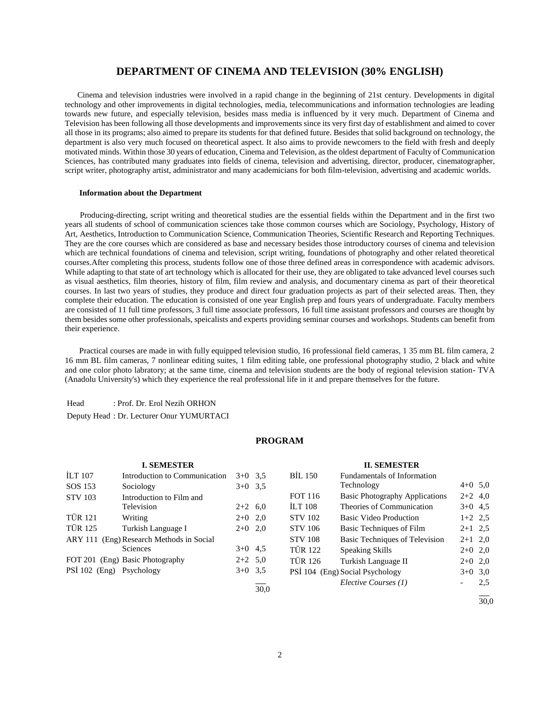# **DEPARTMENT OF CINEMA AND TELEVISION (30% ENGLISH)**

 Cinema and television industries were involved in a rapid change in the beginning of 21st century. Developments in digital technology and other improvements in digital technologies, media, telecommunications and information technologies are leading towards new future, and especially television, besides mass media is influenced by it very much. Department of Cinema and Television has been following all those developments and improvements since its very first day of establishment and aimed to cover all those in its programs; also aimed to prepare its students for that defined future. Besides that solid background on technology, the department is also very much focused on theoretical aspect. It also aims to provide newcomers to the field with fresh and deeply motivated minds. Within those 30 years of education, Cinema and Television, as the oldest department of Faculty of Communication Sciences, has contributed many graduates into fields of cinema, television and advertising, director, producer, cinematographer, script writer, photography artist, administrator and many academicians for both film-television, advertising and academic worlds.

#### **Information about the Department**

 Producing-directing, script writing and theoretical studies are the essential fields within the Department and in the first two years all students of school of communication sciences take those common courses which are Sociology, Psychology, History of Art, Aesthetics, Introduction to Communication Science, Communication Theories, Scientific Research and Reporting Techniques. They are the core courses which are considered as base and necessary besides those introductory courses of cinema and television which are technical foundations of cinema and television, script writing, foundations of photography and other related theoretical courses.After completing this process, students follow one of those three defined areas in correspondence with academic advisors. While adapting to that state of art technology which is allocated for their use, they are obligated to take advanced level courses such as visual aesthetics, film theories, history of film, film review and analysis, and documentary cinema as part of their theoretical courses. In last two years of studies, they produce and direct four graduation projects as part of their selected areas. Then, they complete their education. The education is consisted of one year English prep and fours years of undergraduate. Faculty members are consisted of 11 full time professors, 3 full time associate professors, 16 full time assistant professors and courses are thought by them besides some other professionals, speicalists and experts providing seminar courses and workshops. Students can benefit from their experience.

 Practical courses are made in with fully equipped television studio, 16 professional field cameras, 1 35 mm BL film camera, 2 16 mm BL film cameras, 7 nonlinear editing suites, 1 film editing table, one professional photography studio, 2 black and white and one color photo labratory; at the same time, cinema and television students are the body of regional television station- TVA (Anadolu University's) which they experience the real professional life in it and prepare themselves for the future.

Head : Prof. Dr. Erol Nezih ORHON Deputy Head : Dr. Lecturer Onur YUMURTACI

# **PROGRAM**

|                          | <b>I. SEMESTER</b>               |           |      |                | <b>II. SEMESTER</b>                   |           |     |
|--------------------------|----------------------------------|-----------|------|----------------|---------------------------------------|-----------|-----|
| ILT 107                  | Introduction to Communication    | $3+0$ 3.5 |      | <b>BIL 150</b> | Fundamentals of Information           |           |     |
| SOS 153                  | Sociology                        | $3+0$ 3.5 |      |                | Technology                            | $4+0$ 5,0 |     |
| <b>STV 103</b>           | Introduction to Film and         |           |      | <b>FOT 116</b> | <b>Basic Photography Applications</b> | $2+2$ 4,0 |     |
|                          | Television                       | $2+2$ 6.0 |      | <b>ILT 108</b> | Theories of Communication             | $3+0$ 4.5 |     |
| <b>TÜR 121</b>           | Writing                          | $2+0$ 2,0 |      | <b>STV 102</b> | <b>Basic Video Production</b>         | $1+2$ 2.5 |     |
| <b>TÜR 125</b>           | Turkish Language I               | $2+0$ 2,0 |      | <b>STV 106</b> | Basic Techniques of Film              | $2+1$ 2.5 |     |
| <b>ARY 111</b>           | (Eng) Research Methods in Social |           |      | <b>STV 108</b> | Basic Techniques of Television        | $2+1$ 2,0 |     |
|                          | <b>Sciences</b>                  | $3+0$ 4.5 |      | <b>TÜR 122</b> | Speaking Skills                       | $2+0$ 2,0 |     |
|                          | FOT 201 (Eng) Basic Photography  | $2+2$ 5.0 |      | <b>TÜR 126</b> | Turkish Language II                   | $2+0$ 2,0 |     |
| PSİ 102 (Eng) Psychology |                                  | $3+0$ 3.5 |      |                | PSİ 104 (Eng) Social Psychology       | $3+0$ 3.0 |     |
|                          |                                  |           | 30,0 |                | Elective Courses (1)                  |           | 2.5 |
|                          |                                  |           |      |                |                                       |           |     |

30,0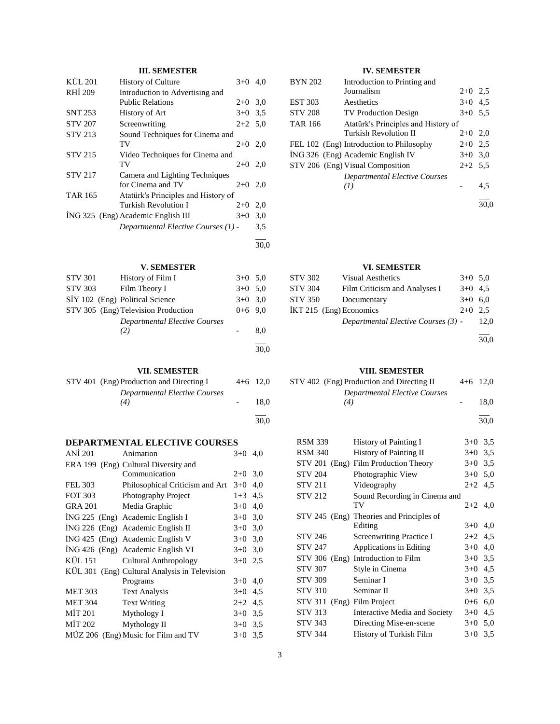# **III. SEMESTER**

| KÜL 201        | $3+0$<br><b>History of Culture</b>          | 4.0  |
|----------------|---------------------------------------------|------|
| <b>RHI 209</b> | Introduction to Advertising and             |      |
|                | <b>Public Relations</b><br>$2+0$ 3.0        |      |
| <b>SNT 253</b> | History of Art<br>$3+0$ 3.5                 |      |
| <b>STV 207</b> | Screenwriting<br>$2+2$ 5,0                  |      |
| <b>STV 213</b> | Sound Techniques for Cinema and             |      |
|                | TV<br>$2+0$ 2,0                             |      |
| <b>STV 215</b> | Video Techniques for Cinema and             |      |
|                | TV<br>$2+0$ 2,0                             |      |
| <b>STV 217</b> | Camera and Lighting Techniques              |      |
|                | for Cinema and TV<br>$2+0$ 2,0              |      |
| <b>TAR 165</b> | Atatürk's Principles and History of         |      |
|                | Turkish Revolution I<br>$2+0$               | 2,0  |
|                | İNG 325 (Eng) Academic English III<br>$3+0$ | 3,0  |
|                | Departmental Elective Courses (1) -         | 3.5  |
|                |                                             | 30,0 |

# **V. SEMESTER**

| <b>STV 301</b> | History of Film I                           | $3+0$ 5.0 |      |
|----------------|---------------------------------------------|-----------|------|
| <b>STV 303</b> | Film Theory I                               | $3+0$ 5.0 |      |
|                | SİY 102 (Eng) Political Science             | $3+0$ 3.0 |      |
|                | STV 305 (Eng) Television Production         | $0+6$ 9.0 |      |
|                | <b>Departmental Elective Courses</b><br>(2) |           | 8.0  |
|                |                                             |           | 30,0 |

# **VII. SEMESTER**

| STV 401 (Eng) Production and Directing I | $4+6$ 12.0 |
|------------------------------------------|------------|
| <b>Departmental Elective Courses</b>     |            |
| (4)                                      | 18.0       |
|                                          |            |
|                                          | 30.0       |

# **DEPARTMENTAL ELECTIVE COURSES**

| ANI 201        | Animation                                     | $3+0$     | 4.0 |
|----------------|-----------------------------------------------|-----------|-----|
|                | ERA 199 (Eng) Cultural Diversity and          |           |     |
|                | Communication                                 | $2+0$ 3,0 |     |
| FEL 303        | Philosophical Criticism and Art               | $3+0$     | 4,0 |
| FOT 303        | Photography Project                           | $1+3$     | 4,5 |
| <b>GRA 201</b> | Media Graphic                                 | $3+0$     | 4,0 |
|                | ING 225 (Eng) Academic English I              | $3+0$     | 3,0 |
|                | ING 226 (Eng) Academic English II             | $3+0$ 3,0 |     |
|                | ING 425 (Eng) Academic English V              | $3+0$ 3,0 |     |
|                | ING 426 (Eng) Academic English VI             | $3+0$ 3,0 |     |
| KÜL 151        | Cultural Anthropology                         | $3+0$ 2.5 |     |
|                | KÜL 301 (Eng) Cultural Analysis in Television |           |     |
|                | Programs                                      | $3+0$     | 4,0 |
| <b>MET 303</b> | <b>Text Analysis</b>                          | $3+0$     | 4,5 |
| <b>MET 304</b> | <b>Text Writing</b>                           | $2+2$     | 4,5 |
| <b>MIT 201</b> | Mythology I                                   | $3+0$     | 3,5 |
| MIT 202        | Mythology II                                  | $3+0$ 3.5 |     |
|                | MÜZ 206 (Eng) Music for Film and TV           | $3+0$ 3.5 |     |

# **IV. SEMESTER**

| <b>BYN 202</b> | Introduction to Printing and             |           |     |
|----------------|------------------------------------------|-----------|-----|
|                | Journalism                               | $2+0$ 2.5 |     |
| <b>EST 303</b> | Aesthetics                               | $3+0$ 4.5 |     |
| <b>STV 208</b> | <b>TV Production Design</b>              | $3+0$ 5.5 |     |
| <b>TAR 166</b> | Atatürk's Principles and History of      |           |     |
|                | Turkish Revolution II                    | $2+0$ 2,0 |     |
|                | FEL 102 (Eng) Introduction to Philosophy | $2+0$ 2.5 |     |
|                | ING 326 (Eng) Academic English IV        | $3+0$ 3.0 |     |
|                | STV 206 (Eng) Visual Composition         | $2+2$ 5.5 |     |
|                | <b>Departmental Elective Courses</b>     |           |     |
|                | (I)                                      |           | 4.5 |
|                |                                          |           |     |

# **VI. SEMESTER**

| STV 302                 | <b>Visual Aesthetics</b>            | $3+0$ 5.0 |      |
|-------------------------|-------------------------------------|-----------|------|
| <b>STV 304</b>          | Film Criticism and Analyses I       | $3+0$ 4.5 |      |
| STV 350                 | Documentary                         | $3+0$ 6.0 |      |
| IKT 215 (Eng) Economics |                                     | $2+0$ 2.5 |      |
|                         | Departmental Elective Courses (3) - |           | 12.0 |
|                         |                                     |           |      |

30,0

#### **VIII. SEMESTER**

| STV 402 (Eng) Production and Directing II | $4+6$ 12.0 |      |
|-------------------------------------------|------------|------|
| <b>Departmental Elective Courses</b>      |            |      |
| (4)                                       |            | 18.0 |

l 30,0

| <b>RSM 339</b> |       | History of Painting I                    | $3+0$     | 3,5 |
|----------------|-------|------------------------------------------|-----------|-----|
| <b>RSM 340</b> |       | <b>History of Painting II</b>            | $3+0$     | 3,5 |
|                |       | STV 201 (Eng) Film Production Theory     | $3+0$     | 3.5 |
| <b>STV 204</b> |       | Photographic View                        | $3+0$     | 5,0 |
| <b>STV 211</b> |       | Videography                              | $2+2$     | 4,5 |
| <b>STV 212</b> |       | Sound Recording in Cinema and            |           |     |
|                |       | TV                                       | $2+2$ 4,0 |     |
|                |       | STV 245 (Eng) Theories and Principles of |           |     |
|                |       | Editing                                  | $3+0$     | 4,0 |
| <b>STV 246</b> |       | <b>Screenwriting Practice I</b>          | $2+2$     | 4,5 |
| <b>STV 247</b> |       | Applications in Editing                  | $3+0$     | 4,0 |
| <b>STV 306</b> | (Eng) | Introduction to Film                     | $3+0$     | 3,5 |
| <b>STV 307</b> |       | Style in Cinema                          | $3+0$     | 4,5 |
| <b>STV 309</b> |       | Seminar I                                | $3+0$     | 3,5 |
| <b>STV 310</b> |       | Seminar II                               | $3+0$     | 3.5 |
| <b>STV 311</b> |       | (Eng) Film Project                       | $0 + 6$   | 6,0 |
| <b>STV 313</b> |       | Interactive Media and Society            | $3+0$     | 4,5 |
| <b>STV 343</b> |       | Directing Mise-en-scene                  | $3+0$     | 5,0 |
| <b>STV 344</b> |       | History of Turkish Film                  | $3+0$     | 3.5 |
|                |       |                                          |           |     |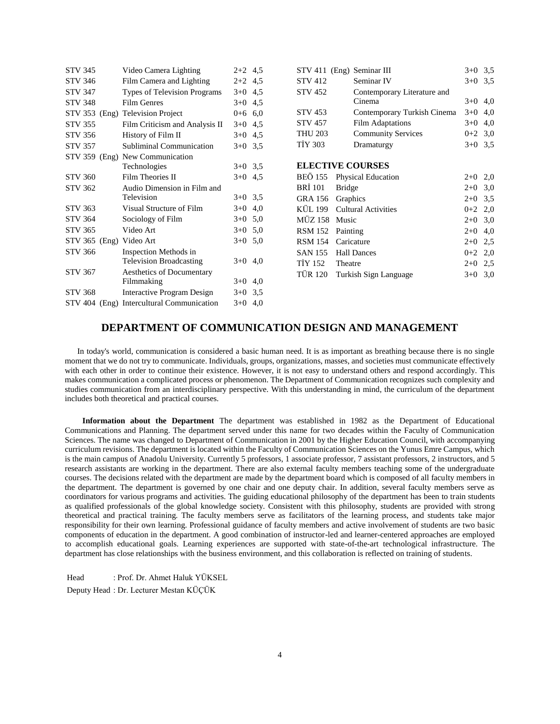| STV 345        | Video Camera Lighting                     | $2+2$ 4,5 |     |  |
|----------------|-------------------------------------------|-----------|-----|--|
| <b>STV 346</b> | Film Camera and Lighting                  | $2+2$ 4,5 |     |  |
| <b>STV 347</b> | Types of Television Programs              | $3+0$ 4,5 |     |  |
| <b>STV 348</b> | <b>Film Genres</b>                        | $3+0$ 4,5 |     |  |
|                | STV 353 (Eng) Television Project          | $0+6$ 6,0 |     |  |
| <b>STV 355</b> | Film Criticism and Analysis II            | $3+0$ 4,5 |     |  |
| STV 356        | History of Film II                        | $3+0$ 4.5 |     |  |
| <b>STV 357</b> | <b>Subliminal Communication</b>           | $3+0$ 3.5 |     |  |
|                | STV 359 (Eng) New Communication           |           |     |  |
|                | Technologies                              | $3+0$ 3.5 |     |  |
| <b>STV 360</b> | Film Theories II                          | $3+0$     | 4,5 |  |
| <b>STV 362</b> | Audio Dimension in Film and               |           |     |  |
|                | Television                                | $3+0$ 3.5 |     |  |
| STV 363        | Visual Structure of Film                  | $3+0$ 4,0 |     |  |
| STV 364        | Sociology of Film                         | $3+0$ 5,0 |     |  |
| <b>STV 365</b> | Video Art                                 | $3+0$ 5,0 |     |  |
|                | STV 365 (Eng) Video Art                   | $3+0$ 5,0 |     |  |
| <b>STV 366</b> | Inspection Methods in                     |           |     |  |
|                | <b>Television Broadcasting</b>            | $3+0$     | 4,0 |  |
| <b>STV 367</b> | Aesthetics of Documentary                 |           |     |  |
|                | Filmmaking                                | $3+0$     | 4,0 |  |
| <b>STV 368</b> | <b>Interactive Program Design</b>         | $3+0$ 3.5 |     |  |
|                | STV 404 (Eng) Intercultural Communication | $3+0$ 4,0 |     |  |

|                | STV 411 (Eng) Seminar III   | $3+0$     | 3,5       |
|----------------|-----------------------------|-----------|-----------|
| <b>STV 412</b> | Seminar IV                  | $3+0$     | 3,5       |
| <b>STV 452</b> | Contemporary Literature and |           |           |
|                | Cinema                      | $3+0$     | 4,0       |
| STV 453        | Contemporary Turkish Cinema | $3+0$     | 4,0       |
| <b>STV 457</b> | <b>Film Adaptations</b>     | $3+0$     | 4,0       |
| <b>THU 203</b> | <b>Community Services</b>   | $0+2$ 3,0 |           |
| <b>TİY 303</b> | Dramaturgy                  |           | $3+0$ 3.5 |
|                |                             |           |           |
|                | <b>ELECTIVE COURSES</b>     |           |           |
| <b>BEÖ 155</b> | Physical Education          | $2+0$     | 2,0       |
| BRI 101        | <b>Bridge</b>               | $2+0$ 3,0 |           |
| GRA 156        | Graphics                    | $2+0$     | 3,5       |
| KÜL 199        | <b>Cultural Activities</b>  | $0+2$ 2,0 |           |
| MÜZ 158        | Music                       | $2+0$     | 3,0       |
| <b>RSM 152</b> | Painting                    | $2+0$     | 4,0       |
| RSM 154        | Caricature                  | $2 + 0$   | 2.5       |
| <b>SAN 155</b> | <b>Hall Dances</b>          | $0+2$ 2,0 |           |
| TIY 152        | Theatre                     | $2+0$ 2,5 |           |
| TÜR 120        | Turkish Sign Language       | $3+0$     | 3,0       |
|                |                             |           |           |

# **DEPARTMENT OF COMMUNICATION DESIGN AND MANAGEMENT**

 In today's world, communication is considered a basic human need. It is as important as breathing because there is no single moment that we do not try to communicate. Individuals, groups, organizations, masses, and societies must communicate effectively with each other in order to continue their existence. However, it is not easy to understand others and respond accordingly. This makes communication a complicated process or phenomenon. The Department of Communication recognizes such complexity and studies communication from an interdisciplinary perspective. With this understanding in mind, the curriculum of the department includes both theoretical and practical courses.

 **Information about the Department** The department was established in 1982 as the Department of Educational Communications and Planning. The department served under this name for two decades within the Faculty of Communication Sciences. The name was changed to Department of Communication in 2001 by the Higher Education Council, with accompanying curriculum revisions. The department is located within the Faculty of Communication Sciences on the Yunus Emre Campus, which is the main campus of Anadolu University. Currently 5 professors, 1 associate professor, 7 assistant professors, 2 instructors, and 5 research assistants are working in the department. There are also external faculty members teaching some of the undergraduate courses. The decisions related with the department are made by the department board which is composed of all faculty members in the department. The department is governed by one chair and one deputy chair. In addition, several faculty members serve as coordinators for various programs and activities. The guiding educational philosophy of the department has been to train students as qualified professionals of the global knowledge society. Consistent with this philosophy, students are provided with strong theoretical and practical training. The faculty members serve as facilitators of the learning process, and students take major responsibility for their own learning. Professional guidance of faculty members and active involvement of students are two basic components of education in the department. A good combination of instructor-led and learner-centered approaches are employed to accomplish educational goals. Learning experiences are supported with state-of-the-art technological infrastructure. The department has close relationships with the business environment, and this collaboration is reflected on training of students.

Head : Prof. Dr. Ahmet Haluk YÜKSEL Deputy Head : Dr. Lecturer Mestan KÜÇÜK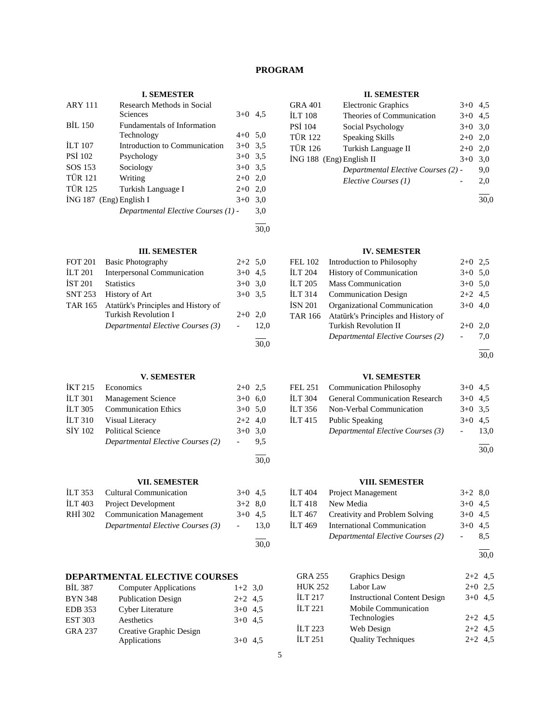# **PROGRAM**

# **I. SEMESTER**

| <b>ARY 111</b> | Research Methods in Social<br><b>Sciences</b> | $3+0$     | 4.5 |
|----------------|-----------------------------------------------|-----------|-----|
| <b>BIL 150</b> | <b>Fundamentals of Information</b>            |           |     |
|                | Technology                                    | $4+0$ 5.0 |     |
| <b>ILT 107</b> | Introduction to Communication                 | $3+0$ 3.5 |     |
| <b>PSI 102</b> | Psychology                                    | $3+0$ 3.5 |     |
| SOS 153        | Sociology                                     | $3+0$ 3.5 |     |
| <b>TÜR 121</b> | Writing                                       | $2+0$ 2.0 |     |
| <b>TÜR 125</b> | Turkish Language I                            | $2+0$     | 2,0 |
|                | $ING 187$ (Eng) English I                     | $3+0$     | 3,0 |
|                | Departmental Elective Courses (1) -           |           | 3.0 |
|                |                                               |           |     |

30,0

30,0

30,0

30,0

# **III. SEMESTER**

| <b>FOT 201</b> | <b>Basic Photography</b>            | $2+2$ 5.0 |      |
|----------------|-------------------------------------|-----------|------|
| <b>ILT 201</b> | <b>Interpersonal Communication</b>  | $3+0$ 4.5 |      |
| <b>IST 201</b> | <b>Statistics</b>                   | $3+0$ 3.0 |      |
| <b>SNT 253</b> | History of Art                      | $3+0$ 3.5 |      |
| <b>TAR 165</b> | Atatürk's Principles and History of |           |      |
|                | Turkish Revolution I                | $2+0$ 2.0 |      |
|                | Departmental Elective Courses (3)   |           | 12.0 |
|                |                                     |           |      |

# **V. SEMESTER**

|                | IKT 215 Economics                 | $2+0$ 2.5           |     |
|----------------|-----------------------------------|---------------------|-----|
| <b>ILT 301</b> | <b>Management Science</b>         | $3+0$ 6.0           |     |
| ILT 305        | <b>Communication Ethics</b>       | $3+0$ 5.0           |     |
|                | ILT 310 Visual Literacy           | $2+2$ 4,0           |     |
| SIY 102        | <b>Political Science</b>          | $3+0$ 3.0           |     |
|                | Departmental Elective Courses (2) | $\omega_{\rm{max}}$ | 9.5 |
|                |                                   |                     |     |

# **VII. SEMESTER**

| İLT 353 Cultural Communication    | $3+0$ 4.5               |      |
|-----------------------------------|-------------------------|------|
| ILT 403 Project Development       | $3+2$ 8.0               |      |
| RHİ 302 Communication Management  | $3+0$ 4.5               |      |
| Departmental Elective Courses (3) | $\sim 100$ km s $^{-1}$ | 13.0 |
|                                   |                         |      |

# **DEPARTMENTAL ELECTIVE COURSES**

| <b>BIL 387</b> | <b>Computer Applications</b> | $1+2$ 3,0 |  |
|----------------|------------------------------|-----------|--|
| <b>BYN 348</b> | <b>Publication Design</b>    | $2+2$ 4.5 |  |
| <b>EDB</b> 353 | Cyber Literature             | $3+0$ 4.5 |  |
| <b>EST 303</b> | Aesthetics                   | $3+0$ 4.5 |  |
| <b>GRA 237</b> | Creative Graphic Design      |           |  |
|                | Applications                 | $3+0$ 4.5 |  |

# **II. SEMESTER**

| <b>GRA 401</b> | <b>Electronic Graphics</b>          | $3+0$     | 4.5 |
|----------------|-------------------------------------|-----------|-----|
| <b>ILT 108</b> | Theories of Communication           | $3+0$     | 4.5 |
| <b>PSİ 104</b> | Social Psychology                   | $3+0$ 3.0 |     |
| <b>TÜR 122</b> | <b>Speaking Skills</b>              | $2+0$     | 2.0 |
| <b>TÜR 126</b> | Turkish Language II                 | $2+0$     | 2.0 |
|                | İNG 188 (Eng) English II            | $3+0$     | 3.0 |
|                | Departmental Elective Courses (2) - |           | 9.0 |
|                | Elective Courses (1)                |           | 2,0 |
|                |                                     |           |     |

30,0

# **IV. SEMESTER**

| <b>FEL 102</b>     | Introduction to Philosophy          | $2+0$ 2,5 |     |
|--------------------|-------------------------------------|-----------|-----|
| <b>ILT 204</b>     | History of Communication            | $3+0$ 5.0 |     |
| <b>ILT 205</b>     | <b>Mass Communication</b>           | $3+0$ 5.0 |     |
| ILT <sub>314</sub> | <b>Communication Design</b>         | $2+2$ 4.5 |     |
| <b>ISN 201</b>     | Organizational Communication        | $3+0$ 4.0 |     |
| <b>TAR 166</b>     | Atatürk's Principles and History of |           |     |
|                    | <b>Turkish Revolution II</b>        | $2+0$     | 2.0 |
|                    | Departmental Elective Courses (2)   |           | 7.0 |
|                    |                                     |           |     |

30,0

### **VI. SEMESTER**

| FEL 251 Communication Philosophy       | $3+0$ 4.5 |        |
|----------------------------------------|-----------|--------|
| ILT 304 General Communication Research | $3+0$ 4.5 |        |
| İLT 356 Non-Verbal Communication       | $3+0$ 3.5 |        |
| ILT 415 Public Speaking                | $3+0$ 4.5 |        |
| Departmental Elective Courses (3)      |           | - 13.0 |
|                                        |           |        |

30,0

# **VIII. SEMESTER**

| İLT 404  | <b>Project Management</b>         | $3+2$ 8,0 |     |
|----------|-----------------------------------|-----------|-----|
| ILT 418. | New Media                         | $3+0$ 4.5 |     |
| İLT 467  | Creativity and Problem Solving    | $3+0$ 4.5 |     |
| ILT 469  | International Communication       | $3+0$ 4.5 |     |
|          | Departmental Elective Courses (2) |           | 8,5 |

 $\overline{a}$ 30,0

GRA 255 Graphics Design 2+2 4,5 HUK 252 Labor Law 2+0 2,5 İLT 217 Instructional Content Design 3+0 4,5 İLT 221 Mobile Communication Technologies 2+2 4,5  $\text{ILT } 223$  Web Design  $2+2$  4,5 İLT 251 Quality Techniques 2+2 4,5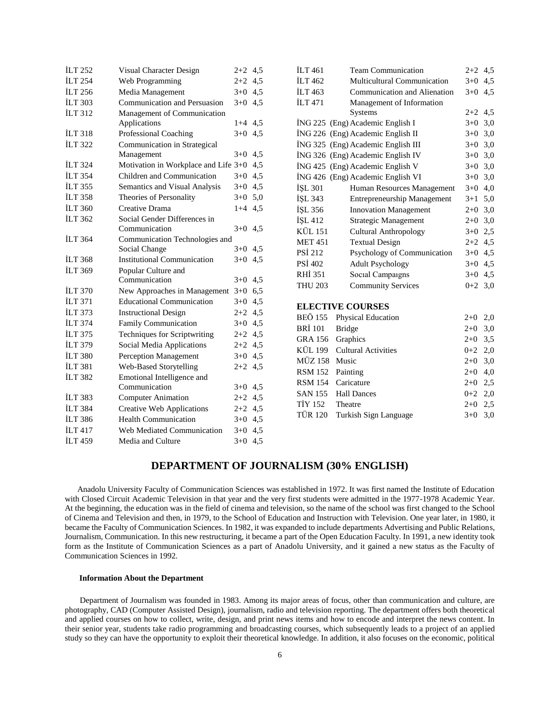| <b>ILT 252</b> | Visual Character Design              | $2+2$   | 4,5 |
|----------------|--------------------------------------|---------|-----|
| <b>ILT 254</b> | Web Programming                      | $2+2$   | 4,5 |
| <b>ILT 256</b> | Media Management                     | $3+0$   | 4,5 |
| <b>İLT 303</b> | Communication and Persuasion         | $3+0$   | 4,5 |
| <b>ILT 312</b> | Management of Communication          |         |     |
|                | Applications                         | $1 + 4$ | 4,5 |
| <b>ILT 318</b> | Professional Coaching                | $3+0$   | 4,5 |
| <b>İLT 322</b> | Communication in Strategical         |         |     |
|                | Management                           | $3+0$   | 4,5 |
| <b>ILT 324</b> | Motivation in Workplace and Life 3+0 |         | 4,5 |
| <b>İLT 354</b> | Children and Communication           | $3+0$   | 4,5 |
| <b>İLT 355</b> | Semantics and Visual Analysis        | $3 + 0$ | 4,5 |
| <b>ILT 358</b> | Theories of Personality              | $3+0$   | 5,0 |
| <b>ILT 360</b> | Creative Drama                       | $1 + 4$ | 4,5 |
| İLT 362        | Social Gender Differences in         |         |     |
|                | Communication                        | $3+0$   | 4.5 |
| <b>ILT 364</b> | Communication Technologies and       |         |     |
|                | Social Change                        | $3+0$   | 4,5 |
| <b>ILT 368</b> | <b>Institutional Communication</b>   | $3+0$   | 4,5 |
| <b>ILT 369</b> | Popular Culture and                  |         |     |
|                | Communication                        | $3+0$   | 4,5 |
| <b>ILT 370</b> | New Approaches in Management         | $3+0$   | 6,5 |
| İLT 371        | <b>Educational Communication</b>     | $3+0$   | 4,5 |
| <b>ILT 373</b> | <b>Instructional Design</b>          | $2+2$   | 4,5 |
| <b>ILT 374</b> | Family Communication                 | $3+0$   | 4,5 |
| İLT 375        | Techniques for Scriptwriting         | $2+2$   | 4,5 |
| <b>ILT 379</b> | Social Media Applications            | $2+2$   | 4,5 |
| <b>İLT 380</b> | <b>Perception Management</b>         | $3+0$   | 4,5 |
| <b>ILT 381</b> | Web-Based Storytelling               | $2+2$   | 4,5 |
| <b>ILT 382</b> | Emotional Intelligence and           |         |     |
|                | Communication                        | $3+0$   | 4,5 |
| <b>İLT 383</b> | <b>Computer Animation</b>            | $2+2$   | 4,5 |
| <b>İLT 384</b> | <b>Creative Web Applications</b>     | $2+2$   | 4,5 |
| <b>ILT 386</b> | <b>Health Communication</b>          | $3 + 0$ | 4,5 |
| <b>ILT417</b>  | Web Mediated Communication           | $3+0$   | 4,5 |
| <b>İLT 459</b> | Media and Culture                    | $3+0$   | 4,5 |

| <b>ILT</b> 461           | <b>Team Communication</b>          | $2+2$ 4.5     |     |
|--------------------------|------------------------------------|---------------|-----|
| ILT <sub>462</sub>       | <b>Multicultural Communication</b> | $3+0$         | 4,5 |
| ILT 463                  | Communication and Alienation       | $3+0$         | 4,5 |
| <b>ILT 471</b>           | Management of Information          |               |     |
|                          | <b>Systems</b>                     | $2+2$ 4,5     |     |
|                          | İNG 225 (Eng) Academic English I   | $3+0$         | 3,0 |
|                          | ING 226 (Eng) Academic English II  | $3+0$ 3,0     |     |
|                          | İNG 325 (Eng) Academic English III | $3+0$         | 3,0 |
|                          | İNG 326 (Eng) Academic English IV  | $3+0$ 3,0     |     |
|                          | ING 425 (Eng) Academic English V   | $3+0$         | 3,0 |
|                          | İNG 426 (Eng) Academic English VI  | $3+0$ 3,0     |     |
| İŞL 301                  | Human Resources Management         | $3+0$         | 4,0 |
| ISL 343                  | <b>Entrepreneurship Management</b> | $3+1$         | 5,0 |
| İŞL 356                  | <b>Innovation Management</b>       | $2+0$         | 3,0 |
| ISL 412                  | Strategic Management               | $2+0$         | 3,0 |
| KÜL 151                  | Cultural Anthropology              | $3+0$         | 2,5 |
| <b>MET 451</b>           | <b>Textual Design</b>              | $2+2$ 4,5     |     |
| <b>PSI 212</b>           | Psychology of Communication        | $3+0$         | 4,5 |
| PSİ 402                  | <b>Adult Psychology</b>            | $3+0$         | 4,5 |
| RHI 351                  | Social Campaigns                   | $3+0$         | 4,5 |
| <b>THU 203</b>           | <b>Community Services</b>          | $0+2$ 3.0     |     |
|                          |                                    |               |     |
| <b>ELECTIVE COURSES</b>  |                                    |               |     |
| BEÖ 155                  | <b>Physical Education</b>          | $2+0$         | 2,0 |
| BRÍ 101<br><b>Bridge</b> |                                    | $2+0$         | 3,0 |
| $CD + 172 = 0.1$         |                                    | $\sim$ $\sim$ |     |

| BRİ 101 Bridge   |                               | $2+0$ 3,0 |  |
|------------------|-------------------------------|-----------|--|
| GRA 156 Graphics |                               | $2+0$ 3.5 |  |
|                  | KÜL 199 Cultural Activities   | $0+2$ 2,0 |  |
| MÜZ 158 Music    |                               | $2+0$ 3,0 |  |
| RSM 152 Painting |                               | $2+0$ 4,0 |  |
|                  | RSM 154 Caricature            | $2+0$ 2.5 |  |
|                  | SAN 155 Hall Dances           | $0+2$ 2,0 |  |
| TİY 152 Theatre  |                               | $2+0$ 2.5 |  |
|                  | TÜR 120 Turkish Sign Language | $3+0$ 3.0 |  |
|                  |                               |           |  |

# **DEPARTMENT OF JOURNALISM (30% ENGLISH)**

 Anadolu University Faculty of Communication Sciences was established in 1972. It was first named the Institute of Education with Closed Circuit Academic Television in that year and the very first students were admitted in the 1977-1978 Academic Year. At the beginning, the education was in the field of cinema and television, so the name of the school was first changed to the School of Cinema and Television and then, in 1979, to the School of Education and Instruction with Television. One year later, in 1980, it became the Faculty of Communication Sciences. In 1982, it was expanded to include departments Advertising and Public Relations, Journalism, Communication. In this new restructuring, it became a part of the Open Education Faculty. In 1991, a new identity took form as the Institute of Communication Sciences as a part of Anadolu University, and it gained a new status as the Faculty of Communication Sciences in 1992.

# **Information About the Department**

 Department of Journalism was founded in 1983. Among its major areas of focus, other than communication and culture, are photography, CAD (Computer Assisted Design), journalism, radio and television reporting. The department offers both theoretical and applied courses on how to collect, write, design, and print news items and how to encode and interpret the news content. In their senior year, students take radio programming and broadcasting courses, which subsequently leads to a project of an applied study so they can have the opportunity to exploit their theoretical knowledge. In addition, it also focuses on the economic, political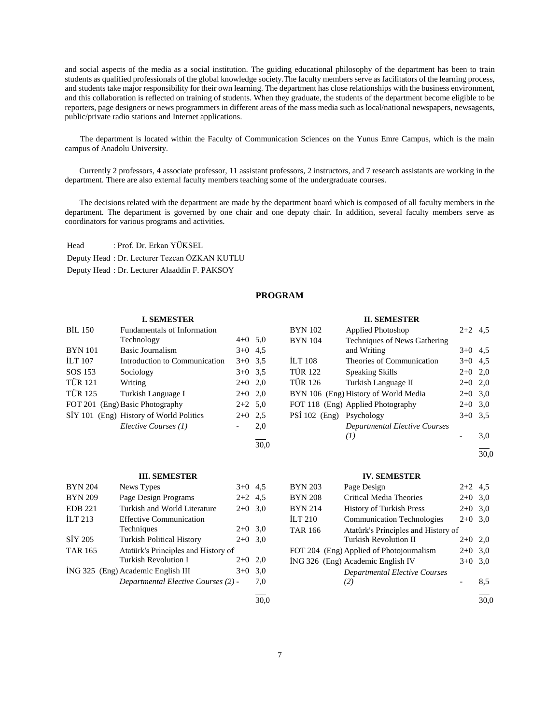and social aspects of the media as a social institution. The guiding educational philosophy of the department has been to train students as qualified professionals of the global knowledge society.The faculty members serve as facilitators of the learning process, and students take major responsibility for their own learning. The department has close relationships with the business environment, and this collaboration is reflected on training of students. When they graduate, the students of the department become eligible to be reporters, page designers or news programmers in different areas of the mass media such as local/national newspapers, newsagents, public/private radio stations and Internet applications.

 The department is located within the Faculty of Communication Sciences on the Yunus Emre Campus, which is the main campus of Anadolu University.

 Currently 2 professors, 4 associate professor, 11 assistant professors, 2 instructors, and 7 research assistants are working in the department. There are also external faculty members teaching some of the undergraduate courses.

 The decisions related with the department are made by the department board which is composed of all faculty members in the department. The department is governed by one chair and one deputy chair. In addition, several faculty members serve as coordinators for various programs and activities.

Head : Prof. Dr. Erkan YÜKSEL Deputy Head : Dr. Lecturer Tezcan ÖZKAN KUTLU Deputy Head : Dr. Lecturer Alaaddin F. PAKSOY

# **PROGRAM**

30,0

#### **I. SEMESTER**

| <b>BIL 150</b> | Fundamentals of Information             |           |     |
|----------------|-----------------------------------------|-----------|-----|
|                | Technology                              | $4+0$ 5.0 |     |
| <b>BYN</b> 101 | Basic Journalism                        | $3+0$ 4.5 |     |
| <b>ILT</b> 107 | Introduction to Communication           | $3+0$ 3.5 |     |
| SOS 153        | Sociology                               | $3+0$ 3.5 |     |
| <b>TÜR 121</b> | Writing                                 | $2+0$ 2,0 |     |
| <b>TÜR 125</b> | Turkish Language I                      | $2+0$ 2,0 |     |
|                | FOT 201 (Eng) Basic Photography         | $2+2$ 5,0 |     |
|                | SİY 101 (Eng) History of World Politics | $2+0$     | 2.5 |
|                | Elective Courses (1)                    |           | 2,0 |
|                |                                         |           |     |

| <b>BYN</b> 102           | Applied Photoshop                    | $2+2$ 4.5 |     |
|--------------------------|--------------------------------------|-----------|-----|
| <b>BYN</b> 104           | Techniques of News Gathering         |           |     |
|                          | and Writing                          | $3+0$ 4.5 |     |
| <b>ILT 108</b>           | Theories of Communication            | $3+0$ 4.5 |     |
| <b>TÜR 122</b>           | <b>Speaking Skills</b>               | $2+0$ 2,0 |     |
| <b>TÜR 126</b>           | Turkish Language II                  | $2+0$     | 2,0 |
|                          | BYN 106 (Eng) History of World Media | $2+0$     | 3,0 |
|                          | FOT 118 (Eng) Applied Photography    | $2+0$     | 3,0 |
| PSI 102 (Eng) Psychology |                                      | $3+0$     | 3,5 |
|                          | Departmental Elective Courses        |           |     |
|                          | (I)                                  |           | 3,0 |
|                          |                                      |           |     |

**II. SEMESTER**

30,0

# **III. SEMESTER**

| <b>BYN 204</b> | News Types                          | $3+0$     | 4.5 |
|----------------|-------------------------------------|-----------|-----|
| <b>BYN 209</b> | Page Design Programs                | $2+2$ 4.5 |     |
| <b>EDB 221</b> | Turkish and World Literature        | $2+0$     | 3,0 |
| ILT 213        | <b>Effective Communication</b>      |           |     |
|                | Techniques                          | $2+0$ 3.0 |     |
| SIY 205        | <b>Turkish Political History</b>    | $2+0$     | 3,0 |
| <b>TAR 165</b> | Atatürk's Principles and History of |           |     |
|                | Turkish Revolution I                | $2+0$     | 2.0 |
|                | ING 325 (Eng) Academic English III  | $3+0$     | 3,0 |
|                | Departmental Elective Courses (2) - |           | 7,0 |
|                |                                     |           |     |

### **IV. SEMESTER**

| BYN 203 | Page Design                              | $2+2$ 4.5 |                      |
|---------|------------------------------------------|-----------|----------------------|
| BYN 208 | Critical Media Theories                  | $2+0$     | 3,0                  |
| BYN 214 | <b>History of Turkish Press</b>          | $2+0$     | 3,0                  |
| İLT 210 | <b>Communication Technologies</b>        | $2+0$     | 3,0                  |
| TAR 166 | Atatürk's Principles and History of      |           |                      |
|         | <b>Turkish Revolution II</b>             | $2+0$     | 2,0                  |
|         | FOT 204 (Eng) Applied of Photojournalism | $2+0$     | 3,0                  |
|         | İNG 326 (Eng) Academic English IV        | $3+0$     | 3,0                  |
|         | Departmental Elective Courses            |           |                      |
|         | (2)                                      |           | 8.5                  |
|         |                                          |           | $\sim$ $\sim$ $\sim$ |

30,0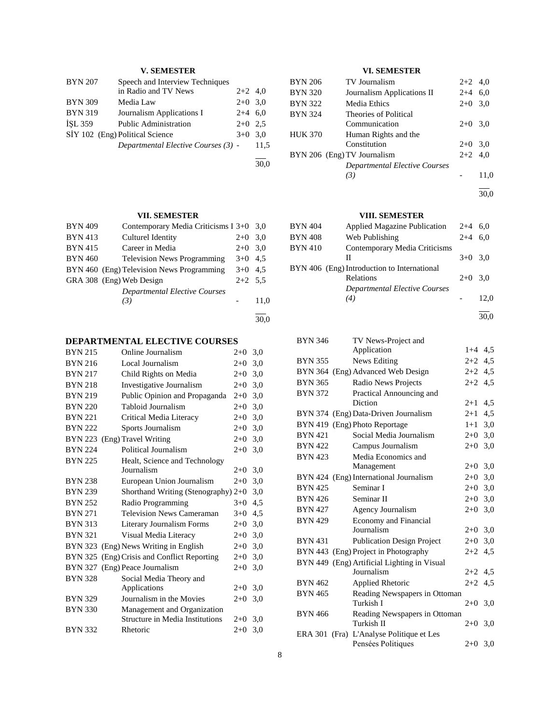# **V. SEMESTER**

| <b>BYN 207</b>                  | Speech and Interview Techniques     |           |      |
|---------------------------------|-------------------------------------|-----------|------|
|                                 | in Radio and TV News                | $2+2$ 4,0 |      |
| <b>BYN 309</b>                  | Media Law                           | $2+0$ 3.0 |      |
| <b>BYN 319</b>                  | Journalism Applications I           | $2+4$ 6.0 |      |
| <b>ISL 359</b>                  | <b>Public Administration</b>        | $2+0$ 2.5 |      |
| SİY 102 (Eng) Political Science | $3+0$ 3.0                           |           |      |
|                                 | Departmental Elective Courses (3) - |           | 11.5 |
|                                 |                                     |           |      |

30,0

# **VII. SEMESTER**

| <b>BYN 409</b> | Contemporary Media Criticisms I 3+0 3,0   |           |      |
|----------------|-------------------------------------------|-----------|------|
| <b>BYN 413</b> | Culturel Identity                         | $2+0$     | 3.0  |
| <b>BYN 415</b> | Career in Media                           | $2+0$     | 3,0  |
| <b>BYN 460</b> | <b>Television News Programming</b>        | $3+0$ 4.5 |      |
|                | BYN 460 (Eng) Television News Programming | $3+0$ 4.5 |      |
|                | GRA 308 (Eng) Web Design                  | $2+2$ 5.5 |      |
|                | <b>Departmental Elective Courses</b>      |           |      |
|                | (3)                                       |           | 11,0 |
|                |                                           |           |      |
|                |                                           |           |      |

# **DEPARTMENTAL ELECTIVE COURSES**

| <b>BYN 215</b> | Online Journalism                           | $2+0$ | 3,0 |
|----------------|---------------------------------------------|-------|-----|
| <b>BYN 216</b> | Local Journalism                            | $2+0$ | 3,0 |
| <b>BYN 217</b> | Child Rights on Media                       | $2+0$ | 3,0 |
| <b>BYN 218</b> | Investigative Journalism                    | $2+0$ | 3,0 |
| <b>BYN 219</b> | Public Opinion and Propaganda               | $2+0$ | 3,0 |
| <b>BYN 220</b> | Tabloid Journalism                          | $2+0$ | 3,0 |
| <b>BYN 221</b> | Critical Media Literacy                     | $2+0$ | 3,0 |
| <b>BYN 222</b> | Sports Journalism                           | $2+0$ | 3,0 |
| <b>BYN 223</b> | (Eng) Travel Writing                        | $2+0$ | 3,0 |
| <b>BYN 224</b> | Political Journalism                        | $2+0$ | 3,0 |
| <b>BYN 225</b> | Healt, Science and Technology               |       |     |
|                | Journalism                                  | $2+0$ | 3,0 |
| <b>BYN 238</b> | European Union Journalism                   | $2+0$ | 3,0 |
| <b>BYN 239</b> | Shorthand Writing (Stenography) $2+0$       |       | 3,0 |
| <b>BYN 252</b> | Radio Programming                           | $3+0$ | 4,5 |
| <b>BYN 271</b> | <b>Television News Cameraman</b>            | $3+0$ | 4,5 |
| <b>BYN 313</b> | <b>Literary Journalism Forms</b>            | $2+0$ | 3,0 |
| <b>BYN 321</b> | Visual Media Literacy                       | $2+0$ | 3,0 |
| BYN 323        | (Eng) News Writing in English               | $2+0$ | 3,0 |
|                | BYN 325 (Eng) Crisis and Conflict Reporting | $2+0$ | 3,0 |
|                | BYN 327 (Eng) Peace Journalism              | $2+0$ | 3,0 |
| <b>BYN 328</b> | Social Media Theory and                     |       |     |
|                | Applications                                | $2+0$ | 3,0 |
| <b>BYN 329</b> | Journalism in the Movies                    | $2+0$ | 3,0 |
| <b>BYN 330</b> | Management and Organization                 |       |     |
|                | <b>Structure in Media Institutions</b>      | $2+0$ | 3,0 |
| <b>BYN 332</b> | Rhetoric                                    | $2+0$ | 3,0 |
|                |                                             |       |     |

# **VI. SEMESTER**

| <b>BYN 206</b> | TV Journalism                 | $2+2$ 4,0 |      |
|----------------|-------------------------------|-----------|------|
| <b>BYN 320</b> | Journalism Applications II    | $2+4$ 6,0 |      |
| <b>BYN 322</b> | Media Ethics                  | $2+0$ 3.0 |      |
| <b>BYN 324</b> | Theories of Political         |           |      |
|                | Communication                 | $2+0$ 3.0 |      |
| <b>HUK 370</b> | Human Rights and the          |           |      |
|                | Constitution                  | $2+0$ 3.0 |      |
|                | BYN 206 (Eng) TV Journalism   | $2+2$ 4.0 |      |
|                | Departmental Elective Courses |           |      |
|                | (3)                           |           | 11,0 |
|                |                               |           |      |

30,0

# **VIII. SEMESTER**

| <b>BYN 404</b> | <b>Applied Magazine Publication</b>                      | $2+4$ 6.0 |      |
|----------------|----------------------------------------------------------|-----------|------|
| <b>BYN 408</b> | Web Publishing                                           | $2 + 4$   | 6.0  |
| <b>BYN 410</b> | Contemporary Media Criticisms                            |           |      |
|                | Н                                                        | $3+0$ 3.0 |      |
|                | BYN 406 (Eng) Introduction to International<br>Relations | $2+0$ 3.0 |      |
|                | Departmental Elective Courses<br>(4)                     |           | 12.0 |

30,0

| <b>BYN 346</b> | TV News-Project and                         |           |     |
|----------------|---------------------------------------------|-----------|-----|
|                | Application                                 | $1+4$ 4.5 |     |
| <b>BYN 355</b> | News Editing                                | $2+2$ 4.5 |     |
| <b>BYN 364</b> | (Eng) Advanced Web Design                   | $2+2$     | 4,5 |
| <b>BYN 365</b> | Radio News Projects                         | $2+2$     | 4,5 |
| <b>BYN 372</b> | Practical Announcing and                    |           |     |
|                | Diction                                     | $2 + 1$   | 4,5 |
| BYN 374        | (Eng) Data-Driven Journalism                | $2 + 1$   | 4,5 |
|                | BYN 419 (Eng) Photo Reportage               | $1+1$     | 3,0 |
| <b>BYN 421</b> | Social Media Journalism                     | $2+0$     | 3,0 |
| <b>BYN 422</b> | Campus Journalism                           | $2+0$     | 3,0 |
| <b>BYN 423</b> | Media Economics and                         |           |     |
|                | Management                                  | $2+0$ 3,0 |     |
|                | BYN 424 (Eng) International Journalism      | $2 + 0$   | 3,0 |
| <b>BYN 425</b> | Seminar I                                   | $2+0$     | 3,0 |
| <b>BYN 426</b> | Seminar II                                  | $2+0$ 3,0 |     |
| <b>BYN 427</b> | Agency Journalism                           | $2+0$ 3,0 |     |
| <b>BYN 429</b> | <b>Economy and Financial</b>                |           |     |
|                | Journalism                                  | $2+0$ 3,0 |     |
| <b>BYN 431</b> | <b>Publication Design Project</b>           | $2+0$ 3,0 |     |
|                | BYN 443 (Eng) Project in Photography        | $2+2$     | 4,5 |
|                | BYN 449 (Eng) Artificial Lighting in Visual |           |     |
|                | Journalism                                  | $2+2$ 4.5 |     |
| <b>BYN 462</b> | Applied Rhetoric                            | $2+2$ 4.5 |     |
| <b>BYN 465</b> | Reading Newspapers in Ottoman               |           |     |
|                | Turkish I                                   | $2+0$ 3,0 |     |
| <b>BYN 466</b> | Reading Newspapers in Ottoman               |           |     |
|                | Turkish II                                  | $2+0$ 3.0 |     |
|                | ERA 301 (Fra) L'Analyse Politique et Les    |           |     |
|                | Pensées Politiques                          | $2+0$ 3,0 |     |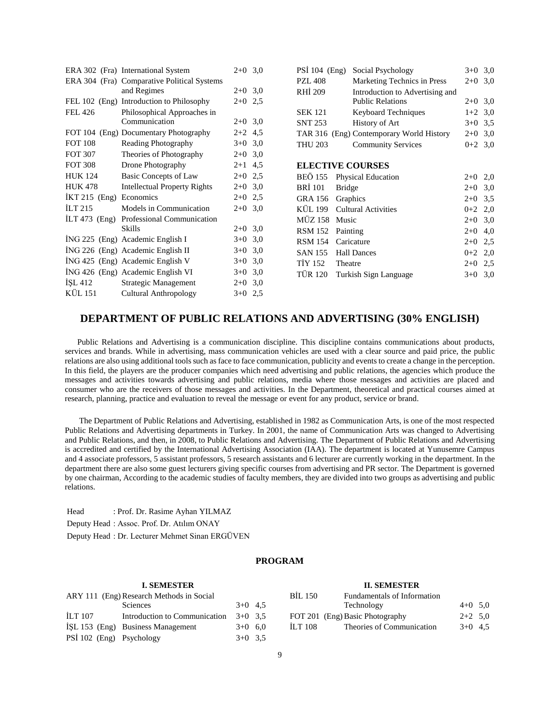|                 | ERA 302 (Fra) International System          | $2+0$ 3,0 | PSI $104$ (Eng) | Social Psychology                        | $3+0$ 3,0 |  |
|-----------------|---------------------------------------------|-----------|-----------------|------------------------------------------|-----------|--|
|                 | ERA 304 (Fra) Comparative Political Systems |           | <b>PZL 408</b>  | Marketing Technics in Press              | $2+0$ 3,0 |  |
|                 | and Regimes                                 | $2+0$ 3.0 | RHI 209         | Introduction to Advertising and          |           |  |
|                 | FEL 102 (Eng) Introduction to Philosophy    | $2+0$ 2.5 |                 | <b>Public Relations</b>                  | $2+0$ 3,0 |  |
| <b>FEL 426</b>  | Philosophical Approaches in                 |           | <b>SEK 121</b>  | <b>Keyboard Techniques</b>               | $1+2$ 3,0 |  |
|                 | Communication                               | $2+0$ 3,0 | <b>SNT 253</b>  | History of Art                           | $3+0$ 3,5 |  |
|                 | FOT 104 (Eng) Documentary Photography       | $2+2$ 4,5 |                 | TAR 316 (Eng) Contemporary World History | $2+0$ 3,0 |  |
| <b>FOT 108</b>  | Reading Photography                         | $3+0$ 3,0 | <b>THU 203</b>  | <b>Community Services</b>                | $0+2$ 3,0 |  |
| <b>FOT 307</b>  | Theories of Photography                     | $2+0$ 3,0 |                 |                                          |           |  |
| <b>FOT 308</b>  | Drone Photography                           | $2+1$ 4,5 |                 | <b>ELECTIVE COURSES</b>                  |           |  |
| <b>HUK 124</b>  | Basic Concepts of Law                       | $2+0$ 2.5 | <b>BEÖ</b> 155  | Physical Education                       | $2+0$ 2,0 |  |
| <b>HUK 478</b>  | <b>Intellectual Property Rights</b>         | $2+0$ 3,0 | <b>BRI</b> 101  | <b>Bridge</b>                            | $2+0$ 3,0 |  |
| $IKT 215$ (Eng) | Economics                                   | $2+0$ 2,5 | GRA 156         | Graphics                                 | $2+0$ 3.5 |  |
| ILT 215         | Models in Communication                     | $2+0$ 3.0 | KÜL 199         | <b>Cultural Activities</b>               | $0+2$ 2,0 |  |
| $[LT 473$ (Eng) | Professional Communication                  |           | MÜZ 158         | Music                                    | $2+0$ 3,0 |  |
|                 | Skills                                      | $2+0$ 3.0 | <b>RSM 152</b>  | Painting                                 | $2+0$ 4,0 |  |
|                 | ING 225 (Eng) Academic English I            | $3+0$ 3,0 | <b>RSM 154</b>  | Caricature                               | $2+0$ 2,5 |  |
|                 | ING 226 (Eng) Academic English II           | $3+0$ 3,0 | <b>SAN 155</b>  | <b>Hall Dances</b>                       | $0+2$ 2,0 |  |
|                 | ING 425 (Eng) Academic English V            | $3+0$ 3.0 | <b>TİY 152</b>  | Theatre                                  | $2+0$ 2,5 |  |
|                 | ING 426 (Eng) Academic English VI           | $3+0$ 3,0 | <b>TÜR 120</b>  | Turkish Sign Language                    | $3+0$ 3,0 |  |
| ISL 412         | Strategic Management                        | $2+0$ 3,0 |                 |                                          |           |  |
| KÜL 151         | Cultural Anthropology                       | $3+0$ 2,5 |                 |                                          |           |  |

# **DEPARTMENT OF PUBLIC RELATIONS AND ADVERTISING (30% ENGLISH)**

 Public Relations and Advertising is a communication discipline. This discipline contains communications about products, services and brands. While in advertising, mass communication vehicles are used with a clear source and paid price, the public relations are also using additional tools such as face to face communication, publicity and events to create a change in the perception. In this field, the players are the producer companies which need advertising and public relations, the agencies which produce the messages and activities towards advertising and public relations, media where those messages and activities are placed and consumer who are the receivers of those messages and activities. In the Department, theoretical and practical courses aimed at research, planning, practice and evaluation to reveal the message or event for any product, service or brand.

 The Department of Public Relations and Advertising, established in 1982 as Communication Arts, is one of the most respected Public Relations and Advertising departments in Turkey. In 2001, the name of Communication Arts was changed to Advertising and Public Relations, and then, in 2008, to Public Relations and Advertising. The Department of Public Relations and Advertising is accredited and certified by the International Advertising Association (IAA). The department is located at Yunusemre Campus and 4 associate professors, 5 assistant professors, 5 research assistants and 6 lecturer are currently working in the department. In the department there are also some guest lecturers giving specific courses from advertising and PR sector. The Department is governed by one chairman, According to the academic studies of faculty members, they are divided into two groups as advertising and public relations.

Head : Prof. Dr. Rasime Ayhan YILMAZ Deputy Head : Assoc. Prof. Dr. Atılım ONAY Deputy Head : Dr. Lecturer Mehmet Sinan ERGÜVEN

# **PROGRAM**

# **I. SEMESTER**

| ARY 111 (Eng) Research Methods in Social |                                   |           |  |  |  |  |
|------------------------------------------|-----------------------------------|-----------|--|--|--|--|
|                                          | Sciences                          | $3+0$ 4.5 |  |  |  |  |
| <b>ILT 107</b>                           | Introduction to Communication     | $3+0$ 3.5 |  |  |  |  |
|                                          | ISL 153 (Eng) Business Management | $3+0$ 6.0 |  |  |  |  |
| PSİ 102 (Eng) Psychology                 |                                   | $3+0$ 3.5 |  |  |  |  |

| <b>II. SEMESTER</b> |                                 |           |  |
|---------------------|---------------------------------|-----------|--|
| BIL 150             | Fundamentals of Information     |           |  |
|                     | Technology                      | $4+0$ 5.0 |  |
|                     | FOT 201 (Eng) Basic Photography | $2+2$ 5.0 |  |

İLT 108 Theories of Communication 3+0 4,5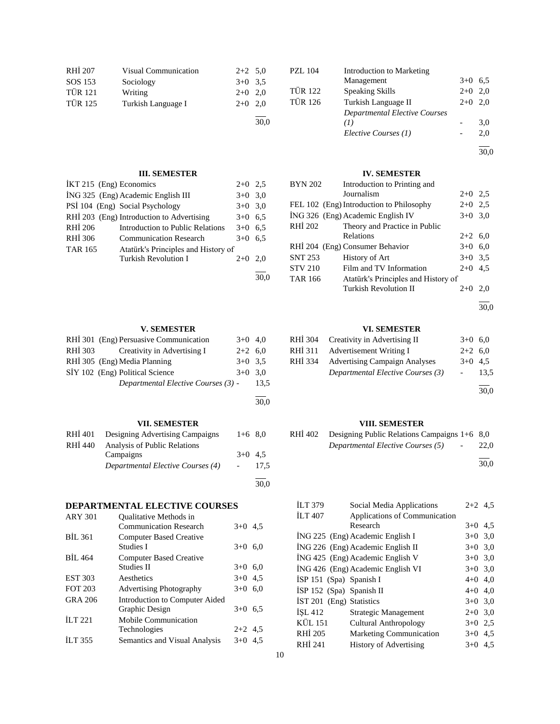| RHİ 207        | <b>Visual Communication</b> | $2+2$ 5.0 |      |
|----------------|-----------------------------|-----------|------|
| SOS 153        | Sociology                   | $3+0$ 3.5 |      |
| <b>TÜR 121</b> | Writing                     | $2+0$ 2.0 |      |
| <b>TÜR 125</b> | Turkish Language I          | $2+0$ 2.0 |      |
|                |                             |           | 30,0 |

# **III. SEMESTER**

| IKT 215 (Eng) Economics |                                           | $2+0$ | 2.5 |
|-------------------------|-------------------------------------------|-------|-----|
|                         | ING 325 (Eng) Academic English III        | $3+0$ | 3,0 |
|                         | PSİ 104 (Eng) Social Psychology           | $3+0$ | 3,0 |
|                         | RHİ 203 (Eng) Introduction to Advertising | $3+0$ | 6,5 |
| RHI 206                 | Introduction to Public Relations          | $3+0$ | 6,5 |
| RHI 306                 | <b>Communication Research</b>             | $3+0$ | 6.5 |
| <b>TAR 165</b>          | Atatürk's Principles and History of       |       |     |
|                         | <b>Turkish Revolution I</b>               | $2+0$ | 2.0 |
|                         |                                           |       |     |

# **V. SEMESTER**

|         | RHI 301 (Eng) Persuasive Communication | $3+0$ 4.0 |      |
|---------|----------------------------------------|-----------|------|
| RHI 303 | Creativity in Advertising I            | $2+2$ 6.0 |      |
|         | RHİ 305 (Eng) Media Planning           | $3+0$ 3.5 |      |
|         | SİY 102 (Eng) Political Science        | $3+0$ 3.0 |      |
|         | Departmental Elective Courses (3) -    |           | 13.5 |

# **VII. SEMESTER**

| RHI 401 | Designing Advertising Campaigns   | $1+6$ 8.0 |      |
|---------|-----------------------------------|-----------|------|
| RHI 440 | Analysis of Public Relations      |           |      |
|         | Campaigns                         | $3+0$ 4.5 |      |
|         | Departmental Elective Courses (4) |           | 17.5 |
|         |                                   |           |      |
|         |                                   |           | 30.0 |

# **DEPARTMENTAL ELECTIVE COURSES**

| <b>ARY 301</b> | <b>Oualitative Methods in</b><br><b>Communication Research</b> | $3+0$ 4.5 |  |
|----------------|----------------------------------------------------------------|-----------|--|
| <b>BIL 361</b> | <b>Computer Based Creative</b><br>Studies I                    | $3+0$ 6.0 |  |
| BIL 464        | <b>Computer Based Creative</b><br><b>Studies II</b>            | $3+0$ 6.0 |  |
| <b>EST 303</b> | Aesthetics                                                     | $3+0$ 4.5 |  |
| <b>FOT 203</b> | <b>Advertising Photography</b>                                 | $3+0$ 6,0 |  |
| GRA 206        | Introduction to Computer Aided<br>Graphic Design               | $3+0$ 6.5 |  |
| ILT 221        | Mobile Communication<br>Technologies                           | $2+2$ 4.5 |  |
| <b>ILT 355</b> | Semantics and Visual Analysis                                  | $3+0$ 4.5 |  |

| <b>PZL 104</b> | <b>Introduction to Marketing</b> |           |     |
|----------------|----------------------------------|-----------|-----|
|                | Management                       | $3+0$     | 6.5 |
| <b>TÜR 122</b> | <b>Speaking Skills</b>           | $2+0$     | 2.0 |
| <b>TÜR 126</b> | Turkish Language II              | $2+0$ 2.0 |     |
|                | Departmental Elective Courses    |           |     |
|                | (I)                              |           | 3,0 |
|                | Elective Courses (1)             |           | 2,0 |
|                |                                  |           |     |

30,0

# **IV. SEMESTER**

| <b>BYN 202</b> | Introduction to Printing and             |           |     |
|----------------|------------------------------------------|-----------|-----|
|                | Journalism                               | $2+0$ 2.5 |     |
|                | FEL 102 (Eng) Introduction to Philosophy | $2+0$ 2.5 |     |
|                | İNG 326 (Eng) Academic English IV        | $3+0$ 3.0 |     |
| <b>RHİ 202</b> | Theory and Practice in Public            |           |     |
|                | Relations                                | $2+2$ 6,0 |     |
|                | RHİ 204 (Eng) Consumer Behavior          | $3+0$ 6.0 |     |
| <b>SNT 253</b> | History of Art                           | $3+0$ 3.5 |     |
| <b>STV 210</b> | Film and TV Information                  | $2+0$ 4.5 |     |
| <b>TAR 166</b> | Atatürk's Principles and History of      |           |     |
|                | <b>Turkish Revolution II</b>             | $2+0$     | 2.0 |

l 30,0

# **VI. SEMESTER**

| RHI 304 | Creativity in Advertising II         | $3+0$ 6.0 |      |
|---------|--------------------------------------|-----------|------|
| RHI 311 | Advertisement Writing I              | $2+2$ 6.0 |      |
| RHI 334 | <b>Advertising Campaign Analyses</b> | $3+0$ 4.5 |      |
|         | Departmental Elective Courses (3)    |           | 13.5 |
|         |                                      |           |      |

30,0

# **VIII. SEMESTER**

| RHI 402 | Designing Public Relations Campaigns $1+6$ 8,0 |      |  |
|---------|------------------------------------------------|------|--|
|         | Departmental Elective Courses (5)<br>$\sim$    | 22,0 |  |
|         |                                                |      |  |

30,0

| <b>ILT 379</b>             | Social Media Applications         | $2+2$ 4.5 |     |
|----------------------------|-----------------------------------|-----------|-----|
| <b>ILT 407</b>             | Applications of Communication     |           |     |
|                            | Research                          | $3+0$ 4.5 |     |
|                            | ING 225 (Eng) Academic English I  | $3+0$ 3,0 |     |
|                            | ING 226 (Eng) Academic English II | $3+0$ 3,0 |     |
|                            | ING 425 (Eng) Academic English V  | $3+0$ 3,0 |     |
|                            | ING 426 (Eng) Academic English VI | $3+0$ 3,0 |     |
| İSP 151 (Spa) Spanish I    |                                   | $4+0$ 4.0 |     |
| $ISP$ 152 (Spa) Spanish II |                                   | $4+0$ 4.0 |     |
| IST 201 (Eng) Statistics   |                                   | $3+0$ 3,0 |     |
| ISL 412                    | Strategic Management              | $2+0$ 3,0 |     |
| <b>KÜL 151</b>             | Cultural Anthropology             | $3+0$ 2.5 |     |
| <b>RHI 205</b>             | Marketing Communication           | $3+0$ 4.5 |     |
| RHI 241                    | <b>History of Advertising</b>     | $3+0$     | 4.5 |
|                            |                                   |           |     |

l 30,0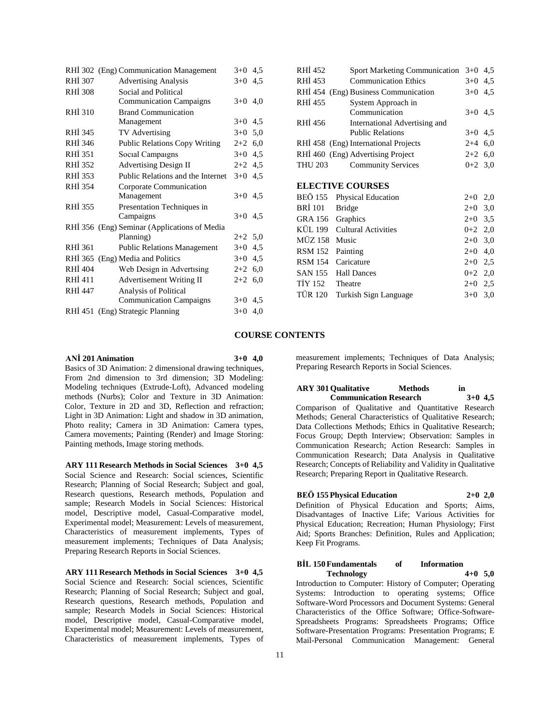|                | RHİ 302 (Eng) Communication Management       | $3+0$     | 4.5 |
|----------------|----------------------------------------------|-----------|-----|
| RHI 307        | <b>Advertising Analysis</b>                  | $3+0$     | 4,5 |
| <b>RHI 308</b> | Social and Political                         |           |     |
|                | <b>Communication Campaigns</b>               | $3+0$     | 4,0 |
| <b>RHI 310</b> | <b>Brand Communication</b>                   |           |     |
|                | Management                                   | $3+0$     | 4,5 |
| RHI 345        | TV Advertising                               | $3+0$     | 5,0 |
| RHI 346        | <b>Public Relations Copy Writing</b>         | $2+2$ 6,0 |     |
| <b>RHI 351</b> | Social Campaigns                             | $3+0$     | 4,5 |
| RHI 352        | <b>Advertising Design II</b>                 | $2+2$     | 4,5 |
| RHI 353        | Public Relations and the Internet            | $3+0$     | 4,5 |
| RHI 354        | Corporate Communication                      |           |     |
|                | Management                                   | $3+0$ 4.5 |     |
| RHI 355        | Presentation Techniques in                   |           |     |
|                | Campaigns                                    | $3+0$ 4.5 |     |
|                | RHİ 356 (Eng) Seminar (Applications of Media |           |     |
|                | Planning)                                    | $2+2$ 5,0 |     |
| RHI 361        | <b>Public Relations Management</b>           | $3+0$     | 4,5 |
|                | RHI 365 (Eng) Media and Politics             | $3+0$ 4.5 |     |
| <b>RHI 404</b> | Web Design in Advertising                    | $2+2$ 6,0 |     |
| RHİ 411        | Advertisement Writing II                     | $2+2$ 6,0 |     |
| RHI 447        | Analysis of Political                        |           |     |
|                | <b>Communication Campaigns</b>               | $3+0$     | 4,5 |
|                | RHİ 451 (Eng) Strategic Planning             | $3+0$     | 4,0 |
|                |                                              |           |     |

| RHI 452                 | <b>Sport Marketing Communication</b> | $3+0$     | 4,5 |
|-------------------------|--------------------------------------|-----------|-----|
| RHI 453                 | <b>Communication Ethics</b>          | $3+0$     | 4,5 |
|                         | RHİ 454 (Eng) Business Communication | $3+0$ 4.5 |     |
| RHİ 455                 | System Approach in                   |           |     |
|                         | Communication                        | $3+0$ 4.5 |     |
| RHI 456                 | International Advertising and        |           |     |
|                         | <b>Public Relations</b>              | $3+0$ 4,5 |     |
|                         | RHI 458 (Eng) International Projects | $2+4$ 6,0 |     |
|                         | RHI 460 (Eng) Advertising Project    | $2+2$ 6,0 |     |
| THU 203                 | <b>Community Services</b>            | $0+2$ 3,0 |     |
|                         |                                      |           |     |
| <b>ELECTIVE COURSES</b> |                                      |           |     |
| BEÖ 155                 | <b>Physical Education</b>            | $2+0$     | 2,0 |
| <b>BRİ</b> 101          | <b>Bridge</b>                        | $2+0$ 3,0 |     |
| GRA 156                 | Graphics                             | $2+0$ 3,5 |     |
| KÜL 199                 | <b>Cultural Activities</b>           | $0+2$ 2,0 |     |
| MÜZ 158                 | Music                                | $2+0$ 3,0 |     |
| <b>RSM 152</b>          | Painting                             | $2+0$     | 4,0 |
| <b>RSM 154</b>          | Caricature                           | $2+0$     | 2,5 |
| SAN 155                 | <b>Hall Dances</b>                   | $0 + 2$   | 2,0 |
| TİY 152                 | Theatre                              | $2+0$ 2,5 |     |
| TÜR 120                 | Turkish Sign Language                | $3+0$     | 3,0 |
|                         |                                      |           |     |

### **COURSE CONTENTS**

#### **ANİ 201 Animation 3+0 4,0**

Basics of 3D Animation: 2 dimensional drawing techniques, From 2nd dimension to 3rd dimension; 3D Modeling: Modeling techniques (Extrude-Loft), Advanced modeling methods (Nurbs); Color and Texture in 3D Animation: Color, Texture in 2D and 3D, Reflection and refraction; Light in 3D Animation: Light and shadow in 3D animation, Photo reality; Camera in 3D Animation: Camera types, Camera movements; Painting (Render) and Image Storing: Painting methods, Image storing methods.

**ARY 111 Research Methods in Social Sciences 3+0 4,5** Social Science and Research: Social sciences, Scientific Research; Planning of Social Research; Subject and goal, Research questions, Research methods, Population and sample; Research Models in Social Sciences: Historical model, Descriptive model, Casual-Comparative model, Experimental model; Measurement: Levels of measurement, Characteristics of measurement implements, Types of measurement implements; Techniques of Data Analysis; Preparing Research Reports in Social Sciences.

**ARY 111 Research Methods in Social Sciences 3+0 4,5** Social Science and Research: Social sciences, Scientific Research; Planning of Social Research; Subject and goal, Research questions, Research methods, Population and sample; Research Models in Social Sciences: Historical model, Descriptive model, Casual-Comparative model, Experimental model; Measurement: Levels of measurement, Characteristics of measurement implements, Types of

measurement implements; Techniques of Data Analysis; Preparing Research Reports in Social Sciences.

# **ARY 301 Qualitative Methods in**

**Communication Research 3+0 4,5** Comparison of Qualitative and Quantitative Research Methods; General Characteristics of Qualitative Research; Data Collections Methods; Ethics in Qualitative Research; Focus Group; Depth Interview; Observation: Samples in Communication Research; Action Research: Samples in Communication Research; Data Analysis in Qualitative Research; Concepts of Reliability and Validity in Qualitative Research; Preparing Report in Qualitative Research.

# **BEÖ 155 Physical Education 2+0 2,0**

Definition of Physical Education and Sports; Aims, Disadvantages of Inactive Life; Various Activities for Physical Education; Recreation; Human Physiology; First Aid; Sports Branches: Definition, Rules and Application; Keep Fit Programs.

### **BİL 150 Fundamentals of Information Technology 4+0 5,0**

Introduction to Computer: History of Computer; Operating Systems: Introduction to operating systems; Office Software-Word Processors and Document Systems: General Characteristics of the Office Software; Office-Software-Spreadsheets Programs: Spreadsheets Programs; Office Software-Presentation Programs: Presentation Programs; E Mail-Personal Communication Management: General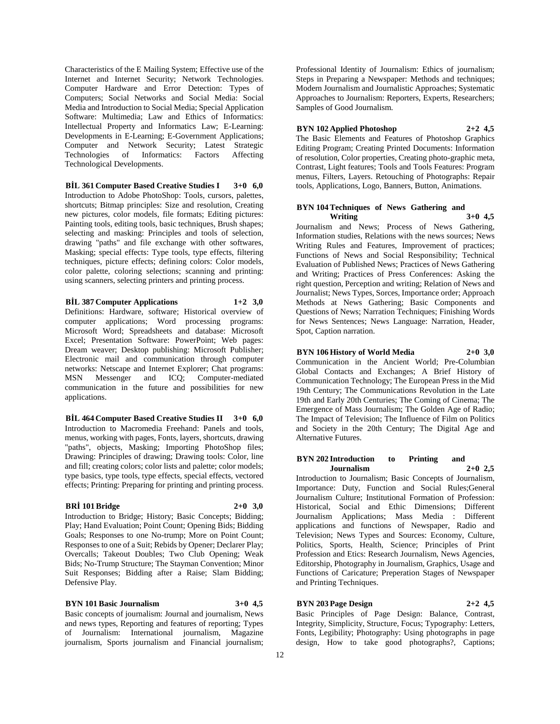Characteristics of the E Mailing System; Effective use of the Internet and Internet Security; Network Technologies. Computer Hardware and Error Detection: Types of Computers; Social Networks and Social Media: Social Media and Introduction to Social Media; Special Application Software: Multimedia; Law and Ethics of Informatics: Intellectual Property and Informatics Law; E-Learning: Developments in E-Learning; E-Government Applications; Computer and Network Security; Latest Strategic Technologies of Informatics: Factors Affecting Technological Developments.

**BİL 361 Computer Based Creative Studies I 3+0 6,0** Introduction to Adobe PhotoShop: Tools, cursors, palettes, shortcuts; Bitmap principles: Size and resolution, Creating new pictures, color models, file formats; Editing pictures: Painting tools, editing tools, basic techniques, Brush shapes; selecting and masking: Principles and tools of selection, drawing "paths" and file exchange with other softwares, Masking; special effects: Type tools, type effects, filtering techniques, picture effects; defining colors: Color models, color palette, coloring selections; scanning and printing: using scanners, selecting printers and printing process.

**BİL 387 Computer Applications 1+2 3,0** Definitions: Hardware, software; Historical overview of computer applications; Word processing programs: Microsoft Word; Spreadsheets and database: Microsoft Excel; Presentation Software: PowerPoint; Web pages: Dream weaver; Desktop publishing: Microsoft Publisher; Electronic mail and communication through computer networks: Netscape and Internet Explorer; Chat programs: MSN Messenger and ICQ; Computer-mediated communication in the future and possibilities for new applications.

**BİL 464 Computer Based Creative Studies II 3+0 6,0** Introduction to Macromedia Freehand: Panels and tools, menus, working with pages, Fonts, layers, shortcuts, drawing "paths", objects, Masking; Importing PhotoShop files; Drawing: Principles of drawing; Drawing tools: Color, line and fill; creating colors; color lists and palette; color models; type basics, type tools, type effects, special effects, vectored effects; Printing: Preparing for printing and printing process.

### **BRİ 101 Bridge 2+0 3,0**

Introduction to Bridge; History; Basic Concepts; Bidding; Play; Hand Evaluation; Point Count; Opening Bids; Bidding Goals; Responses to one No-trump; More on Point Count; Responses to one of a Suit; Rebids by Opener; Declarer Play; Overcalls; Takeout Doubles; Two Club Opening; Weak Bids; No-Trump Structure; The Stayman Convention; Minor Suit Responses; Bidding after a Raise; Slam Bidding; Defensive Play.

### **BYN 101 Basic Journalism 3+0 4,5**

Basic concepts of journalism: Journal and journalism, News and news types, Reporting and features of reporting; Types of Journalism: International journalism, Magazine journalism, Sports journalism and Financial journalism; Professional Identity of Journalism: Ethics of journalism; Steps in Preparing a Newspaper: Methods and techniques; Modern Journalism and Journalistic Approaches; Systematic Approaches to Journalism: Reporters, Experts, Researchers; Samples of Good Journalism.

**BYN 102 Applied Photoshop 2+2 4,5** The Basic Elements and Features of Photoshop Graphics Editing Program; Creating Printed Documents: Information of resolution, Color properties, Creating photo-graphic meta, Contrast, Light features; Tools and Tools Features: Program menus, Filters, Layers. Retouching of Photographs: Repair tools, Applications, Logo, Banners, Button, Animations.

### **BYN 104 Techniques of News Gathering and Writing 3+0 4,5**

Journalism and News; Process of News Gathering, Information studies, Relations with the news sources; News Writing Rules and Features, Improvement of practices; Functions of News and Social Responsibility; Technical Evaluation of Published News; Practices of News Gathering and Writing; Practices of Press Conferences: Asking the right question, Perception and writing; Relation of News and Journalist; News Types, Sorces, Importance order; Approach Methods at News Gathering; Basic Components and Questions of News; Narration Techniques; Finishing Words for News Sentences; News Language: Narration, Header, Spot, Caption narration.

# **BYN 106 History of World Media 2+0 3,0**

Communication in the Ancient World; Pre-Columbian Global Contacts and Exchanges; A Brief History of Communication Technology; The European Press in the Mid 19th Century; The Communications Revolution in the Late 19th and Early 20th Centuries; The Coming of Cinema; The Emergence of Mass Journalism; The Golden Age of Radio; The Impact of Television; The Influence of Film on Politics and Society in the 20th Century; The Digital Age and Alternative Futures.

### **BYN 202 Introduction to Printing and Journalism 2+0 2,5**

Introduction to Journalism; Basic Concepts of Journalism, Importance: Duty, Function and Social Rules;General Journalism Culture; Institutional Formation of Profession: Historical, Social and Ethic Dimensions; Different Journalism Applications; Mass Media : Different applications and functions of Newspaper, Radio and Television; News Types and Sources: Economy, Culture, Politics, Sports, Health, Science; Principles of Print Profession and Etics: Research Journalism, News Agencies, Editorship, Photography in Journalism, Graphics, Usage and Functions of Caricature; Preperation Stages of Newspaper and Printing Techniques.

# **BYN 203 Page Design 2+2 4,5**

Basic Principles of Page Design: Balance, Contrast, Integrity, Simplicity, Structure, Focus; Typography: Letters, Fonts, Legibility; Photography: Using photographs in page design, How to take good photographs?, Captions;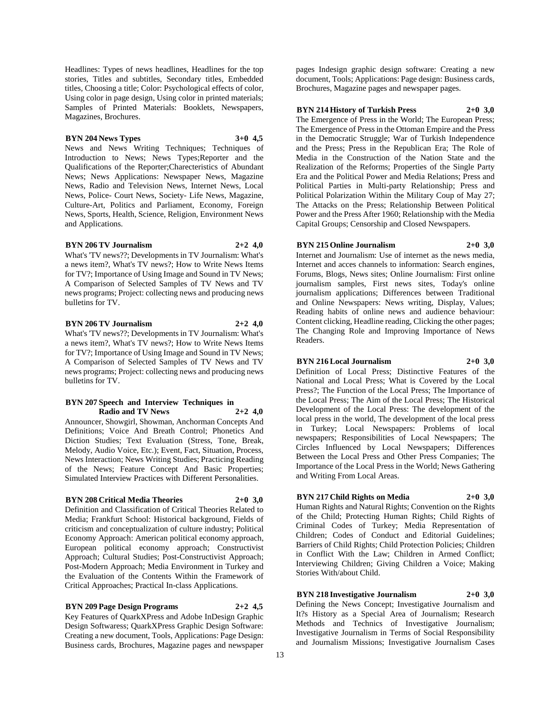Headlines: Types of news headlines, Headlines for the top stories, Titles and subtitles, Secondary titles, Embedded titles, Choosing a title; Color: Psychological effects of color, Using color in page design, Using color in printed materials; Samples of Printed Materials: Booklets, Newspapers, Magazines, Brochures.

# **BYN 204 News Types 3+0 4,5**

News and News Writing Techniques; Techniques of Introduction to News; News Types;Reporter and the Qualifications of the Reporter;Charecteristics of Abundant News; News Applications: Newspaper News, Magazine News, Radio and Television News, Internet News, Local News, Police- Court News, Society- Life News, Magazine, Culture-Art, Politics and Parliament, Economy, Foreign News, Sports, Health, Science, Religion, Environment News and Applications.

### **BYN 206 TV Journalism 2+2 4,0**

What's 'TV news??; Developments in TV Journalism: What's a news item?, What's TV news?; How to Write News Items for TV?; Importance of Using Image and Sound in TV News; A Comparison of Selected Samples of TV News and TV news programs; Project: collecting news and producing news bulletins for TV.

## **BYN 206 TV Journalism 2+2 4,0**

What's 'TV news??; Developments in TV Journalism: What's a news item?, What's TV news?; How to Write News Items for TV?; Importance of Using Image and Sound in TV News; A Comparison of Selected Samples of TV News and TV news programs; Project: collecting news and producing news bulletins for TV.

### **BYN 207 Speech and Interview Techniques in Radio and TV News 2+2 4,0**

Announcer, Showgirl, Showman, Anchorman Concepts And Definitions; Voice And Breath Control; Phonetics And Diction Studies; Text Evaluation (Stress, Tone, Break, Melody, Audio Voice, Etc.); Event, Fact, Situation, Process, News Interaction; News Writing Studies; Practicing Reading of the News; Feature Concept And Basic Properties; Simulated Interview Practices with Different Personalities.

# **BYN 208 Critical Media Theories 2+0 3,0**

Definition and Classification of Critical Theories Related to Media; Frankfurt School: Historical background, Fields of criticism and conceptualization of culture industry; Political Economy Approach: American political economy approach, European political economy approach; Constructivist Approach; Cultural Studies; Post-Constructivist Approach; Post-Modern Approach; Media Environment in Turkey and the Evaluation of the Contents Within the Framework of Critical Approaches; Practical In-class Applications.

**BYN 209 Page Design Programs 2+2 4,5** Key Features of QuarkXPress and Adobe InDesign Graphic Design Softwaress; QuarkXPress Graphic Design Software: Creating a new document, Tools, Applications: Page Design: Business cards, Brochures, Magazine pages and newspaper

pages Indesign graphic design software: Creating a new document, Tools; Applications: Page design: Business cards, Brochures, Magazine pages and newspaper pages.

### **BYN 214 History of Turkish Press 2+0 3,0**

The Emergence of Press in the World; The European Press; The Emergence of Press in the Ottoman Empire and the Press in the Democratic Struggle; War of Turkish Independence and the Press; Press in the Republican Era; The Role of Media in the Construction of the Nation State and the Realization of the Reforms; Properties of the Single Party Era and the Political Power and Media Relations; Press and Political Parties in Multi-party Relationship; Press and Political Polarization Within the Military Coup of May 27; The Attacks on the Press; Relationship Between Political Power and the Press After 1960; Relationship with the Media Capital Groups; Censorship and Closed Newspapers.

# **BYN 215 Online Journalism 2+0 3,0**

Internet and Journalism: Use of internet as the news media, Internet and acces channels to information: Search engines, Forums, Blogs, News sites; Online Journalism: First online journalism samples, First news sites, Today's online journalism applications; Differences between Traditional and Online Newspapers: News writing, Display, Values; Reading habits of online news and audience behaviour: Content clicking, Headline reading, Clicking the other pages; The Changing Role and Improving Importance of News Readers.

#### **BYN 216 Local Journalism 2+0 3,0**

Definition of Local Press; Distinctive Features of the National and Local Press; What is Covered by the Local Press?; The Function of the Local Press; The Importance of the Local Press; The Aim of the Local Press; The Historical Development of the Local Press: The development of the local press in the world, The development of the local press in Turkey; Local Newspapers: Problems of local newspapers; Responsibilities of Local Newspapers; The Circles Influenced by Local Newspapers; Differences Between the Local Press and Other Press Companies; The Importance of the Local Press in the World; News Gathering and Writing From Local Areas.

# **BYN 217 Child Rights on Media 2+0 3,0**

Human Rights and Natural Rights; Convention on the Rights of the Child; Protecting Human Rights; Child Rights of Criminal Codes of Turkey; Media Representation of Children; Codes of Conduct and Editorial Guidelines; Barriers of Child Rights; Child Protection Policies; Children in Conflict With the Law; Children in Armed Conflict; Interviewing Children; Giving Children a Voice; Making Stories With/about Child.

# **BYN 218 Investigative Journalism 2+0 3,0**

Defining the News Concept; Investigative Journalism and It?s History as a Special Area of Journalism; Research Methods and Technics of Investigative Journalism; Investigative Journalism in Terms of Social Responsibility and Journalism Missions; Investigative Journalism Cases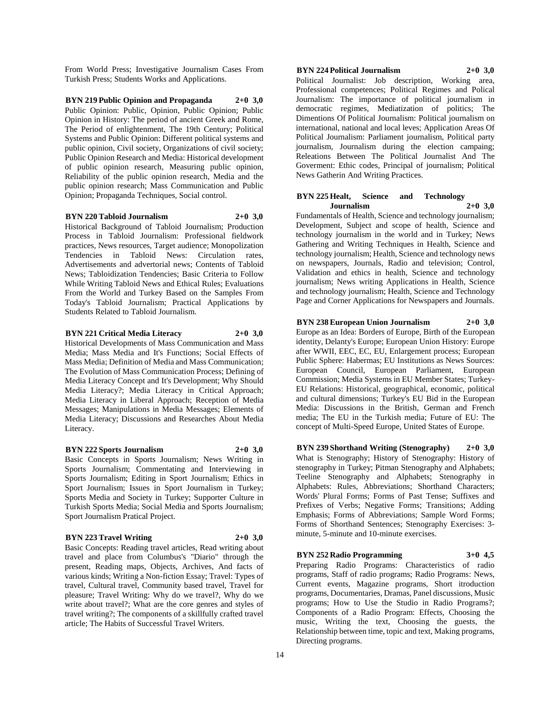From World Press; Investigative Journalism Cases From Turkish Press; Students Works and Applications.

**BYN 219 Public Opinion and Propaganda 2+0 3,0** Public Opinion: Public, Opinion, Public Opinion; Public Opinion in History: The period of ancient Greek and Rome, The Period of enlightenment, The 19th Century; Political Systems and Public Opinion: Different political systems and public opinion, Civil society, Organizations of civil society; Public Opinion Research and Media: Historical development of public opinion research, Measuring public opinion, Reliability of the public opinion research, Media and the public opinion research; Mass Communication and Public Opinion; Propaganda Techniques, Social control.

#### **BYN 220 Tabloid Journalism 2+0 3,0**

Historical Background of Tabloid Journalism; Production Process in Tabloid Journalism: Professional fieldwork practices, News resources, Target audience; Monopolization Tendencies in Tabloid News: Circulation rates, Advertisements and advertorial news; Contents of Tabloid News; Tabloidization Tendencies; Basic Criteria to Follow While Writing Tabloid News and Ethical Rules; Evaluations From the World and Turkey Based on the Samples From Today's Tabloid Journalism; Practical Applications by Students Related to Tabloid Journalism.

### **BYN 221 Critical Media Literacy 2+0 3,0**

Historical Developments of Mass Communication and Mass Media; Mass Media and It's Functions; Social Effects of Mass Media; Definition of Media and Mass Communication; The Evolution of Mass Communication Process; Defining of Media Literacy Concept and It's Development; Why Should Media Literacy?; Media Literacy in Critical Approach; Media Literacy in Liberal Approach; Reception of Media Messages; Manipulations in Media Messages; Elements of Media Literacy; Discussions and Researches About Media Literacy.

### **BYN 222 Sports Journalism 2+0 3,0**

Basic Concepts in Sports Journalism; News Writing in Sports Journalism; Commentating and Interviewing in Sports Journalism; Editing in Sport Journalism; Ethics in Sport Journalism; Issues in Sport Journalism in Turkey; Sports Media and Society in Turkey; Supporter Culture in Turkish Sports Media; Social Media and Sports Journalism; Sport Journalism Pratical Project.

#### **BYN 223 Travel Writing 2+0 3,0**

Basic Concepts: Reading travel articles, Read writing about travel and place from Columbus's "Diario" through the present, Reading maps, Objects, Archives, And facts of various kinds; Writing a Non-fiction Essay; Travel: Types of travel, Cultural travel, Community based travel, Travel for pleasure; Travel Writing: Why do we travel?, Why do we write about travel?; What are the core genres and styles of travel writing?; The components of a skillfully crafted travel article; The Habits of Successful Travel Writers.

# **BYN 224 Political Journalism 2+0 3,0**

Political Journalist: Job description, Working area, Professional competences; Political Regimes and Polical Journalism: The importance of political journalism in democratic regimes, Mediatization of politics; The Dimentions Of Political Journalism: Political journalism on international, national and local leves; Application Areas Of Political Journalism: Parliament journalism, Political party journalism, Journalism during the election campaing; Releations Between The Political Journalist And The Goverment: Ethic codes, Principal of journalism; Political News Gatherin And Writing Practices.

### **BYN 225 Healt, Science and Technology Journalism 2+0 3,0**

Fundamentals of Health, Science and technology journalism; Development, Subject and scope of health, Science and technology journalism in the world and in Turkey; News Gathering and Writing Techniques in Health, Science and technology journalism; Health, Science and technology news on newspapers, Journals, Radio and television; Control, Validation and ethics in health, Science and technology journalism; News writing Applications in Health, Science and technology journalism; Health, Science and Technology Page and Corner Applications for Newspapers and Journals.

### **BYN 238 European Union Journalism 2+0 3,0**

Europe as an Idea: Borders of Europe, Birth of the European identity, Delanty's Europe; European Union History: Europe after WWII, EEC, EC, EU, Enlargement process; European Public Sphere: Habermas; EU Institutions as News Sources: European Council, European Parliament, European Commission; Media Systems in EU Member States; Turkey-EU Relations: Historical, geographical, economic, political and cultural dimensions; Turkey's EU Bid in the European Media: Discussions in the British, German and French media; The EU in the Turkish media; Future of EU: The concept of Multi-Speed Europe, United States of Europe.

**BYN 239 Shorthand Writing (Stenography) 2+0 3,0** What is Stenography; History of Stenography: History of stenography in Turkey; Pitman Stenography and Alphabets; Teeline Stenography and Alphabets; Stenography in Alphabets: Rules, Abbreviations; Shorthand Characters; Words' Plural Forms; Forms of Past Tense; Suffixes and Prefixes of Verbs; Negative Forms; Transitions; Adding Emphasis; Forms of Abbreviations; Sample Word Forms; Forms of Shorthand Sentences; Stenography Exercises: 3 minute, 5-minute and 10-minute exercises.

**BYN 252 Radio Programming 3+0 4,5** Preparing Radio Programs: Characteristics of radio programs, Staff of radio programs; Radio Programs: News, Current events, Magazine programs, Short itroduction programs, Documentaries, Dramas, Panel discussions, Music programs; How to Use the Studio in Radio Programs?; Components of a Radio Program: Effects, Choosing the music, Writing the text, Choosing the guests, the Relationship between time, topic and text, Making programs, Directing programs.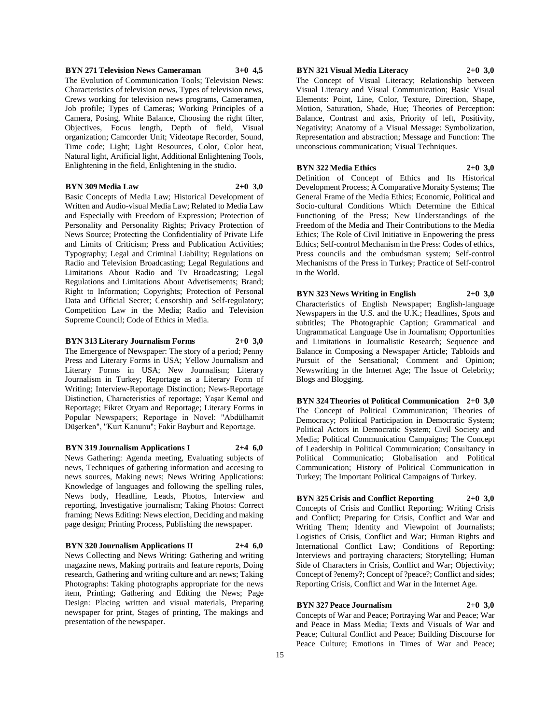# **BYN 271 Television News Cameraman 3+0 4,5**

The Evolution of Communication Tools; Television News: Characteristics of television news, Types of television news, Crews working for television news programs, Cameramen, Job profile; Types of Cameras; Working Principles of a Camera, Posing, White Balance, Choosing the right filter, Objectives, Focus length, Depth of field, Visual organization; Camcorder Unit; Videotape Recorder, Sound, Time code; Light; Light Resources, Color, Color heat, Natural light, Artificial light, Additional Enlightening Tools, Enlightening in the field, Enlightening in the studio.

# **BYN 309 Media Law 2+0 3,0**

Basic Concepts of Media Law; Historical Development of Written and Audio-visual Media Law; Related to Media Law and Especially with Freedom of Expression; Protection of Personality and Personality Rights; Privacy Protection of News Source; Protecting the Confidentiality of Private Life and Limits of Criticism; Press and Publication Activities; Typography; Legal and Criminal Liability; Regulations on Radio and Television Broadcasting; Legal Regulations and Limitations About Radio and Tv Broadcasting; Legal Regulations and Limitations About Advetisements; Brand; Right to Information; Copyrights; Protection of Personal Data and Official Secret; Censorship and Self-regulatory; Competition Law in the Media; Radio and Television Supreme Council; Code of Ethics in Media.

## **BYN 313 Literary Journalism Forms 2+0 3,0**

The Emergence of Newspaper: The story of a period; Penny Press and Literary Forms in USA; Yellow Journalism and Literary Forms in USA; New Journalism; Literary Journalism in Turkey; Reportage as a Literary Form of Writing; Interview-Reportage Distinction; News-Reportage Distinction, Characteristics of reportage; Yaşar Kemal and Reportage; Fikret Otyam and Reportage; Literary Forms in Popular Newspapers; Reportage in Novel: "Abdülhamit Düşerken", "Kurt Kanunu"; Fakir Bayburt and Reportage.

### **BYN 319 Journalism Applications I 2+4 6,0**

News Gathering: Agenda meeting, Evaluating subjects of news, Techniques of gathering information and accesing to news sources, Making news; News Writing Applications: Knowledge of languages and following the spelling rules, News body, Headline, Leads, Photos, Interview and reporting, Investigative journalism; Taking Photos: Correct framing; News Editing: News election, Deciding and making page design; Printing Process, Publishing the newspaper.

### **BYN 320 Journalism Applications II 2+4 6,0**

News Collecting and News Writing: Gathering and writing magazine news, Making portraits and feature reports, Doing research, Gathering and writing culture and art news; Taking Photographs: Taking photographs appropriate for the news item, Printing; Gathering and Editing the News; Page Design: Placing written and visual materials, Preparing newspaper for print, Stages of printing, The makings and presentation of the newspaper.

### **BYN 321 Visual Media Literacy 2+0 3,0**

The Concept of Visual Literacy; Relationship between Visual Literacy and Visual Communication; Basic Visual Elements: Point, Line, Color, Texture, Direction, Shape, Motion, Saturation, Shade, Hue; Theories of Perception: Balance, Contrast and axis, Priority of left, Positivity, Negativity; Anatomy of a Visual Message: Symbolization, Representation and abstraction; Message and Function: The unconscious communication; Visual Techniques.

# **BYN 322 Media Ethics 2+0 3,0**

Definition of Concept of Ethics and Its Historical Development Process; A Comparative Moraity Systems; The General Frame of the Media Ethics; Economic, Political and Socio-cultural Conditions Which Determine the Ethical Functioning of the Press; New Understandings of the Freedom of the Media and Their Contributions to the Media Ethics; The Role of Civil Initiative in Enpowering the press Ethics; Self-control Mechanism in the Press: Codes of ethics, Press councils and the ombudsman system; Self-control Mechanisms of the Press in Turkey; Practice of Self-control in the World.

**BYN 323 News Writing in English 2+0 3,0** Characteristics of English Newspaper; English-language Newspapers in the U.S. and the U.K.; Headlines, Spots and subtitles; The Photographic Caption; Grammatical and Ungrammatical Language Use in Journalism; Opportunities and Limitations in Journalistic Research; Sequence and Balance in Composing a Newspaper Article; Tabloids and Pursuit of the Sensational; Comment and Opinion; Newswriting in the Internet Age; The Issue of Celebrity; Blogs and Blogging.

**BYN 324 Theories of Political Communication 2+0 3,0** The Concept of Political Communication; Theories of Democracy; Political Participation in Democratic System; Political Actors in Democratic System; Civil Society and Media; Political Communication Campaigns; The Concept of Leadership in Political Communication; Consultancy in Political Communicatio; Globalisation and Political Communication; History of Political Communication in Turkey; The Important Political Campaigns of Turkey.

# **BYN 325 Crisis and Conflict Reporting 2+0 3,0** Concepts of Crisis and Conflict Reporting; Writing Crisis and Conflict; Preparing for Crisis, Conflict and War and Writing Them; Identity and Viewpoint of Journalists; Logistics of Crisis, Conflict and War; Human Rights and International Conflict Law; Conditions of Reporting: Interviews and portraying characters; Storytelling; Human Side of Characters in Crisis, Conflict and War; Objectivity; Concept of ?enemy?; Concept of ?peace?; Conflict and sides; Reporting Crisis, Conflict and War in the Internet Age.

#### **BYN 327 Peace Journalism 2+0 3,0**

Concepts of War and Peace; Portraying War and Peace; War and Peace in Mass Media; Texts and Visuals of War and Peace; Cultural Conflict and Peace; Building Discourse for Peace Culture; Emotions in Times of War and Peace;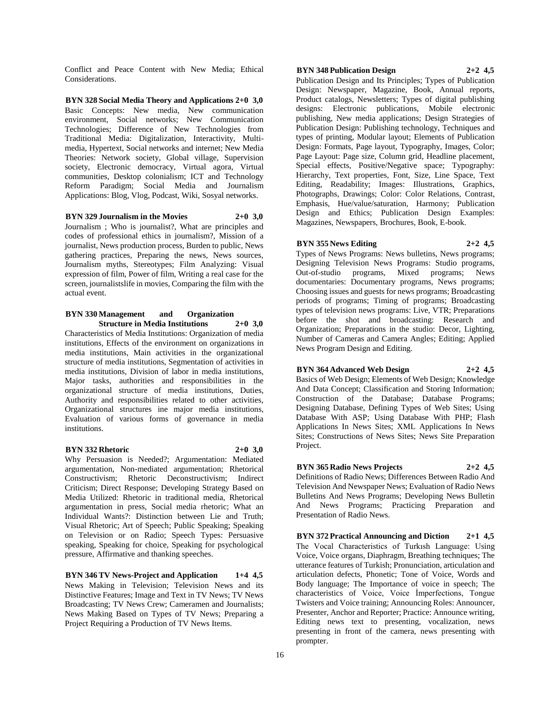Conflict and Peace Content with New Media; Ethical Considerations.

**BYN 328 Social Media Theory and Applications 2+0 3,0** Basic Concepts: New media, New communication environment, Social networks; New Communication Technologies; Difference of New Technologies from Traditional Media: Digitalization, Interactivity, Multimedia, Hypertext, Social networks and internet; New Media Theories: Network society, Global village, Supervision society, Electronic democracy, Virtual agora, Virtual communities, Desktop colonialism; ICT and Technology Reform Paradigm; Social Media and Journalism Applications: Blog, Vlog, Podcast, Wiki, Sosyal networks.

**BYN 329 Journalism in the Movies 2+0 3,0** Journalism ; Who is journalist?, What are principles and codes of professional ethics in journalism?, Mission of a journalist, News production process, Burden to public, News gathering practices, Preparing the news, News sources, Journalism myths, Stereotypes; Film Analyzing: Visual expression of film, Power of film, Writing a real case for the screen, journalistslife in movies, Comparing the film with the actual event.

#### **BYN 330 Management and Organization Structure in Media Institutions 2+0 3,0**

Characteristics of Media Institutions: Organization of media institutions, Effects of the environment on organizations in media institutions, Main activities in the organizational structure of media institutions, Segmentation of activities in media institutions, Division of labor in media institutions, Major tasks, authorities and responsibilities in the organizational structure of media institutions, Duties, Authority and responsibilities related to other activities, Organizational structures ine major media institutions, Evaluation of various forms of governance in media institutions.

# **BYN 332 Rhetoric 2+0 3,0**

Why Persuasion is Needed?; Argumentation: Mediated argumentation, Non-mediated argumentation; Rhetorical Constructivism; Rhetoric Deconstructivism; Indirect Criticism; Direct Response; Developing Strategy Based on Media Utilized: Rhetoric in traditional media, Rhetorical argumentation in press, Social media rhetoric; What an Individual Wants?: Distinction between Lie and Truth; Visual Rhetoric; Art of Speech; Public Speaking; Speaking on Television or on Radio; Speech Types: Persuasive speaking, Speaking for choice, Speaking for psychological pressure, Affirmative and thanking speeches.

**BYN 346 TV News-Project and Application 1+4 4,5** News Making in Television; Television News and its Distinctive Features; Image and Text in TV News; TV News Broadcasting; TV News Crew; Cameramen and Journalists; News Making Based on Types of TV News; Preparing a Project Requiring a Production of TV News Items.

### **BYN 348 Publication Design 2+2 4,5**

Publication Design and Its Principles; Types of Publication Design: Newspaper, Magazine, Book, Annual reports, Product catalogs, Newsletters; Types of digital publishing designs: Electronic publications, Mobile electronic publishing, New media applications; Design Strategies of Publication Design: Publishing technology, Techniques and types of printing, Modular layout; Elements of Publication Design: Formats, Page layout, Typography, Images, Color; Page Layout: Page size, Column grid, Headline placement, Special effects, Positive/Negative space; Typography: Hierarchy, Text properties, Font, Size, Line Space, Text Editing, Readability; Images: Illustrations, Graphics, Photographs, Drawings; Color: Color Relations, Contrast, Emphasis, Hue/value/saturation, Harmony; Publication Design and Ethics; Publication Design Examples: Magazines, Newspapers, Brochures, Book, E-book.

# **BYN 355 News Editing 2+2 4,5**

Types of News Programs: News bulletins, News programs; Designing Television News Programs: Studio programs, Out-of-studio programs, Mixed programs; News documentaries: Documentary programs, News programs; Choosing issues and guests for news programs; Broadcasting periods of programs; Timing of programs; Broadcasting types of television news programs: Live, VTR; Preparations before the shot and broadcasting: Research and Organization; Preparations in the studio: Decor, Lighting, Number of Cameras and Camera Angles; Editing; Applied News Program Design and Editing.

# **BYN 364 Advanced Web Design 2+2 4,5**

Basics of Web Design; Elements of Web Design; Knowledge And Data Concept; Classification and Storing Information; Construction of the Database; Database Programs; Designing Database, Defining Types of Web Sites; Using Database With ASP; Using Database With PHP; Flash Applications In News Sites; XML Applications In News Sites; Constructions of News Sites; News Site Preparation Project.

### **BYN 365 Radio News Projects 2+2 4,5**

Definitions of Radio News; Differences Between Radio And Television And Newspaper News; Evaluation of Radio News Bulletins And News Programs; Developing News Bulletin And News Programs; Practicing Preparation and Presentation of Radio News.

**BYN 372 Practical Announcing and Diction 2+1 4,5** The Vocal Characteristics of Turkısh Language: Using Voice, Voice organs, Diaphragm, Breathing techniques; The utterance features of Turkish; Pronunciation, articulation and articulation defects, Phonetic; Tone of Voice, Words and Body language; The Importance of voice in speech; The characteristics of Voice, Voice İmperfections, Tongue Twisters and Voice training; Announcing Roles: Announcer, Presenter, Anchor and Reporter; Practice: Announce writing, Editing news text to presenting, vocalization, news presenting in front of the camera, news presenting with prompter.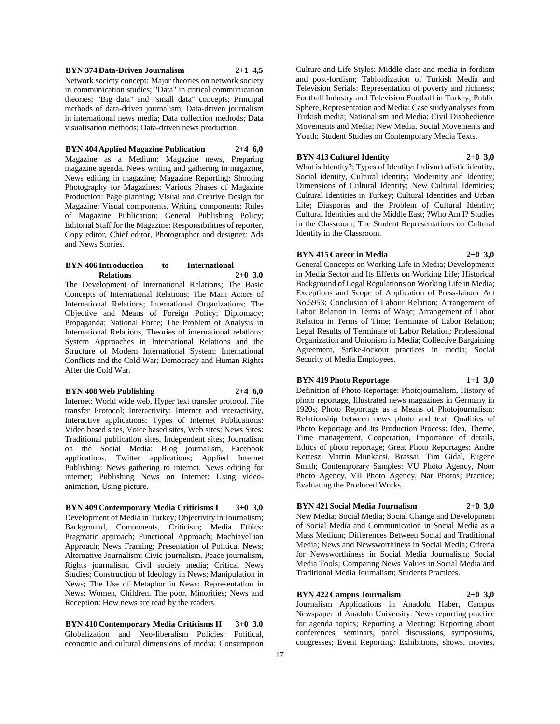# **BYN 374 Data-Driven Journalism 2+1 4,5**

Network society concept: Major theories on network society in communication studies; "Data" in critical communication theories; "Big data" and "small data" concepts; Principal methods of data-driven journalism; Data-driven journalism in international news media; Data collection methods; Data visualisation methods; Data-driven news production.

# **BYN 404 Applied Magazine Publication 2+4 6,0**

Magazine as a Medium: Magazine news, Preparing magazine agenda, News writing and gathering in magazine, News editing in magazine; Magazine Reporting; Shooting Photography for Magazines; Various Phases of Magazine Production: Page planning; Visual and Creative Design for Magazine: Visual components, Writing components; Rules of Magazine Publication; General Publishing Policy; Editorial Staff for the Magazine: Responsibilities of reporter, Copy editor, Chief editor, Photographer and designer; Ads and News Stories.

### **BYN 406 Introduction to International Relations 2+0 3,0**

The Development of International Relations; The Basic Concepts of International Relations; The Main Actors of International Relations; International Organizations; The Objective and Means of Foreign Policy; Diplomacy; Propaganda; National Force; The Problem of Analysis in International Relations, Theories of international relations; System Approaches in International Relations and the Structure of Modern International System; International Conflicts and the Cold War; Democracy and Human Rights After the Cold War.

# **BYN 408 Web Publishing 2+4 6,0**

Internet: World wide web, Hyper text transfer protocol, File transfer Protocol; Interactivity: Internet and interactivity, Interactive applications; Types of Internet Publications: Video based sites, Voice based sites, Web sites; News Sites: Traditional publication sites, Independent sites; Journalism on the Social Media: Blog journalism, Facebook applications, Twitter applications; Applied Internet Publishing: News gathering to internet, News editing for internet; Publishing News on Internet: Using videoanimation, Using picture.

**BYN 409 Contemporary Media Criticisms I 3+0 3,0** Development of Media in Turkey; Objectivity in Journalism; Background, Components, Criticism; Media Ethics: Pragmatic approach; Functional Approach; Machiavellian Approach; News Framing; Presentation of Political News; Alternative Journalism: Civic journalism, Peace journalism, Rights journalism, Civil society media; Critical News Studies; Construction of Ideology in News; Manipulation in News; The Use of Metaphor in News; Representation in News: Women, Children, The poor, Minorities; News and Reception: How news are read by the readers.

**BYN 410 Contemporary Media Criticisms II 3+0 3,0** Globalization and Neo-liberalism Policies: Political, economic and cultural dimensions of media; Consumption

Culture and Life Styles: Middle class and media in fordism and post-fordism; Tabloidization of Turkish Media and Television Serials: Representation of poverty and richness; Football Industry and Television Football in Turkey; Public Sphere, Representation and Media: Case study analyses from Turkish media; Nationalism and Media; Civil Disobedience Movements and Media; New Media, Social Movements and Youth; Student Studies on Contemporary Media Texts.

# **BYN 413 Culturel Identity 2+0 3,0**

What is Identity?; Types of Identity: Indivudualistic identity, Social identity, Cultural identity; Modernity and Identity; Dimensions of Cultural Identity; New Cultural Identities; Cultural Identities in Turkey; Cultural Identities and Urban Life; Diasporas and the Problem of Cultural Identity; Cultural Identities and the Middle East; ?Who Am I? Studies in the Classroom; The Student Representations on Cultural Identity in the Classroom.

# **BYN 415 Career in Media 2+0 3,0**

General Concepts on Working Life in Media; Developments in Media Sector and Its Effects on Working Life; Historical Background of Legal Regulations on Working Life in Media; Exceptions and Scope of Application of Press-labour Act No.5953; Conclusion of Labour Relation; Arrangement of Labor Relation in Terms of Wage; Arrangement of Labor Relation in Terms of Time; Terminate of Labor Relation; Legal Results of Terminate of Labor Relation; Professional Organization and Unionism in Media; Collective Bargaining Agreement, Strike-lockout practices in media; Social Security of Media Employees.

# **BYN 419 Photo Reportage 1+1 3,0**

Definition of Photo Reportage: Photojournalism, History of photo reportage, Illustrated news magazines in Germany in 1920s; Photo Reportage as a Means of Photojournalism: Relationship between news photo and text; Qualities of Photo Reportage and Its Production Process: Idea, Theme, Time management, Cooperation, Importance of details, Ethics of photo reportage; Great Photo Reportages: Andre Kertesz, Martin Munkacsi, Brassai, Tim Gidal, Eugene Smith; Contemporary Samples: VU Photo Agency, Noor Photo Agency, VII Photo Agency, Nar Photos; Practice; Evaluating the Produced Works.

# **BYN 421 Social Media Journalism 2+0 3,0**

New Media; Social Media; Social Change and Development of Social Media and Communication in Social Media as a Mass Medium; Differences Between Social and Traditional Media; News and Newsworthiness in Social Media; Criteria for Newsworthiness in Social Media Journalism; Social Media Tools; Comparing News Values in Social Media and Traditional Media Journalism; Students Practices.

# **BYN 422 Campus Journalism 2+0 3,0**

Journalism Applications in Anadolu Haber, Campus Newspaper of Anadolu University: News reporting practice for agenda topics; Reporting a Meeting: Reporting about conferences, seminars, panel discussions, symposiums, congresses; Event Reporting: Exhibitions, shows, movies,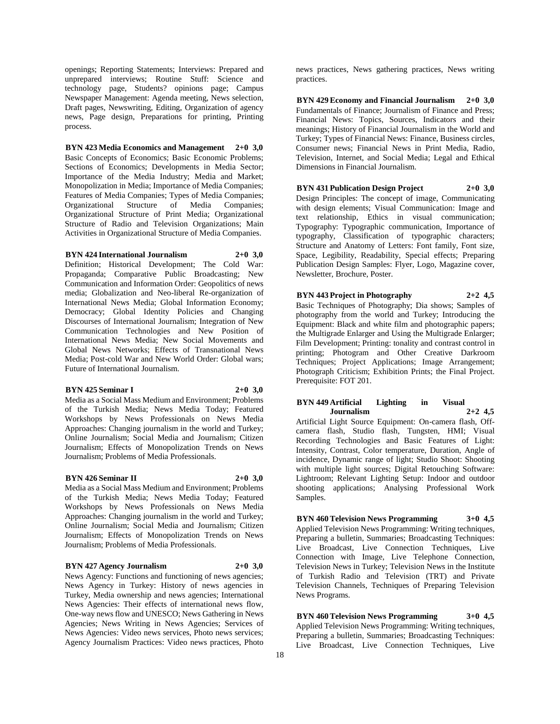openings; Reporting Statements; Interviews: Prepared and unprepared interviews; Routine Stuff: Science and technology page, Students? opinions page; Campus Newspaper Management: Agenda meeting, News selection, Draft pages, Newswriting, Editing, Organization of agency news, Page design, Preparations for printing, Printing process.

# **BYN 423 Media Economics and Management 2+0 3,0**

Basic Concepts of Economics; Basic Economic Problems; Sections of Economics; Developments in Media Sector; Importance of the Media Industry; Media and Market; Monopolization in Media; Importance of Media Companies; Features of Media Companies; Types of Media Companies; Organizational Structure of Media Companies; Organizational Structure of Print Media; Organizational Structure of Radio and Television Organizations; Main Activities in Organizational Structure of Media Companies.

**BYN 424 International Journalism 2+0 3,0**

Definition; Historical Development; The Cold War: Propaganda; Comparative Public Broadcasting; New Communication and Information Order: Geopolitics of news media; Globalization and Neo-liberal Re-organization of International News Media; Global Information Economy; Democracy; Global Identity Policies and Changing Discourses of International Journalism; Integration of New Communication Technologies and New Position of International News Media; New Social Movements and Global News Networks; Effects of Transnational News Media; Post-cold War and New World Order: Global wars; Future of International Journalism.

### **BYN 425 Seminar I 2+0 3,0**

Media as a Social Mass Medium and Environment; Problems of the Turkish Media; News Media Today; Featured Workshops by News Professionals on News Media Approaches: Changing journalism in the world and Turkey; Online Journalism; Social Media and Journalism; Citizen Journalism; Effects of Monopolization Trends on News Journalism; Problems of Media Professionals.

### **BYN 426 Seminar II 2+0 3,0**

Media as a Social Mass Medium and Environment; Problems of the Turkish Media; News Media Today; Featured Workshops by News Professionals on News Media Approaches: Changing journalism in the world and Turkey; Online Journalism; Social Media and Journalism; Citizen Journalism; Effects of Monopolization Trends on News Journalism; Problems of Media Professionals.

#### **BYN 427 Agency Journalism 2+0 3,0**

News Agency: Functions and functioning of news agencies; News Agency in Turkey: History of news agencies in Turkey, Media ownership and news agencies; International News Agencies: Their effects of international news flow, One-way news flow and UNESCO; News Gathering in News Agencies; News Writing in News Agencies; Services of News Agencies: Video news services, Photo news services; Agency Journalism Practices: Video news practices, Photo

news practices, News gathering practices, News writing practices.

**BYN 429 Economy and Financial Journalism 2+0 3,0** Fundamentals of Finance; Journalism of Finance and Press; Financial News: Topics, Sources, Indicators and their meanings; History of Financial Journalism in the World and Turkey; Types of Financial News: Finance, Business circles, Consumer news; Financial News in Print Media, Radio, Television, Internet, and Social Media; Legal and Ethical Dimensions in Financial Journalism.

# **BYN 431 Publication Design Project 2+0 3,0**

Design Principles: The concept of image, Communicating with design elements; Visual Communication: Image and text relationship, Ethics in visual communication; Typography: Typographic communication, Importance of typography, Classification of typographic characters; Structure and Anatomy of Letters: Font family, Font size, Space, Legibility, Readability, Special effects; Preparing Publication Design Samples: Flyer, Logo, Magazine cover, Newsletter, Brochure, Poster.

# **BYN 443 Project in Photography 2+2 4,5** Basic Techniques of Photography; Dia shows; Samples of

photography from the world and Turkey; Introducing the Equipment: Black and white film and photographic papers; the Multigrade Enlarger and Using the Multigrade Enlarger; Film Development; Printing: tonality and contrast control in printing; Photogram and Other Creative Darkroom Techniques; Project Applications; Image Arrangement; Photograph Criticism; Exhibition Prints; the Final Project. Prerequisite: FOT 201.

# **BYN 449 Artificial Lighting in Visual Journalism 2+2 4,5**

Artificial Light Source Equipment: On-camera flash, Offcamera flash, Studio flash, Tungsten, HMI; Visual Recording Technologies and Basic Features of Light: Intensity, Contrast, Color temperature, Duration, Angle of incidence, Dynamic range of light; Studio Shoot: Shooting with multiple light sources; Digital Retouching Software: Lightroom; Relevant Lighting Setup: Indoor and outdoor shooting applications; Analysing Professional Work Samples.

**BYN 460 Television News Programming 3+0 4,5** Applied Television News Programming: Writing techniques, Preparing a bulletin, Summaries; Broadcasting Techniques: Live Broadcast, Live Connection Techniques, Live Connection with Image, Live Telephone Connection, Television News in Turkey; Television News in the Institute of Turkish Radio and Television (TRT) and Private Television Channels, Techniques of Preparing Television News Programs.

**BYN 460 Television News Programming 3+0 4,5** Applied Television News Programming: Writing techniques, Preparing a bulletin, Summaries; Broadcasting Techniques: Live Broadcast, Live Connection Techniques, Live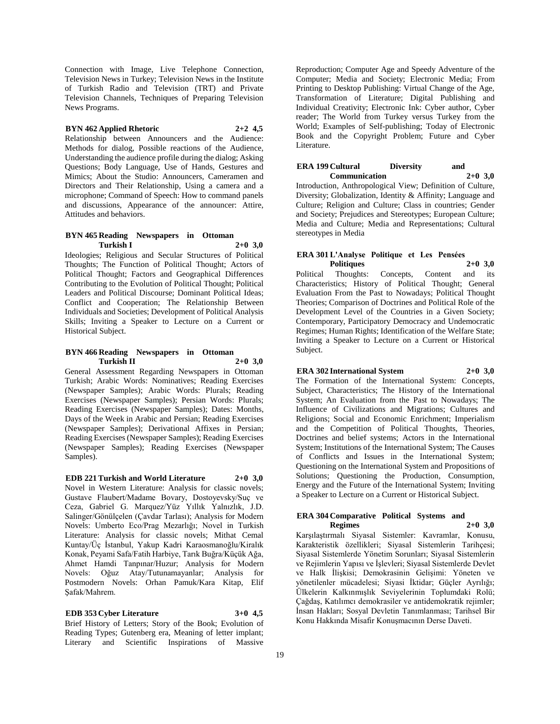Connection with Image, Live Telephone Connection, Television News in Turkey; Television News in the Institute of Turkish Radio and Television (TRT) and Private Television Channels, Techniques of Preparing Television News Programs.

# **BYN 462 Applied Rhetoric 2+2 4,5**

Relationship between Announcers and the Audience: Methods for dialog, Possible reactions of the Audience, Understanding the audience profile during the dialog; Asking Questions; Body Language, Use of Hands, Gestures and Mimics; About the Studio: Announcers, Cameramen and Directors and Their Relationship, Using a camera and a microphone; Command of Speech: How to command panels and discussions, Appearance of the announcer: Attire, Attitudes and behaviors.

### **BYN 465 Reading Newspapers in Ottoman Turkish I 2+0 3,0**

Ideologies; Religious and Secular Structures of Political Thoughts; The Function of Political Thought; Actors of Political Thought; Factors and Geographical Differences Contributing to the Evolution of Political Thought; Political Leaders and Political Discourse; Dominant Political Ideas; Conflict and Cooperation; The Relationship Between Individuals and Societies; Development of Political Analysis Skills; Inviting a Speaker to Lecture on a Current or Historical Subject.

### **BYN 466 Reading Newspapers in Ottoman Turkish II 2+0 3,0**

General Assessment Regarding Newspapers in Ottoman Turkish; Arabic Words: Nominatives; Reading Exercises (Newspaper Samples); Arabic Words: Plurals; Reading Exercises (Newspaper Samples); Persian Words: Plurals; Reading Exercises (Newspaper Samples); Dates: Months, Days of the Week in Arabic and Persian; Reading Exercises (Newspaper Samples); Derivational Affixes in Persian; Reading Exercises (Newspaper Samples); Reading Exercises (Newspaper Samples); Reading Exercises (Newspaper Samples).

**EDB 221 Turkish and World Literature 2+0 3,0** Novel in Western Literature: Analysis for classic novels; Gustave Flaubert/Madame Bovary, Dostoyevsky/Suç ve Ceza, Gabriel G. Marquez/Yüz Yıllık Yalnızlık, J.D. Salinger/Gönülçelen (Çavdar Tarlası); Analysis for Modern Novels: Umberto Eco/Prag Mezarlığı; Novel in Turkish Literature: Analysis for classic novels; Mithat Cemal Kuntay/Üç İstanbul, Yakup Kadri Karaosmanoğlu/Kiralık Konak, Peyami Safa/Fatih Harbiye, Tarık Buğra/Küçük Ağa, Ahmet Hamdi Tanpınar/Huzur; Analysis for Modern Novels: Oğuz Atay/Tutunamayanlar; Analysis for Postmodern Novels: Orhan Pamuk/Kara Kitap, Elif Şafak/Mahrem.

**EDB 353 Cyber Literature 3+0 4,5** Brief History of Letters; Story of the Book; Evolution of Reading Types; Gutenberg era, Meaning of letter implant; Literary and Scientific Inspirations of Massive

Reproduction; Computer Age and Speedy Adventure of the Computer; Media and Society; Electronic Media; From Printing to Desktop Publishing: Virtual Change of the Age, Transformation of Literature; Digital Publishing and Individual Creativity; Electronic Ink: Cyber author, Cyber reader; The World from Turkey versus Turkey from the World; Examples of Self-publishing; Today of Electronic Book and the Copyright Problem; Future and Cyber Literature.

# **ERA 199 Cultural Diversity and Communication 2+0 3,0**

Introduction, Anthropological View; Definition of Culture, Diversity; Globalization, Identity & Affinity; Language and Culture; Religion and Culture; Class in countries; Gender and Society; Prejudices and Stereotypes; European Culture; Media and Culture; Media and Representations; Cultural stereotypes in Media

### **ERA 301 L'Analyse Politique et Les Pensées Politiques 2+0 3,0**

Political Thoughts: Concepts, Content and its Characteristics; History of Political Thought; General Evaluation From the Past to Nowadays; Political Thought Theories; Comparison of Doctrines and Political Role of the Development Level of the Countries in a Given Society; Contemporary, Participatory Democracy and Undemocratic Regimes; Human Rights; Identification of the Welfare State; Inviting a Speaker to Lecture on a Current or Historical Subject.

# **ERA 302 International System 2+0 3,0**

The Formation of the International System: Concepts, Subject, Characteristics; The History of the International System; An Evaluation from the Past to Nowadays; The Influence of Civilizations and Migrations; Cultures and Religions; Social and Economic Enrichment; Imperialism and the Competition of Political Thoughts, Theories, Doctrines and belief systems; Actors in the International System; Institutions of the International System; The Causes of Conflicts and Issues in the International System; Questioning on the International System and Propositions of Solutions; Questioning the Production, Consumption, Energy and the Future of the International System; Inviting a Speaker to Lecture on a Current or Historical Subject.

### **ERA 304 Comparative Political Systems and Regimes 2+0 3,0**

Karşılaştırmalı Siyasal Sistemler: Kavramlar, Konusu, Karakteristik özellikleri; Siyasal Sistemlerin Tarihçesi; Siyasal Sistemlerde Yönetim Sorunları; Siyasal Sistemlerin ve Rejimlerin Yapısı ve İşlevleri; Siyasal Sistemlerde Devlet ve Halk İlişkisi; Demokrasinin Gelişimi: Yöneten ve yönetilenler mücadelesi; Siyasi İktidar; Güçler Ayrılığı; Ülkelerin Kalkınmışlık Seviyelerinin Toplumdaki Rolü; Çağdaş, Katılımcı demokrasiler ve antidemokratik rejimler; İnsan Hakları; Sosyal Devletin Tanımlanması; Tarihsel Bir Konu Hakkında Misafir Konuşmacının Derse Daveti.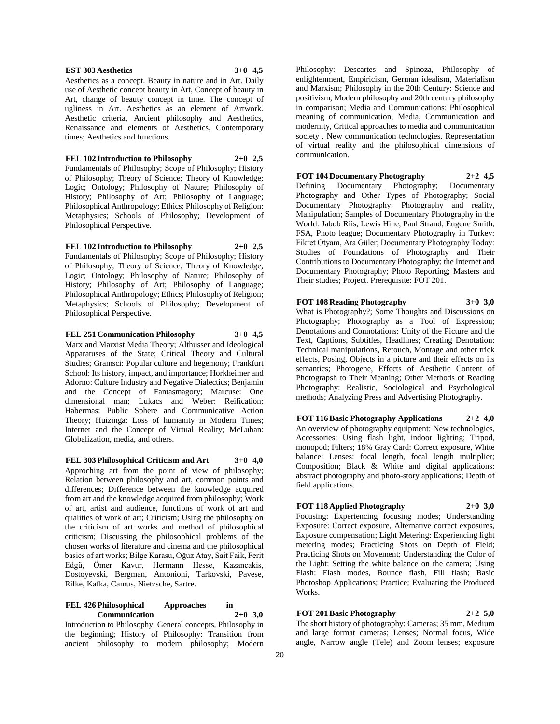### **EST 303 Aesthetics 3+0 4,5**

Aesthetics as a concept. Beauty in nature and in Art. Daily use of Aesthetic concept beauty in Art, Concept of beauty in Art, change of beauty concept in time. The concept of ugliness in Art. Aesthetics as an element of Artwork. Aesthetic criteria, Ancient philosophy and Aesthetics, Renaissance and elements of Aesthetics, Contemporary times; Aesthetics and functions.

**FEL 102 Introduction to Philosophy 2+0 2,5**

Fundamentals of Philosophy; Scope of Philosophy; History of Philosophy; Theory of Science; Theory of Knowledge; Logic; Ontology; Philosophy of Nature; Philosophy of History; Philosophy of Art; Philosophy of Language; Philosophical Anthropology; Ethics; Philosophy of Religion; Metaphysics; Schools of Philosophy; Development of Philosophical Perspective.

# **FEL 102 Introduction to Philosophy 2+0 2,5**

Fundamentals of Philosophy; Scope of Philosophy; History of Philosophy; Theory of Science; Theory of Knowledge; Logic; Ontology; Philosophy of Nature; Philosophy of History; Philosophy of Art; Philosophy of Language; Philosophical Anthropology; Ethics; Philosophy of Religion; Metaphysics; Schools of Philosophy; Development of Philosophical Perspective.

**FEL 251 Communication Philosophy 3+0 4,5**

Marx and Marxist Media Theory; Althusser and Ideological Apparatuses of the State; Critical Theory and Cultural Studies; Gramsci: Popular culture and hegemony; Frankfurt School: Its history, impact, and importance; Horkheimer and Adorno: Culture Industry and Negative Dialectics; Benjamin and the Concept of Fantasmagory; Marcuse: One dimensional man; Lukacs and Weber: Reification; Habermas: Public Sphere and Communicative Action Theory; Huizinga: Loss of humanity in Modern Times; Internet and the Concept of Virtual Reality; McLuhan: Globalization, media, and others.

**FEL 303 Philosophical Criticism and Art 3+0 4,0** Approching art from the point of view of philosophy; Relation between philosophy and art, common points and differences; Difference between the knowledge acquired from art and the knowledge acquired from philosophy; Work of art, artist and audience, functions of work of art and qualities of work of art; Criticism; Using the philosophy on the criticism of art works and method of philosophical criticism; Discussing the philosophical problems of the chosen works of literature and cinema and the philosophical basics of art works; Bilge Karasu, Oğuz Atay, Sait Faik, Ferit Edgü, Ömer Kavur, Hermann Hesse, Kazancakis, Dostoyevski, Bergman, Antonioni, Tarkovski, Pavese, Rilke, Kafka, Camus, Nietzsche, Sartre.

# **FEL 426 Philosophical Approaches in Communication 2+0 3,0**

Introduction to Philosophy: General concepts, Philosophy in the beginning; History of Philosophy: Transition from ancient philosophy to modern philosophy; Modern Philosophy: Descartes and Spinoza, Philosophy of enlightenment, Empiricism, German idealism, Materialism and Marxism; Philosophy in the 20th Century: Science and positivism, Modern philosophy and 20th century philosophy in comparison; Media and Communications: Philosophical meaning of communication, Media, Communication and modernity, Critical approaches to media and communication society , New communication technologies, Representation of virtual reality and the philosophical dimensions of communication.

**FOT 104 Documentary Photography 2+2 4,5** Defining Documentary Photography; Documentary Photography and Other Types of Photography; Social Documentary Photography: Photography and reality, Manipulation; Samples of Documentary Photography in the World: Jabob Riis, Lewis Hine, Paul Strand, Eugene Smith, FSA, Photo league; Documentary Photography in Turkey: Fikret Otyam, Ara Güler; Documentary Photography Today: Studies of Foundations of Photography and Their Contributions to Documentary Photography; the Internet and Documentary Photography; Photo Reporting; Masters and Their studies; Project. Prerequisite: FOT 201.

# **FOT 108 Reading Photography 3+0 3,0**

What is Photography?; Some Thoughts and Discussions on Photography; Photography as a Tool of Expression; Denotations and Connotations: Unity of the Picture and the Text, Captions, Subtitles, Headlines; Creating Denotation: Technical manipulations, Retouch, Montage and other trick effects, Posing, Objects in a picture and their effects on its semantics; Photogene, Effects of Aesthetic Content of Photograpsh to Their Meaning; Other Methods of Reading Photography: Realistic, Sociological and Psychological methods; Analyzing Press and Advertising Photography.

**FOT 116 Basic Photography Applications 2+2 4,0** An overview of photography equipment; New technologies, Accessories: Using flash light, indoor lighting; Tripod, monopod; Filters; 18% Gray Card: Correct exposure, White balance; Lenses: focal length, focal length multiplier; Composition; Black & White and digital applications: abstract photography and photo-story applications; Depth of field applications.

# **FOT 118 Applied Photography 2+0 3,0**

Focusing: Experiencing focusing modes; Understanding Exposure: Correct exposure, Alternative correct exposures, Exposure compensation; Light Metering: Experiencing light metering modes; Practicing Shots on Depth of Field; Practicing Shots on Movement; Understanding the Color of the Light: Setting the white balance on the camera; Using Flash: Flash modes, Bounce flash, Fill flash; Basic Photoshop Applications; Practice; Evaluating the Produced Works.

# **FOT 201 Basic Photography 2+2 5,0**

The short history of photography: Cameras; 35 mm, Medium and large format cameras; Lenses; Normal focus, Wide angle, Narrow angle (Tele) and Zoom lenses; exposure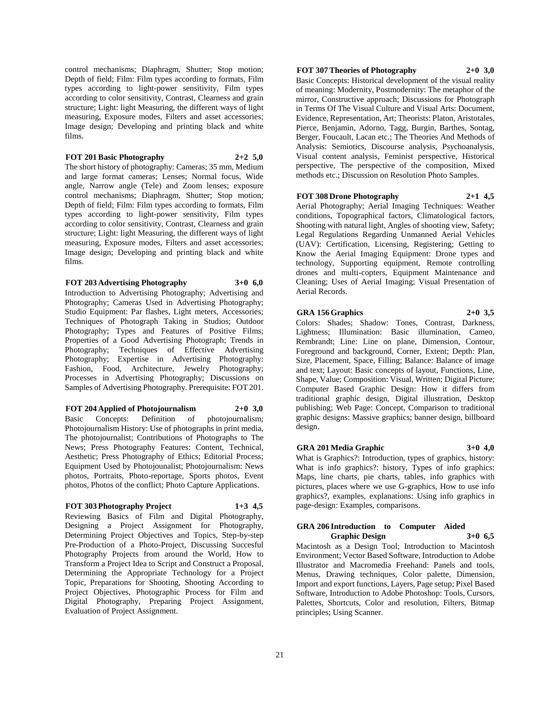control mechanisms; Diaphragm, Shutter; Stop motion; Depth of field; Film: Film types according to formats, Film types according to light-power sensitivity, Film types according to color sensitivity, Contrast, Clearness and grain structure; Light: light Measuring, the different ways of light measuring, Exposure modes, Filters and asset accessories; Image design; Developing and printing black and white films.

# **FOT 201 Basic Photography 2+2 5,0**

The short history of photography: Cameras; 35 mm, Medium and large format cameras; Lenses; Normal focus, Wide angle, Narrow angle (Tele) and Zoom lenses; exposure control mechanisms; Diaphragm, Shutter; Stop motion; Depth of field; Film: Film types according to formats, Film types according to light-power sensitivity, Film types according to color sensitivity, Contrast, Clearness and grain structure; Light: light Measuring, the different ways of light measuring, Exposure modes, Filters and asset accessories; Image design; Developing and printing black and white films.

# **FOT 203 Advertising Photography 3+0 6,0**

Introduction to Advertising Photography; Advertising and Photography; Cameras Used in Advertising Photography; Studio Equipment: Par flashes, Light meters, Accessories; Techniques of Photograph Taking in Studios; Outdoor Photography; Types and Features of Positive Films; Properties of a Good Advertising Photograph; Trends in Photography; Techniques of Effective Advertising Photography; Expertise in Advertising Photography: Fashion, Food, Architecture, Jewelry Photography; Processes in Advertising Photography; Discussions on Samples of Advertising Photography. Prerequisite: FOT 201.

# **FOT 204 Applied of Photojournalism 2+0 3,0**

Basic Concepts: Definition of photojournalism; Photojournalism History: Use of photographs in print media, The photojournalist; Contributions of Photographs to The News; Press Photography Features: Content, Technical, Aesthetic; Press Photography of Ethics; Editorial Process; Equipment Used by Photojounalist; Photojournalism: News photos, Portraits, Photo-reportage, Sports photos, Event photos, Photos of the conflict; Photo Capture Applications.

# **FOT 303 Photography Project 1+3 4,5**

Reviewing Basics of Film and Digital Photography, Designing a Project Assignment for Photography, Determining Project Objectives and Topics, Step-by-step Pre-Production of a Photo-Project, Discussing Succesful Photography Projects from around the World, How to Transform a Project Idea to Script and Construct a Proposal, Determining the Appropriate Technology for a Project Topic, Preparations for Shooting, Shooting According to Project Objectives, Photographic Process for Film and Digital Photography, Preparing Project Assignment, Evaluation of Project Assignment.

# **FOT 307 Theories of Photography 2+0 3,0**

Basic Concepts: Historical development of the visual reality of meaning: Modernity, Postmodernity: The metaphor of the mirror, Constructive approach; Discussions for Photograph in Terms Of The Visual Culture and Visual Arts: Document, Evidence, Representation, Art; Theorists: Platon, Aristotales, Pierce, Benjamin, Adorno, Tagg, Burgin, Barthes, Sontag, Berger, Foucault, Lacan etc.; The Theories And Methods of Analysis: Semiotics, Discourse analysis, Psychoanalysis, Visual content analysis, Feminist perspective, Historical perspective, The perspective of the composition, Mixed methods etc.; Discussion on Resolution Photo Samples.

# **FOT 308 Drone Photography 2+1 4,5**

Aerial Photography; Aerial Imaging Techniques: Weather conditions, Topographical factors, Climatological factors, Shooting with natural light, Angles of shooting view, Safety; Legal Regulations Regarding Unmanned Aerial Vehicles (UAV): Certification, Licensing, Registering; Getting to Know the Aerial Imaging Equipment: Drone types and technology, Supporting equipment, Remote controlling drones and multi-copters, Equipment Maintenance and Cleaning; Uses of Aerial Imaging; Visual Presentation of Aerial Records.

#### **GRA 156 Graphics 2+0 3,5**

Colors: Shades; Shadow: Tones, Contrast, Darkness, Lightness; Illumination: Basic illumination, Cameo, Rembrandt; Line: Line on plane, Dimension, Contour, Foreground and background, Corner, Extent; Depth: Plan, Size, Placement, Space, Filling; Balance: Balance of image and text; Layout: Basic concepts of layout, Functions, Line, Shape, Value; Composition: Visual, Written; Digital Picture; Computer Based Graphic Design: How it differs from traditional graphic design, Digital illustration, Desktop publishing; Web Page: Concept, Comparison to traditional graphic designs: Massive graphics; banner design, billboard design.

# **GRA 201 Media Graphic 3+0 4,0**

What is Graphics?: Introduction, types of graphics, history: What is info graphics?: history, Types of info graphics: Maps, line charts, pie charts, tables, info graphics with pictures, places where we use G-graphics, How to use info graphics?, examples, explanations: Using info graphics in page-design: Examples, comparisons.

### **GRA 206 Introduction to Computer Aided Graphic Design 3+0 6,5**

Macintosh as a Design Tool; Introduction to Macintosh Environment; Vector Based Software, Introduction to Adobe Illustrator and Macromedia Freehand: Panels and tools, Menus, Drawing techniques, Color palette, Dimension, Import and export functions, Layers, Page setup; Pixel Based Software, Introduction to Adobe Photoshop: Tools, Cursors, Palettes, Shortcuts, Color and resolution, Filters, Bitmap principles; Using Scanner.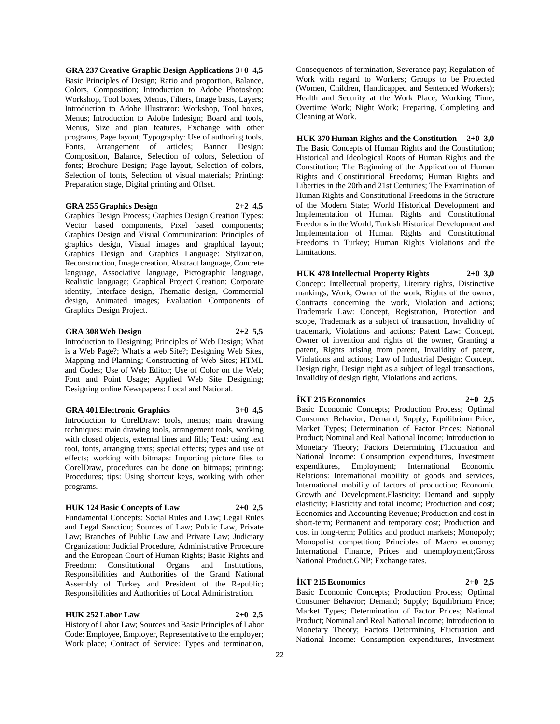**GRA 237 Creative Graphic Design Applications 3+0 4,5** Basic Principles of Design; Ratio and proportion, Balance, Colors, Composition; Introduction to Adobe Photoshop: Workshop, Tool boxes, Menus, Filters, Image basis, Layers; Introduction to Adobe Illustrator: Workshop, Tool boxes, Menus; Introduction to Adobe Indesign; Board and tools, Menus, Size and plan features, Exchange with other programs, Page layout; Typography: Use of authoring tools, Fonts, Arrangement of articles; Banner Design: Composition, Balance, Selection of colors, Selection of fonts; Brochure Design; Page layout, Selection of colors, Selection of fonts, Selection of visual materials; Printing: Preparation stage, Digital printing and Offset.

### **GRA 255 Graphics Design 2+2 4,5**

Graphics Design Process; Graphics Design Creation Types: Vector based components, Pixel based components; Graphics Design and Visual Communication: Principles of graphics design, Visual images and graphical layout; Graphics Design and Graphics Language: Stylization, Reconstruction, Image creation, Abstract language, Concrete language, Associative language, Pictographic language, Realistic language; Graphical Project Creation: Corporate identity, Interface design, Thematic design, Commercial design, Animated images; Evaluation Components of Graphics Design Project.

### **GRA 308 Web Design 2+2 5,5**

Introduction to Designing; Principles of Web Design; What is a Web Page?; What's a web Site?; Designing Web Sites, Mapping and Planning; Constructing of Web Sites; HTML and Codes; Use of Web Editor; Use of Color on the Web; Font and Point Usage; Applied Web Site Designing; Designing online Newspapers: Local and National.

#### **GRA 401 Electronic Graphics 3+0 4,5**

Introduction to CorelDraw: tools, menus; main drawing techniques: main drawing tools, arrangement tools, working with closed objects, external lines and fills; Text: using text tool, fonts, arranging texts; special effects; types and use of effects; working with bitmaps: Importing picture files to CorelDraw, procedures can be done on bitmaps; printing: Procedures; tips: Using shortcut keys, working with other programs.

# **HUK 124 Basic Concepts of Law 2+0 2,5**

Fundamental Concepts: Social Rules and Law; Legal Rules and Legal Sanction; Sources of Law; Public Law, Private Law; Branches of Public Law and Private Law; Judiciary Organization: Judicial Procedure, Administrative Procedure and the European Court of Human Rights; Basic Rights and Freedom: Constitutional Organs and Institutions, Responsibilities and Authorities of the Grand National Assembly of Turkey and President of the Republic; Responsibilities and Authorities of Local Administration.

#### **HUK 252 Labor Law 2+0 2,5**

History of Labor Law; Sources and Basic Principles of Labor Code: Employee, Employer, Representative to the employer; Work place; Contract of Service: Types and termination,

Consequences of termination, Severance pay; Regulation of Work with regard to Workers; Groups to be Protected (Women, Children, Handicapped and Sentenced Workers); Health and Security at the Work Place; Working Time; Overtime Work; Night Work; Preparing, Completing and Cleaning at Work.

**HUK 370 Human Rights and the Constitution 2+0 3,0** The Basic Concepts of Human Rights and the Constitution; Historical and Ideological Roots of Human Rights and the Constitution; The Beginning of the Application of Human Rights and Constitutional Freedoms; Human Rights and Liberties in the 20th and 21st Centuries; The Examination of Human Rights and Constitutional Freedoms in the Structure of the Modern State; World Historical Development and Implementation of Human Rights and Constitutional Freedoms in the World; Turkish Historical Development and Implementation of Human Rights and Constitutional Freedoms in Turkey; Human Rights Violations and the Limitations.

# **HUK 478 Intellectual Property Rights 2+0 3,0**

Concept: Intellectual property, Literary rights, Distinctive markings, Work, Owner of the work, Rights of the owner, Contracts concerning the work, Violation and actions; Trademark Law: Concept, Registration, Protection and scope, Trademark as a subject of transaction, Invalidity of trademark, Violations and actions; Patent Law: Concept, Owner of invention and rights of the owner, Granting a patent, Rights arising from patent, Invalidity of patent, Violations and actions; Law of Industrial Design: Concept, Design right, Design right as a subject of legal transactions, Invalidity of design right, Violations and actions.

### **İKT 215 Economics 2+0 2,5**

Basic Economic Concepts; Production Process; Optimal Consumer Behavior; Demand; Supply; Equilibrium Price; Market Types; Determination of Factor Prices; National Product; Nominal and Real National Income; Introduction to Monetary Theory; Factors Determining Fluctuation and National Income: Consumption expenditures, Investment expenditures, Employment; International Economic Relations: International mobility of goods and services, International mobility of factors of production; Economic Growth and Development.Elasticity: Demand and supply elasticity; Elasticity and total income; Production and cost; Economics and Accounting Revenue; Production and cost in short-term; Permanent and temporary cost; Production and cost in long-term; Politics and product markets; Monopoly; Monopolist competition; Principles of Macro economy; International Finance, Prices and unemployment;Gross National Product.GNP; Exchange rates.

#### **İKT 215 Economics 2+0 2,5**

Basic Economic Concepts; Production Process; Optimal Consumer Behavior; Demand; Supply; Equilibrium Price; Market Types; Determination of Factor Prices; National Product; Nominal and Real National Income; Introduction to Monetary Theory; Factors Determining Fluctuation and National Income: Consumption expenditures, Investment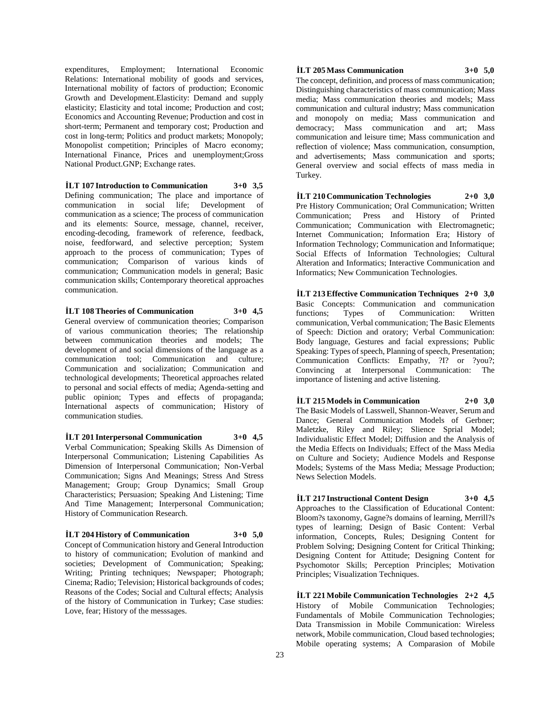expenditures, Employment; International Economic Relations: International mobility of goods and services, International mobility of factors of production; Economic Growth and Development.Elasticity: Demand and supply elasticity; Elasticity and total income; Production and cost; Economics and Accounting Revenue; Production and cost in short-term; Permanent and temporary cost; Production and cost in long-term; Politics and product markets; Monopoly; Monopolist competition; Principles of Macro economy; International Finance, Prices and unemployment;Gross National Product.GNP; Exchange rates.

**İLT 107 Introduction to Communication 3+0 3,5** Defining communication; The place and importance of communication in social life; Development of communication as a science; The process of communication and its elements: Source, message, channel, receiver, encoding-decoding, framework of reference, feedback, noise, feedforward, and selective perception; System approach to the process of communication; Types of communication; Comparison of various kinds of communication; Communication models in general; Basic communication skills; Contemporary theoretical approaches communication.

**İLT 108 Theories of Communication 3+0 4,5**

General overview of communication theories; Comparison of various communication theories; The relationship between communication theories and models; The development of and social dimensions of the language as a communication tool; Communication and culture; Communication and socialization; Communication and technological developments; Theoretical approaches related to personal and social effects of media; Agenda-setting and public opinion; Types and effects of propaganda; International aspects of communication; History of communication studies.

**İLT 201 Interpersonal Communication 3+0 4,5** Verbal Communication; Speaking Skills As Dimension of Interpersonal Communication; Listening Capabilities As Dimension of Interpersonal Communication; Non-Verbal Communication; Signs And Meanings; Stress And Stress Management; Group; Group Dynamics; Small Group Characteristics; Persuasion; Speaking And Listening; Time And Time Management; Interpersonal Communication; History of Communication Research.

# **İLT 204 History of Communication 3+0 5,0**

Concept of Communication history and General Introduction to history of communication; Evolution of mankind and societies; Development of Communication; Speaking; Writing; Printing techniques; Newspaper; Photograph; Cinema; Radio; Television; Historical backgrounds of codes; Reasons of the Codes; Social and Cultural effects; Analysis of the history of Communication in Turkey; Case studies: Love, fear; History of the messsages.

### **İLT 205 Mass Communication 3+0 5,0**

The concept, definition, and process of mass communication; Distinguishing characteristics of mass communication; Mass media; Mass communication theories and models; Mass communication and cultural industry; Mass communication and monopoly on media; Mass communication and democracy; Mass communication and art; Mass communication and leisure time; Mass communication and reflection of violence; Mass communication, consumption, and advertisements; Mass communication and sports; General overview and social effects of mass media in Turkey.

### **İLT 210 Communication Technologies 2+0 3,0**

Pre History Communication; Oral Communication; Written Communication; Press and History of Printed Communication; Communication with Electromagnetic; Internet Communication; Information Era; History of Information Technology; Communication and Informatique; Social Effects of Information Technologies; Cultural Alteration and Informatics; Interactive Communication and Informatics; New Communication Technologies.

**İLT 213 Effective Communication Techniques 2+0 3,0** Basic Concepts: Communication and communication functions; Types of Communication: Written communication, Verbal communication; The Basic Elements of Speech: Diction and oratory; Verbal Communication: Body language, Gestures and facial expressions; Public Speaking: Types of speech, Planning of speech, Presentation; Communication Conflicts: Empathy, ?I? or ?you?; Convincing at Interpersonal Communication: The importance of listening and active listening.

**İLT 215 Models in Communication 2+0 3,0** The Basic Models of Lasswell, Shannon-Weaver, Serum and Dance; General Communication Models of Gerbner; Maletzke, Riley and Riley; Slience Sprial Model; Individualistic Effect Model; Diffusion and the Analysis of the Media Effects on Individuals; Effect of the Mass Media on Culture and Society; Audience Models and Response Models; Systems of the Mass Media; Message Production; News Selection Models.

**İLT 217 Instructional Content Design 3+0 4,5** Approaches to the Classification of Educational Content: Bloom?s taxonomy, Gagne?s domains of learning, Merrill?s types of learning; Design of Basic Content: Verbal information, Concepts, Rules; Designing Content for Problem Solving; Designing Content for Critical Thinking; Designing Content for Attitude; Designing Content for Psychomotor Skills; Perception Principles; Motivation Principles; Visualization Techniques.

**İLT 221 Mobile Communication Technologies 2+2 4,5** History of Mobile Communication Technologies; Fundamentals of Mobile Communication Technologies; Data Transmission in Mobile Communication: Wireless network, Mobile communication, Cloud based technologies; Mobile operating systems; A Comparasion of Mobile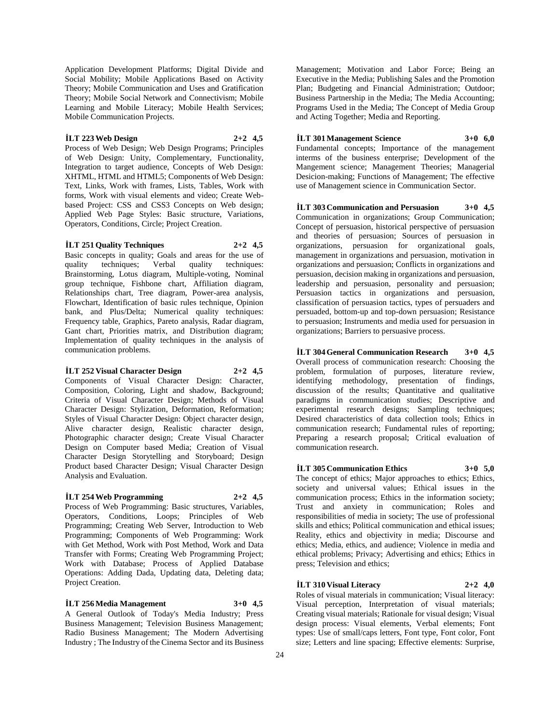Application Development Platforms; Digital Divide and Social Mobility; Mobile Applications Based on Activity Theory; Mobile Communication and Uses and Gratification Theory; Mobile Social Network and Connectivism; Mobile Learning and Mobile Literacy; Mobile Health Services; Mobile Communication Projects.

# **İLT 223 Web Design 2+2 4,5**

Process of Web Design; Web Design Programs; Principles of Web Design: Unity, Complementary, Functionality, Integration to target audience, Concepts of Web Design: XHTML, HTML and HTML5; Components of Web Design: Text, Links, Work with frames, Lists, Tables, Work with forms, Work with visual elements and video; Create Webbased Project: CSS and CSS3 Concepts on Web design; Applied Web Page Styles: Basic structure, Variations, Operators, Conditions, Circle; Project Creation.

### **İLT 251 Quality Techniques 2+2 4,5**

Basic concepts in quality; Goals and areas for the use of quality techniques; Verbal quality techniques: Brainstorming, Lotus diagram, Multiple-voting, Nominal group technique, Fishbone chart, Affiliation diagram, Relationships chart, Tree diagram, Power-area analysis, Flowchart, Identification of basic rules technique, Opinion bank, and Plus/Delta; Numerical quality techniques: Frequency table, Graphics, Pareto analysis, Radar diagram, Gant chart, Priorities matrix, and Distribution diagram; Implementation of quality techniques in the analysis of communication problems.

### **İLT 252 Visual Character Design 2+2 4,5**

Components of Visual Character Design: Character, Composition, Coloring, Light and shadow, Background; Criteria of Visual Character Design; Methods of Visual Character Design: Stylization, Deformation, Reformation; Styles of Visual Character Design: Object character design, Alive character design, Realistic character design, Photographic character design; Create Visual Character Design on Computer based Media; Creation of Visual Character Design Storytelling and Storyboard; Design Product based Character Design; Visual Character Design Analysis and Evaluation.

# **İLT 254 Web Programming 2+2 4,5**

Process of Web Programming: Basic structures, Variables, Operators, Conditions, Loops; Principles of Web Programming; Creating Web Server, Introduction to Web Programming; Components of Web Programming: Work with Get Method, Work with Post Method, Work and Data Transfer with Forms; Creating Web Programming Project; Work with Database; Process of Applied Database Operations: Adding Dada, Updating data, Deleting data; Project Creation.

# **İLT 256 Media Management 3+0 4,5**

A General Outlook of Today's Media Industry; Press Business Management; Television Business Management; Radio Business Management; The Modern Advertising Industry ; The Industry of the Cinema Sector and its Business Management; Motivation and Labor Force; Being an Executive in the Media; Publishing Sales and the Promotion Plan; Budgeting and Financial Administration; Outdoor; Business Partnership in the Media; The Media Accounting; Programs Used in the Media; The Concept of Media Group and Acting Together; Media and Reporting.

### **İLT 301 Management Science 3+0 6,0**

Fundamental concepts; Importance of the management interms of the business enterprise; Development of the Mangement science; Management Theories; Managerial Desicion-making; Functions of Management; The effective use of Management science in Communication Sector.

# **İLT 303 Communication and Persuasion 3+0 4,5**

Communication in organizations; Group Communication; Concept of persuasion, historical perspective of persuasion and theories of persuasion; Sources of persuasion in organizations, persuasion for organizational goals, management in organizations and persuasion, motivation in organizations and persuasion; Conflicts in organizations and persuasion, decision making in organizations and persuasion, leadership and persuasion, personality and persuasion; Persuasion tactics in organizations and persuasion, classification of persuasion tactics, types of persuaders and persuaded, bottom-up and top-down persuasion; Resistance to persuasion; Instruments and media used for persuasion in organizations; Barriers to persuasive process.

**İLT 304 General Communication Research 3+0 4,5** Overall process of communication research: Choosing the problem, formulation of purposes, literature review, identifying methodology, presentation of findings, discussion of the results; Quantitative and qualitative paradigms in communication studies; Descriptive and experimental research designs; Sampling techniques; Desired characteristics of data collection tools; Ethics in communication research; Fundamental rules of reporting; Preparing a research proposal; Critical evaluation of communication research.

# **İLT 305 Communication Ethics 3+0 5,0**

The concept of ethics; Major approaches to ethics; Ethics, society and universal values; Ethical issues in the communication process; Ethics in the information society; Trust and anxiety in communication; Roles and responsibilities of media in society; The use of professional skills and ethics; Political communication and ethical issues; Reality, ethics and objectivity in media; Discourse and ethics; Media, ethics, and audience; Violence in media and ethical problems; Privacy; Advertising and ethics; Ethics in press; Television and ethics;

### **İLT 310 Visual Literacy 2+2 4,0**

Roles of visual materials in communication; Visual literacy: Visual perception, Interpretation of visual materials; Creating visual materials; Rationale for visual design; Visual design process: Visual elements, Verbal elements; Font types: Use of small/caps letters, Font type, Font color, Font size; Letters and line spacing; Effective elements: Surprise,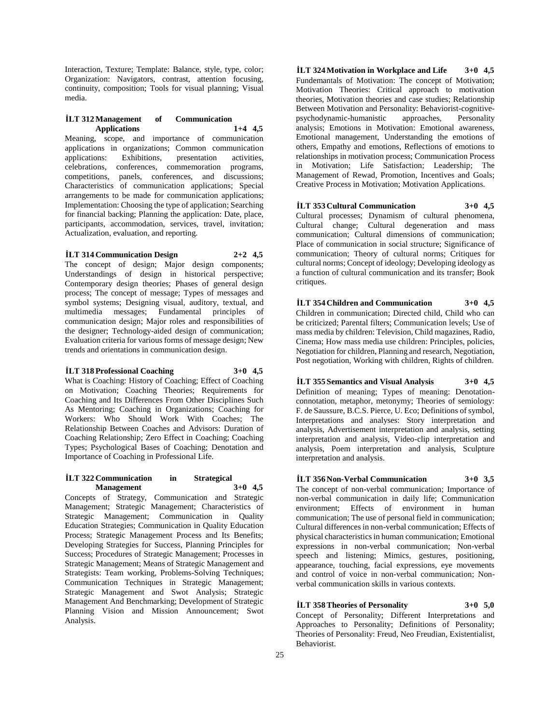Interaction, Texture; Template: Balance, style, type, color; Organization: Navigators, contrast, attention focusing, continuity, composition; Tools for visual planning; Visual media.

# **İLT 312 Management of Communication Applications 1+4 4,5**

Meaning, scope, and importance of communication applications in organizations; Common communication applications: Exhibitions, presentation activities, celebrations, conferences, commemoration programs, competitions, panels, conferences, and discussions; Characteristics of communication applications; Special arrangements to be made for communication applications; Implementation: Choosing the type of application; Searching for financial backing; Planning the application: Date, place, participants, accommodation, services, travel, invitation; Actualization, evaluation, and reporting.

# **İLT 314 Communication Design 2+2 4,5**

The concept of design; Major design components; Understandings of design in historical perspective; Contemporary design theories; Phases of general design process; The concept of message; Types of messages and symbol systems; Designing visual, auditory, textual, and multimedia messages; Fundamental principles of communication design; Major roles and responsibilities of the designer; Technology-aided design of communication; Evaluation criteria for various forms of message design; New trends and orientations in communication design.

# **İLT 318 Professional Coaching 3+0 4,5**

What is Coaching: History of Coaching; Effect of Coaching on Motivation; Coaching Theories; Requirements for Coaching and Its Differences From Other Disciplines Such As Mentoring; Coaching in Organizations; Coaching for Workers: Who Should Work With Coaches; The Relationship Between Coaches and Advisors: Duration of Coaching Relationship; Zero Effect in Coaching; Coaching Types; Psychological Bases of Coaching; Denotation and Importance of Coaching in Professional Life.

### **İLT 322 Communication in Strategical Management 3+0 4,5**

Concepts of Strategy, Communication and Strategic Management; Strategic Management; Characteristics of Strategic Management; Communication in Quality Education Strategies; Communication in Quality Education Process; Strategic Management Process and Its Benefits; Developing Strategies for Success, Planning Principles for Success; Procedures of Strategic Management; Processes in Strategic Management; Means of Strategic Management and Strategists: Team working, Problems-Solving Techniques; Communication Techniques in Strategic Management; Strategic Management and Swot Analysis; Strategic Management And Benchmarking; Development of Strategic Planning Vision and Mission Announcement; Swot Analysis.

**İLT 324 Motivation in Workplace and Life 3+0 4,5** Fundemantals of Motivation: The concept of Motivation; Motivation Theories: Critical approach to motivation theories, Motivation theories and case studies; Relationship Between Motivation and Personality: Behaviorist-cognitivepsychodynamic-humanistic approaches, Personality analysis; Emotions in Motivation: Emotional awareness, Emotional management, Understanding the emotions of others, Empathy and emotions, Reflections of emotions to relationships in motivation process; Communication Process in Motivation; Life Satisfaction; Leadership; The Management of Rewad, Promotion, Incentives and Goals; Creative Process in Motivation; Motivation Applications.

# **İLT 353 Cultural Communication 3+0 4,5**

Cultural processes; Dynamism of cultural phenomena, Cultural change; Cultural degeneration and mass communication; Cultural dimensions of communication; Place of communication in social structure; Significance of communication; Theory of cultural norms; Critiques for cultural norms; Concept of ideology; Developing ideology as a function of cultural communication and its transfer; Book critiques.

**İLT 354 Children and Communication 3+0 4,5** Children in communication; Directed child, Child who can be criticized; Parental filters; Communication levels; Use of mass media by children: Television, Child magazines, Radio, Cinema; How mass media use children: Principles, policies, Negotiation for children, Planning and research, Negotiation, Post negotiation, Working with children, Rights of children.

**İLT 355 Semantics and Visual Analysis 3+0 4,5** Definition of meaning; Types of meaning: Denotationconnotation, metaphor, metonymy; Theories of semiology: F. de Saussure, B.C.S. Pierce, U. Eco; Definitions of symbol, Interpretations and analyses: Story interpretation and analysis, Advertisement interpretation and analysis, setting interpretation and analysis, Video-clip interpretation and analysis, Poem interpretation and analysis, Sculpture interpretation and analysis.

# **İLT 356 Non-Verbal Communication 3+0 3,5** The concept of non-verbal communication; Importance of non-verbal communication in daily life; Communication environment; Effects of environment in human communication; The use of personal field in communication;

Cultural differences in non-verbal communication; Effects of physical characteristics in human communication; Emotional expressions in non-verbal communication; Non-verbal speech and listening; Mimics, gestures, positioning, appearance, touching, facial expressions, eye movements and control of voice in non-verbal communication; Nonverbal communication skills in various contexts.

# **İLT 358 Theories of Personality 3+0 5,0**

Concept of Personality; Different Interpretations and Approaches to Personality; Definitions of Personality; Theories of Personality: Freud, Neo Freudian, Existentialist, Behaviorist.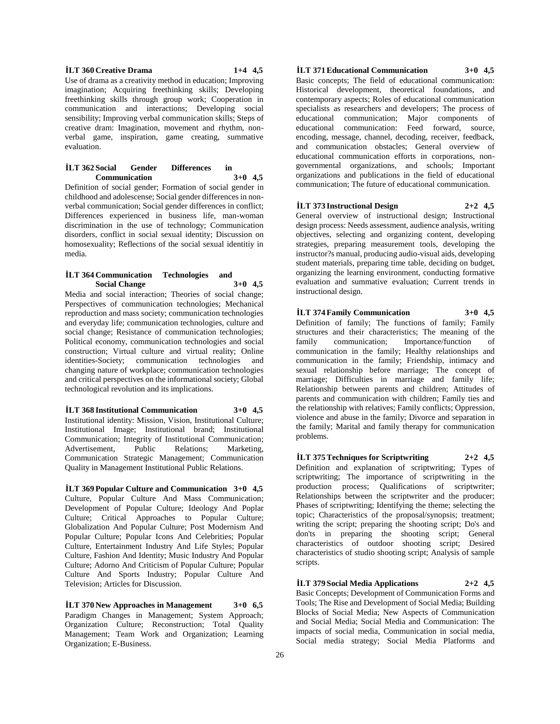#### **İLT 360 Creative Drama 1+4 4,5**

Use of drama as a creativity method in education; Improving imagination; Acquiring freethinking skills; Developing freethinking skills through group work; Cooperation in communication and interactions; Developing social sensibility; Improving verbal communication skills; Steps of creative dram: Imagination, movement and rhythm, nonverbal game, inspiration, game creating, summative evaluation.

# **İLT 362 Social Gender Differences in Communication 3+0 4,5**

Definition of social gender; Formation of social gender in childhood and adolescense; Social gender differences in nonverbal communication; Social gender differences in conflict; Differences experienced in business life, man-woman discrimination in the use of technology; Communication disorders, conflict in social sexual identity; Discussion on homosexuality; Reflections of the social sexual identitiy in media.

# **İLT 364 Communication Technologies and Social Change 3+0 4,5**

Media and social interaction; Theories of social change; Perspectives of communication technologies; Mechanical reproduction and mass society; communication technologies and everyday life; communication technologies, culture and social change; Resistance of communication technologies; Political economy, communication technologies and social construction; Virtual culture and virtual reality; Online identities-Society; communication technologies and changing nature of workplace; communication technologies and critical perspectives on the informational society; Global technological revolution and its implications.

# **İLT 368 Institutional Communication 3+0 4,5**

Institutional identity: Mission, Vision, Institutional Culture; Institutional Image; Institutional brand; Institutional Communication; Integrity of Institutional Communication; Advertisement, Public Relations; Marketing, Communication Strategic Management; Communication Quality in Management Institutional Public Relations.

**İLT 369 Popular Culture and Communication 3+0 4,5** Culture, Popular Culture And Mass Communication; Development of Popular Culture; Ideology And Poplar Culture; Critical Approaches to Popular Culture; Globalization And Popular Culture; Post Modernism And Popular Culture; Popular Icons And Celebrities; Popular Culture, Entertainment Industry And Life Styles; Popular Culture, Fashion And Identity; Music Industry And Popular Culture; Adorno And Criticism of Popular Culture; Popular Culture And Sports Industry; Popular Culture And Television; Articles for Discussion.

**İLT 370 New Approaches in Management 3+0 6,5** Paradigm Changes in Management; System Approach; Organization Culture; Reconstruction; Total Quality Management; Team Work and Organization; Learning Organization; E-Business.

# **İLT 371 Educational Communication 3+0 4,5**

Basic concepts; The field of educational communication: Historical development, theoretical foundations, and contemporary aspects; Roles of educational communication specialists as researchers and developers; The process of educational communication; Major components of educational communication: Feed forward, source, encoding, message, channel, decoding, receiver, feedback, and communication obstacles; General overview of educational communication efforts in corporations, nongovernmental organizations, and schools; Important organizations and publications in the field of educational communication; The future of educational communication.

# **İLT 373 Instructional Design 2+2 4,5**

General overview of instructional design; Instructional design process: Needs assessment, audience analysis, writing objectives, selecting and organizing content, developing strategies, preparing measurement tools, developing the instructor?s manual, producing audio-visual aids, developing student materials, preparing time table, deciding on budget, organizing the learning environment, conducting formative evaluation and summative evaluation; Current trends in instructional design.

# **İLT 374 Family Communication 3+0 4,5**

Definition of family; The functions of family; Family structures and their characteristics; The meaning of the family communication; Importance/function of communication in the family; Healthy relationships and communication in the family; Friendship, intimacy and sexual relationship before marriage; The concept of marriage; Difficulties in marriage and family life; Relationship between parents and children; Attitudes of parents and communication with children; Family ties and the relationship with relatives; Family conflicts; Oppression, violence and abuse in the family; Divorce and separation in the family; Marital and family therapy for communication problems.

**İLT 375 Techniques for Scriptwriting 2+2 4,5** Definition and explanation of scriptwriting; Types of scriptwriting; The importance of scriptwriting in the production process; Qualifications of scriptwriter; Relationships between the scriptwriter and the producer; Phases of scriptwriting; Identifying the theme; selecting the topic; Characteristics of the proposal/synopsis; treatment; writing the script; preparing the shooting script; Do's and don'ts in preparing the shooting script; General characteristics of outdoor shooting script; Desired characteristics of studio shooting script; Analysis of sample scripts.

**İLT 379 Social Media Applications 2+2 4,5** Basic Concepts; Development of Communication Forms and Tools; The Rise and Development of Social Media; Building Blocks of Social Media; New Aspects of Communication and Social Media; Social Media and Communication: The impacts of social media, Communication in social media, Social media strategy; Social Media Platforms and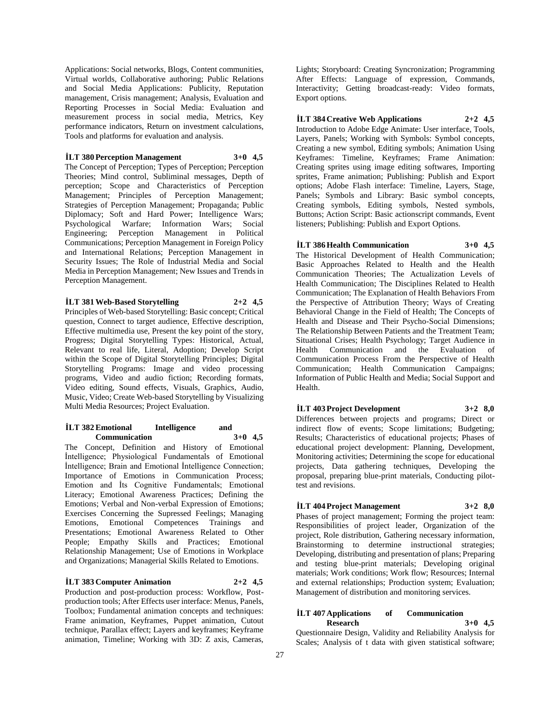Applications: Social networks, Blogs, Content communities, Virtual worlds, Collaborative authoring; Public Relations and Social Media Applications: Publicity, Reputation management, Crisis management; Analysis, Evaluation and Reporting Processes in Social Media: Evaluation and measurement process in social media, Metrics, Key performance indicators, Return on investment calculations, Tools and platforms for evaluation and analysis.

### **İLT 380 Perception Management 3+0 4,5**

The Concept of Perception; Types of Perception; Perception Theories; Mind control, Subliminal messages, Depth of perception; Scope and Characteristics of Perception Management; Principles of Perception Management; Strategies of Perception Management; Propaganda; Public Diplomacy; Soft and Hard Power; Intelligence Wars; Psychological Warfare; Information Wars; Social Engineering; Perception Management in Political Communications; Perception Management in Foreign Policy and International Relations; Perception Management in Security Issues; The Role of Industrial Media and Social Media in Perception Management; New Issues and Trends in Perception Management.

# **İLT 381 Web-Based Storytelling 2+2 4,5**

Principles of Web-based Storytelling: Basic concept; Critical question, Connect to target audience, Effective description, Effective multimedia use, Present the key point of the story, Progress; Digital Storytelling Types: Historical, Actual, Relevant to real life, Literal, Adoption; Develop Script within the Scope of Digital Storytelling Principles; Digital Storytelling Programs: Image and video processing programs, Video and audio fiction; Recording formats, Video editing, Sound effects, Visuals, Graphics, Audio, Music, Video; Create Web-based Storytelling by Visualizing Multi Media Resources; Project Evaluation.

### **İLT 382 Emotional Intelligence and Communication 3+0 4,5**

The Concept, Definition and History of Emotional İntelligence; Physiological Fundamentals of Emotional İntelligence; Brain and Emotional İntelligence Connection; Importance of Emotions in Communication Process; Emotion and İts Cognitive Fundamentals; Emotional Literacy; Emotional Awareness Practices; Defining the Emotions; Verbal and Non-verbal Expression of Emotions; Exercises Concerning the Supressed Feelings; Managing Emotions, Emotional Competences Trainings and Presentations; Emotional Awareness Related to Other People; Empathy Skills and Practices; Emotional Relationship Management; Use of Emotions in Workplace and Organizations; Managerial Skills Related to Emotions.

**İLT 383 Computer Animation 2+2 4,5** Production and post-production process: Workflow, Postproduction tools; After Effects user interface: Menus, Panels, Toolbox; Fundamental animation concepts and techniques: Frame animation, Keyframes, Puppet animation, Cutout technique, Parallax effect; Layers and keyframes; Keyframe animation, Timeline; Working with 3D: Z axis, Cameras,

Lights; Storyboard: Creating Syncronization; Programming After Effects: Language of expression, Commands, Interactivity; Getting broadcast-ready: Video formats, Export options.

# **İLT 384 Creative Web Applications 2+2 4,5**

Introduction to Adobe Edge Animate: User interface, Tools, Layers, Panels; Working with Symbols: Symbol concepts, Creating a new symbol, Editing symbols; Animation Using Keyframes: Timeline, Keyframes; Frame Animation: Creating sprites using image editing softwares, Importing sprites, Frame animation; Publishing: Publish and Export options; Adobe Flash interface: Timeline, Layers, Stage, Panels; Symbols and Library: Basic symbol concepts, Creating symbols, Editing symbols, Nested symbols, Buttons; Action Script: Basic actionscript commands, Event listeners; Publishing: Publish and Export Options.

### **İLT 386 Health Communication 3+0 4,5**

The Historical Development of Health Communication; Basic Approaches Related to Health and the Health Communication Theories; The Actualization Levels of Health Communication; The Disciplines Related to Health Communication; The Explanation of Health Behaviors From the Perspective of Attribution Theory; Ways of Creating Behavioral Change in the Field of Health; The Concepts of Health and Disease and Their Psycho-Social Dimensions; The Relationship Between Patients and the Treatment Team; Situational Crises; Health Psychology; Target Audience in Health Communication and the Evaluation of Communication Process From the Perspective of Health Communication; Health Communication Campaigns; Information of Public Health and Media; Social Support and Health.

# **İLT 403 Project Development 3+2 8,0**

Differences between projects and programs; Direct or indirect flow of events; Scope limitations; Budgeting; Results; Characteristics of educational projects; Phases of educational project development: Planning, Development, Monitoring activities; Determining the scope for educational projects, Data gathering techniques, Developing the proposal, preparing blue-print materials, Conducting pilottest and revisions.

# **İLT 404 Project Management 3+2 8,0**

Phases of project management; Forming the project team: Responsibilities of project leader, Organization of the project, Role distribution, Gathering necessary information, Brainstorming to determine instructional strategies; Developing, distributing and presentation of plans; Preparing and testing blue-print materials; Developing original materials; Work conditions; Work flow; Resources; Internal and external relationships; Production system; Evaluation; Management of distribution and monitoring services.

### **İLT 407 Applications of Communication Research 3+0 4,5**

Questionnaire Design, Validity and Reliability Analysis for Scales; Analysis of t data with given statistical software;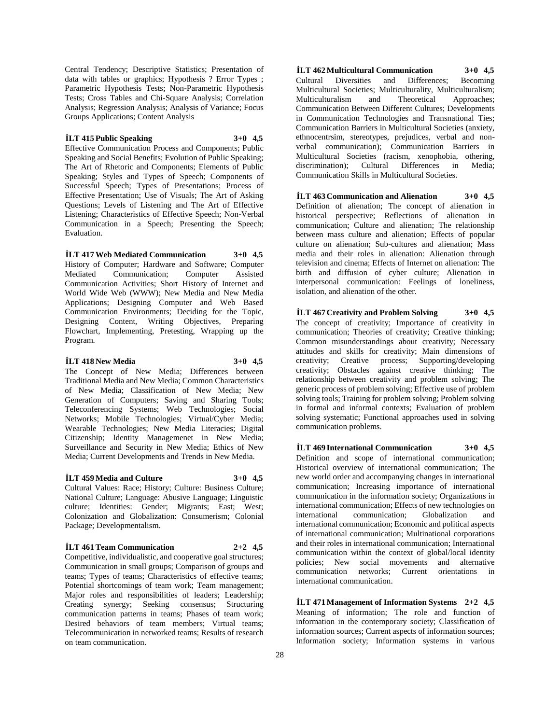Central Tendency; Descriptive Statistics; Presentation of data with tables or graphics; Hypothesis ? Error Types ; Parametric Hypothesis Tests; Non-Parametric Hypothesis Tests; Cross Tables and Chi-Square Analysis; Correlation Analysis; Regression Analysis; Analysis of Variance; Focus Groups Applications; Content Analysis

### **İLT 415 Public Speaking 3+0 4,5**

Effective Communication Process and Components; Public Speaking and Social Benefits; Evolution of Public Speaking; The Art of Rhetoric and Components; Elements of Public Speaking; Styles and Types of Speech; Components of Successful Speech; Types of Presentations; Process of Effective Presentation; Use of Visuals; The Art of Asking Questions; Levels of Listening and The Art of Effective Listening; Characteristics of Effective Speech; Non-Verbal Communication in a Speech; Presenting the Speech; Evaluation.

### **İLT 417 Web Mediated Communication 3+0 4,5**

History of Computer; Hardware and Software; Computer Mediated Communication; Computer Assisted Communication Activities; Short History of Internet and World Wide Web (WWW); New Media and New Media Applications; Designing Computer and Web Based Communication Environments; Deciding for the Topic, Designing Content, Writing Objectives, Preparing Flowchart, Implementing, Pretesting, Wrapping up the Program.

### **İLT 418 New Media 3+0 4,5**

The Concept of New Media; Differences between Traditional Media and New Media; Common Characteristics of New Media; Classification of New Media; New Generation of Computers; Saving and Sharing Tools; Teleconferencing Systems; Web Technologies; Social Networks; Mobile Technologies; Virtual/Cyber Media; Wearable Technologies; New Media Literacies; Digital Citizenship; Identity Managemenet in New Media; Surveillance and Security in New Media; Ethics of New Media; Current Developments and Trends in New Media.

### **İLT 459 Media and Culture 3+0 4,5**

Cultural Values: Race; History; Culture: Business Culture; National Culture; Language: Abusive Language; Linguistic culture; Identities: Gender; Migrants; East; West; Colonization and Globalization: Consumerism; Colonial Package; Developmentalism.

### **İLT 461 Team Communication 2+2 4,5**

Competitive, individualistic, and cooperative goal structures; Communication in small groups; Comparison of groups and teams; Types of teams; Characteristics of effective teams; Potential shortcomings of team work; Team management; Major roles and responsibilities of leaders; Leadership; Creating synergy; Seeking consensus; Structuring communication patterns in teams; Phases of team work; Desired behaviors of team members; Virtual teams; Telecommunication in networked teams; Results of research on team communication.

**İLT 462 Multicultural Communication 3+0 4,5** Cultural Diversities and Differences; Becoming Multicultural Societies; Multiculturality, Multiculturalism; Multiculturalism and Theoretical Approaches; Communication Between Different Cultures; Developments in Communication Technologies and Transnational Ties; Communication Barriers in Multicultural Societies (anxiety, ethnocentrsim, stereotypes, prejudices, verbal and nonverbal communication); Communication Barriers in Multicultural Societies (racism, xenophobia, othering, discrimination); Cultural Communication Skills in Multicultural Societies.

**İLT 463 Communication and Alienation 3+0 4,5** Definition of alienation; The concept of alienation in historical perspective; Reflections of alienation in communication; Culture and alienation; The relationship between mass culture and alienation; Effects of popular culture on alienation; Sub-cultures and alienation; Mass media and their roles in alienation: Alienation through television and cinema; Effects of Internet on alienation: The birth and diffusion of cyber culture; Alienation in interpersonal communication: Feelings of loneliness, isolation, and alienation of the other.

**İLT 467 Creativity and Problem Solving 3+0 4,5** The concept of creativity; Importance of creativity in communication; Theories of creativity; Creative thinking; Common misunderstandings about creativity; Necessary attitudes and skills for creativity; Main dimensions of creativity; Creative process; Supporting/developing creativity; Obstacles against creative thinking; The relationship between creativity and problem solving; The generic process of problem solving; Effective use of problem solving tools; Training for problem solving; Problem solving in formal and informal contexts; Evaluation of problem solving systematic; Functional approaches used in solving communication problems.

**İLT 469 International Communication 3+0 4,5** Definition and scope of international communication; Historical overview of international communication; The new world order and accompanying changes in international communication; Increasing importance of international communication in the information society; Organizations in international communication; Effects of new technologies on international communication; Globalization and international communication; Economic and political aspects of international communication; Multinational corporations and their roles in international communication; International communication within the context of global/local identity policies; New social movements and alternative communication networks; Current orientations in international communication.

**İLT 471 Management of Information Systems 2+2 4,5** Meaning of information; The role and function of information in the contemporary society; Classification of information sources; Current aspects of information sources; Information society; Information systems in various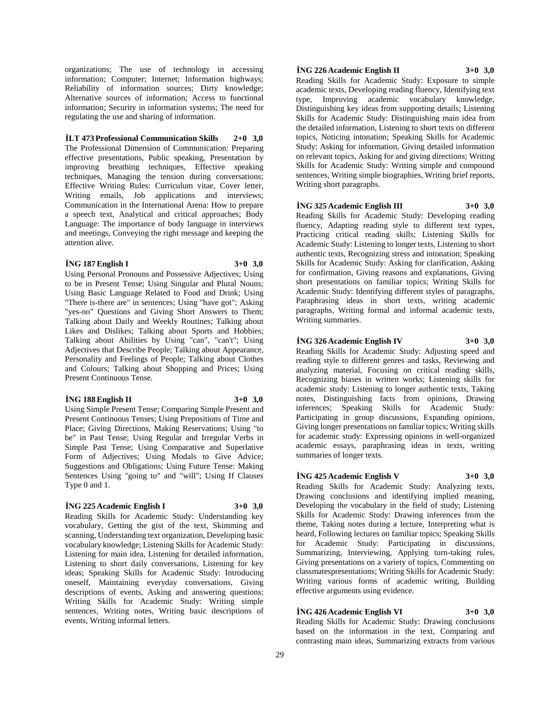organizations; The use of technology in accessing information; Computer; Internet; Information highways; Reliability of information sources; Dirty knowledge; Alternative sources of information; Access to functional information; Security in information systems; The need for regulating the use and sharing of information.

# **İLT 473 Professional Communication Skills 2+0 3,0**

The Professional Dimension of Communication: Preparing effective presentations, Public speaking, Presentation by improving breathing techniques, Effective speaking techniques, Managing the tension during conversations; Effective Writing Rules: Curriculum vitae, Cover letter, Writing emails, Job applications and interviews; Communication in the International Arena: How to prepare a speech text, Analytical and critical approaches; Body Language: The importance of body language in interviews and meetings, Conveying the right message and keeping the attention alive.

# **İNG 187 English I 3+0 3,0**

Using Personal Pronouns and Possessive Adjectives; Using to be in Present Tense; Using Singular and Plural Nouns; Using Basic Language Related to Food and Drink; Using "There is-there are" in sentences; Using "have got"; Asking "yes-no" Questions and Giving Short Answers to Them; Talking about Daily and Weekly Routines; Talking about Likes and Dislikes; Talking about Sports and Hobbies; Talking about Abilities by Using "can", "can't"; Using Adjectives that Describe People; Talking about Appearance, Personality and Feelings of People; Talking about Clothes and Colours; Talking about Shopping and Prices; Using Present Continuous Tense.

### **İNG 188 English II 3+0 3,0**

Using Simple Present Tense; Comparing Simple Present and Present Continuous Tenses; Using Prepositions of Time and Place; Giving Directions, Making Reservations; Using "to be" in Past Tense; Using Regular and Irregular Verbs in Simple Past Tense; Using Comparative and Superlative Form of Adjectives; Using Modals to Give Advice; Suggestions and Obligations; Using Future Tense: Making Sentences Using "going to" and "will"; Using If Clauses Type 0 and 1.

# **İNG 225 Academic English I 3+0 3,0**

Reading Skills for Academic Study: Understanding key vocabulary, Getting the gist of the text, Skimming and scanning, Understanding text organization, Developing basic vocabulary knowledge; Listening Skills for Academic Study: Listening for main idea, Listening for detailed information, Listening to short daily conversations, Listening for key ideas; Speaking Skills for Academic Study: Introducing oneself, Maintaining everyday conversations, Giving descriptions of events, Asking and answering questions; Writing Skills for Academic Study: Writing simple sentences, Writing notes, Writing basic descriptions of events, Writing informal letters.

# **İNG 226 Academic English II 3+0 3,0**

Reading Skills for Academic Study: Exposure to simple academic texts, Developing reading fluency, Identifying text type, Improving academic vocabulary knowledge, Distinguishing key ideas from supporting details; Listening Skills for Academic Study: Distinguishing main idea from the detailed information, Listening to short texts on different topics, Noticing intonation; Speaking Skills for Academic Study: Asking for information, Giving detailed information on relevant topics, Asking for and giving directions; Writing Skills for Academic Study: Writing simple and compound sentences, Writing simple biographies, Writing brief reports, Writing short paragraphs.

# **İNG 325 Academic English III 3+0 3,0**

Reading Skills for Academic Study: Developing reading fluency, Adapting reading style to different text types, Practicing critical reading skills; Listening Skills for Academic Study: Listening to longer texts, Listening to short authentic texts, Recognizing stress and intonation; Speaking Skills for Academic Study: Asking for clarification, Asking for confirmation, Giving reasons and explanations, Giving short presentations on familiar topics; Writing Skills for Academic Study: Identifying different styles of paragraphs, Paraphrasing ideas in short texts, writing academic paragraphs, Writing formal and informal academic texts, Writing summaries.

# **İNG 326 Academic English IV 3+0 3,0**

Reading Skills for Academic Study: Adjusting speed and reading style to different genres and tasks, Reviewing and analyzing material, Focusing on critical reading skills, Recognizing biases in written works; Listening skills for academic study: Listening to longer authentic texts, Taking notes, Distinguishing facts from opinions, Drawing inferences; Speaking Skills for Academic Study: Participating in group discussions, Expanding opinions, Giving longer presentations on familiar topics; Writing skills for academic study: Expressing opinions in well-organized academic essays, paraphrasing ideas in texts, writing summaries of longer texts.

# **İNG 425 Academic English V 3+0 3,0**

Reading Skills for Academic Study: Analyzing texts, Drawing conclusions and identifying implied meaning, Developing the vocabulary in the field of study; Listening Skills for Academic Study: Drawing inferences from the theme, Taking notes during a lecture, Interpreting what is heard, Following lectures on familiar topics; Speaking Skills for Academic Study: Participating in discussions, Summarizing, Interviewing, Applying turn-taking rules, Giving presentations on a variety of topics, Commenting on classmatespresentations; Writing Skills for Academic Study: Writing various forms of academic writing, Building effective arguments using evidence.

# **İNG 426 Academic English VI 3+0 3,0**

Reading Skills for Academic Study: Drawing conclusions based on the information in the text, Comparing and contrasting main ideas, Summarizing extracts from various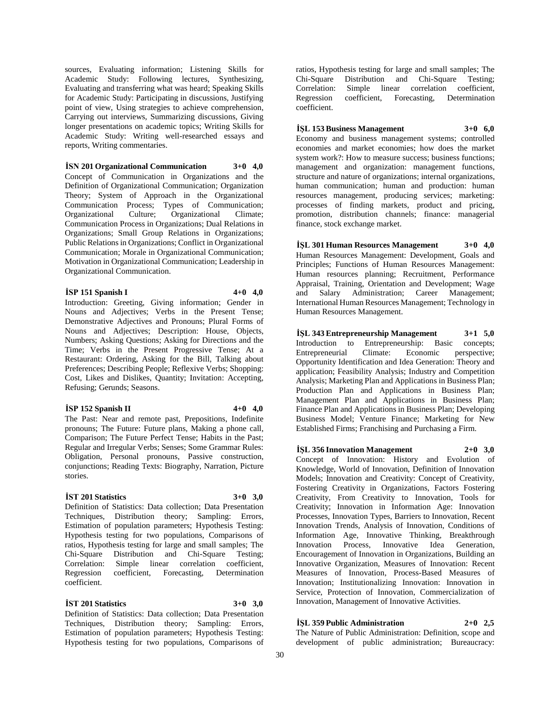sources, Evaluating information; Listening Skills for Academic Study: Following lectures, Synthesizing, Evaluating and transferring what was heard; Speaking Skills for Academic Study: Participating in discussions, Justifying point of view, Using strategies to achieve comprehension, Carrying out interviews, Summarizing discussions, Giving longer presentations on academic topics; Writing Skills for Academic Study: Writing well-researched essays and reports, Writing commentaries.

**İSN 201 Organizational Communication 3+0 4,0** Concept of Communication in Organizations and the Definition of Organizational Communication; Organization Theory; System of Approach in the Organizational Communication Process; Types of Communication; Organizational Culture; Organizational Climate; Communication Process in Organizations; Dual Relations in Organizations; Small Group Relations in Organizations; Public Relations in Organizations; Conflict in Organizational Communication; Morale in Organizational Communication; Motivation in Organizational Communication; Leadership in Organizational Communication.

# **İSP 151 Spanish I 4+0 4,0**

Introduction: Greeting, Giving information; Gender in Nouns and Adjectives; Verbs in the Present Tense; Demonstrative Adjectives and Pronouns; Plural Forms of Nouns and Adjectives; Description: House, Objects, Numbers; Asking Questions; Asking for Directions and the Time; Verbs in the Present Progressive Tense; At a Restaurant: Ordering, Asking for the Bill, Talking about Preferences; Describing People; Reflexive Verbs; Shopping: Cost, Likes and Dislikes, Quantity; Invitation: Accepting, Refusing; Gerunds; Seasons.

# **İSP 152 Spanish II 4+0 4,0**

The Past: Near and remote past, Prepositions, Indefinite pronouns; The Future: Future plans, Making a phone call, Comparison; The Future Perfect Tense; Habits in the Past; Regular and Irregular Verbs; Senses; Some Grammar Rules: Obligation, Personal pronouns, Passive construction, conjunctions; Reading Texts: Biography, Narration, Picture stories.

### **İST 201 Statistics 3+0 3,0**

Definition of Statistics: Data collection; Data Presentation Techniques, Distribution theory; Sampling: Errors, Estimation of population parameters; Hypothesis Testing: Hypothesis testing for two populations, Comparisons of ratios, Hypothesis testing for large and small samples; The Chi-Square Distribution and Chi-Square Testing; Correlation: Simple linear correlation coefficient, Regression coefficient, Forecasting, Determination coefficient.

# **İST 201 Statistics 3+0 3,0**

Definition of Statistics: Data collection; Data Presentation Techniques, Distribution theory; Sampling: Errors, Estimation of population parameters; Hypothesis Testing: Hypothesis testing for two populations, Comparisons of

ratios, Hypothesis testing for large and small samples; The Chi-Square Distribution and Chi-Square Testing; Simple linear correlation coefficient,<br>coefficient, Forecasting, Determination Regression coefficient, Forecasting, coefficient.

**İŞL 153 Business Management 3+0 6,0** Economy and business management systems; controlled economies and market economies; how does the market system work?: How to measure success; business functions; management and organization: management functions, structure and nature of organizations; internal organizations, human communication; human and production: human resources management, producing services; marketing: processes of finding markets, product and pricing, promotion, distribution channels; finance: managerial finance, stock exchange market.

**İŞL 301 Human Resources Management 3+0 4,0** Human Resources Management: Development, Goals and Principles; Functions of Human Resources Management: Human resources planning; Recruitment, Performance Appraisal, Training, Orientation and Development; Wage and Salary Administration; Career Management; International Human Resources Management; Technology in Human Resources Management.

**İŞL 343 Entrepreneurship Management 3+1 5,0** Introduction to Entrepreneurship: Basic concepts; Entrepreneurial Climate: Economic perspective; Opportunity Identification and Idea Generation: Theory and application; Feasibility Analysis; Industry and Competition Analysis; Marketing Plan and Applications in Business Plan; Production Plan and Applications in Business Plan; Management Plan and Applications in Business Plan; Finance Plan and Applications in Business Plan; Developing Business Model; Venture Finance; Marketing for New Established Firms; Franchising and Purchasing a Firm.

**İŞL 356 Innovation Management 2+0 3,0** Concept of Innovation: History and Evolution of Knowledge, World of Innovation, Definition of Innovation Models; Innovation and Creativity: Concept of Creativity, Fostering Creativity in Organizations, Factors Fostering Creativity, From Creativity to Innovation, Tools for Creativity; Innovation in Information Age: Innovation Processes, Innovation Types, Barriers to Innovation, Recent Innovation Trends, Analysis of Innovation, Conditions of Information Age, Innovative Thinking, Breakthrough Innovation Process, Innovative Idea Generation, Encouragement of Innovation in Organizations, Building an Innovative Organization, Measures of Innovation: Recent Measures of Innovation, Process-Based Measures of Innovation; Institutionalizing Innovation: Innovation in Service, Protection of Innovation, Commercialization of Innovation, Management of Innovative Activities.

# **İŞL 359 Public Administration 2+0 2,5**

The Nature of Public Administration: Definition, scope and development of public administration; Bureaucracy: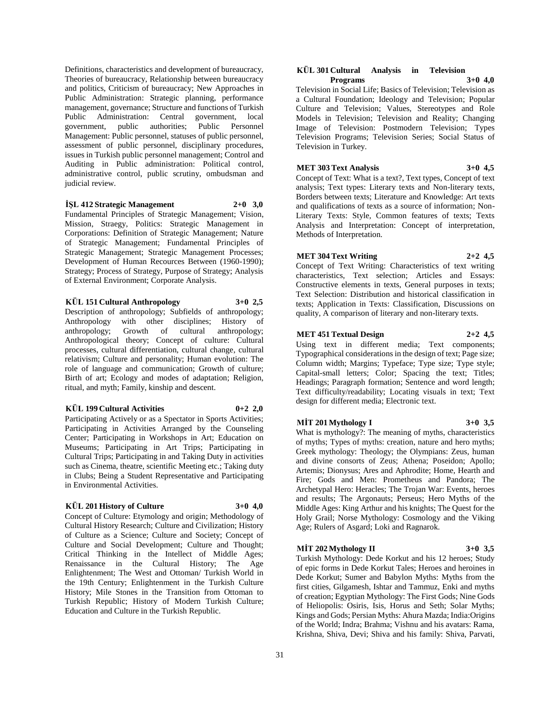Definitions, characteristics and development of bureaucracy, Theories of bureaucracy, Relationship between bureaucracy and politics, Criticism of bureaucracy; New Approaches in Public Administration: Strategic planning, performance management, governance; Structure and functions of Turkish Public Administration: Central government, local government, public authorities; Public Personnel Management: Public personnel, statuses of public personnel, assessment of public personnel, disciplinary procedures, issues in Turkish public personnel management; Control and Auditing in Public administration: Political control, administrative control, public scrutiny, ombudsman and judicial review.

#### **İŞL 412 Strategic Management 2+0 3,0**

Fundamental Principles of Strategic Management; Vision, Mission, Straegy, Politics: Strategic Management in Corporations: Definition of Strategic Management; Nature of Strategic Management; Fundamental Principles of Strategic Management; Strategic Management Processes; Development of Human Recources Between (1960-1990); Strategy; Process of Strategy, Purpose of Strategy; Analysis of External Environment; Corporate Analysis.

### **KÜL 151 Cultural Anthropology 3+0 2,5**

Description of anthropology; Subfields of anthropology; Anthropology with other disciplines; History of anthropology; Growth of cultural anthropology; anthropology; Anthropological theory; Concept of culture: Cultural processes, cultural differentiation, cultural change, cultural relativism; Culture and personality; Human evolution: The role of language and communication; Growth of culture; Birth of art; Ecology and modes of adaptation; Religion, ritual, and myth; Family, kinship and descent.

### **KÜL 199 Cultural Activities 0+2 2,0**

Participating Actively or as a Spectator in Sports Activities; Participating in Activities Arranged by the Counseling Center; Participating in Workshops in Art; Education on Museums; Participating in Art Trips; Participating in Cultural Trips; Participating in and Taking Duty in activities such as Cinema, theatre, scientific Meeting etc.; Taking duty in Clubs; Being a Student Representative and Participating in Environmental Activities.

# **KÜL 201 History of Culture 3+0 4,0**

Concept of Culture: Etymology and origin; Methodology of Cultural History Research; Culture and Civilization; History of Culture as a Science; Culture and Society; Concept of Culture and Social Development; Culture and Thought; Critical Thinking in the Intellect of Middle Ages; Renaissance in the Cultural History; The Age Enlightenment; The West and Ottoman/ Turkish World in the 19th Century; Enlightenment in the Turkish Culture History; Mile Stones in the Transition from Ottoman to Turkish Republic; History of Modern Turkish Culture; Education and Culture in the Turkish Republic.

#### **KÜL 301 Cultural Analysis in Television Programs 3+0 4,0**

Television in Social Life; Basics of Television; Television as a Cultural Foundation; Ideology and Television; Popular Culture and Television; Values, Stereotypes and Role Models in Television; Television and Reality; Changing Image of Television: Postmodern Television; Types Television Programs; Television Series; Social Status of Television in Turkey.

### **MET 303 Text Analysis 3+0 4,5**

Concept of Text: What is a text?, Text types, Concept of text analysis; Text types: Literary texts and Non-literary texts, Borders between texts; Literature and Knowledge: Art texts and qualifications of texts as a source of information; Non-Literary Texts: Style, Common features of texts; Texts Analysis and Interpretation: Concept of interpretation, Methods of Interpretation.

# **MET 304 Text Writing 2+2 4,5**

Concept of Text Writing: Characteristics of text writing characteristics, Text selection; Articles and Essays: Constructive elements in texts, General purposes in texts; Text Selection: Distribution and historical classification in texts; Application in Texts: Classification, Discussions on quality, A comparison of literary and non-literary texts.

### **MET 451 Textual Design 2+2 4,5**

Using text in different media; Text components; Typographical considerations in the design of text; Page size; Column width; Margins; Typeface; Type size; Type style; Capital-small letters; Color; Spacing the text; Titles; Headings; Paragraph formation; Sentence and word length; Text difficulty/readability; Locating visuals in text; Text design for different media; Electronic text.

# **MİT 201 Mythology I 3+0 3,5**

What is mythology?: The meaning of myths, characteristics of myths; Types of myths: creation, nature and hero myths; Greek mythology: Theology; the Olympians: Zeus, human and divine consorts of Zeus; Athena; Poseidon; Apollo; Artemis; Dionysus; Ares and Aphrodite; Home, Hearth and Fire; Gods and Men: Prometheus and Pandora; The Archetypal Hero: Heracles; The Trojan War: Events, heroes and results; The Argonauts; Perseus; Hero Myths of the Middle Ages: King Arthur and his knights; The Quest for the Holy Grail; Norse Mythology: Cosmology and the Viking Age; Rulers of Asgard; Loki and Ragnarok.

# **MİT 202 Mythology II 3+0 3,5**

Turkish Mythology: Dede Korkut and his 12 heroes; Study of epic forms in Dede Korkut Tales; Heroes and heroines in Dede Korkut; Sumer and Babylon Myths: Myths from the first cities, Gilgamesh, Ishtar and Tammuz, Enki and myths of creation; Egyptian Mythology: The First Gods; Nine Gods of Heliopolis: Osiris, Isis, Horus and Seth; Solar Myths; Kings and Gods; Persian Myths: Ahura Mazda; India:Origins of the World; Indra; Brahma; Vishnu and his avatars: Rama, Krishna, Shiva, Devi; Shiva and his family: Shiva, Parvati,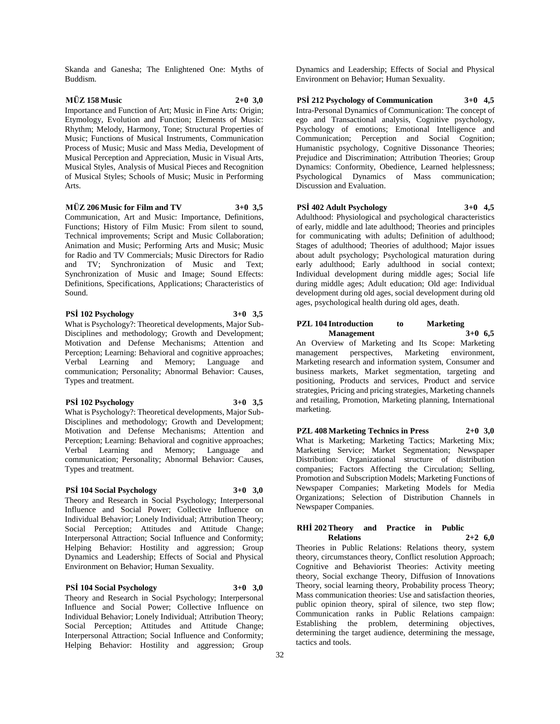Skanda and Ganesha; The Enlightened One: Myths of Buddism.

# **MÜZ 158 Music 2+0 3,0**

Importance and Function of Art; Music in Fine Arts: Origin; Etymology, Evolution and Function; Elements of Music: Rhythm; Melody, Harmony, Tone; Structural Properties of Music; Functions of Musical Instruments, Communication Process of Music; Music and Mass Media, Development of Musical Perception and Appreciation, Music in Visual Arts, Musical Styles, Analysis of Musical Pieces and Recognition of Musical Styles; Schools of Music; Music in Performing Arts.

### **MÜZ 206 Music for Film and TV 3+0 3,5**

Communication, Art and Music: Importance, Definitions, Functions; History of Film Music: From silent to sound, Technical improvements; Script and Music Collaboration; Animation and Music; Performing Arts and Music; Music for Radio and TV Commercials; Music Directors for Radio and TV; Synchronization of Music and Text; Synchronization of Music and Image; Sound Effects: Definitions, Specifications, Applications; Characteristics of Sound.

# **PSİ 102 Psychology 3+0 3,5**

What is Psychology?: Theoretical developments, Major Sub-Disciplines and methodology; Growth and Development; Motivation and Defense Mechanisms; Attention and Perception; Learning: Behavioral and cognitive approaches; Verbal Learning and Memory; Language and communication; Personality; Abnormal Behavior: Causes, Types and treatment.

### **PSİ 102 Psychology 3+0 3,5**

What is Psychology?: Theoretical developments, Major Sub-Disciplines and methodology; Growth and Development; Motivation and Defense Mechanisms; Attention and Perception; Learning: Behavioral and cognitive approaches; Verbal Learning and Memory; Language and communication; Personality; Abnormal Behavior: Causes, Types and treatment.

# **PSİ 104 Social Psychology 3+0 3,0**

Theory and Research in Social Psychology; Interpersonal Influence and Social Power; Collective Influence on Individual Behavior; Lonely Individual; Attribution Theory; Social Perception; Attitudes and Attitude Change; Interpersonal Attraction; Social Influence and Conformity; Helping Behavior: Hostility and aggression; Group Dynamics and Leadership; Effects of Social and Physical Environment on Behavior; Human Sexuality.

# **PSİ 104 Social Psychology 3+0 3,0**

Theory and Research in Social Psychology; Interpersonal Influence and Social Power; Collective Influence on Individual Behavior; Lonely Individual; Attribution Theory; Social Perception; Attitudes and Attitude Change; Interpersonal Attraction; Social Influence and Conformity; Helping Behavior: Hostility and aggression; Group

Dynamics and Leadership; Effects of Social and Physical Environment on Behavior; Human Sexuality.

# **PSİ 212 Psychology of Communication 3+0 4,5**

Intra-Personal Dynamics of Communication: The concept of ego and Transactional analysis, Cognitive psychology, Psychology of emotions; Emotional Intelligence and Communication; Perception and Social Cognition; Humanistic psychology, Cognitive Dissonance Theories; Prejudice and Discrimination: Attribution Theories: Group Dynamics: Conformity, Obedience, Learned helplessness; Psychological Dynamics of Mass communication; Discussion and Evaluation.

### **PSİ 402 Adult Psychology 3+0 4,5**

Adulthood: Physiological and psychological characteristics of early, middle and late adulthood; Theories and principles for communicating with adults; Definition of adulthood; Stages of adulthood; Theories of adulthood; Major issues about adult psychology; Psychological maturation during early adulthood; Early adulthood in social context; Individual development during middle ages; Social life during middle ages; Adult education; Old age: Individual development during old ages, social development during old ages, psychological health during old ages, death.

### **PZL 104 Introduction to Marketing Management 3+0 6,5**

An Overview of Marketing and Its Scope: Marketing management perspectives, Marketing environment, Marketing research and information system, Consumer and business markets, Market segmentation, targeting and positioning, Products and services, Product and service strategies, Pricing and pricing strategies, Marketing channels and retailing, Promotion, Marketing planning, International marketing.

**PZL 408 Marketing Technics in Press 2+0 3,0** What is Marketing; Marketing Tactics; Marketing Mix; Marketing Service; Market Segmentation; Newspaper Distribution: Organizational structure of distribution companies; Factors Affecting the Circulation; Selling, Promotion and Subscription Models; Marketing Functions of Newspaper Companies; Marketing Models for Media Organizations; Selection of Distribution Channels in Newspaper Companies.

### **RHİ 202 Theory and Practice in Public Relations 2+2 6,0**

Theories in Public Relations: Relations theory, system theory, circumstances theory, Conflict resolution Approach; Cognitive and Behaviorist Theories: Activity meeting theory, Social exchange Theory, Diffusion of Innovations Theory, social learning theory, Probability process Theory; Mass communication theories: Use and satisfaction theories, public opinion theory, spiral of silence, two step flow; Communication ranks in Public Relations campaign: Establishing the problem, determining objectives, determining the target audience, determining the message, tactics and tools.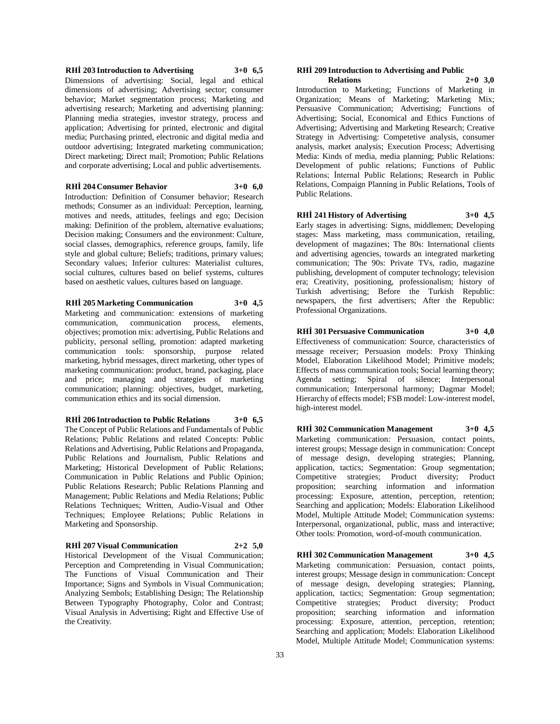### **RHİ 203 Introduction to Advertising 3+0 6,5**

Dimensions of advertising: Social, legal and ethical dimensions of advertising; Advertising sector; consumer behavior; Market segmentation process; Marketing and advertising research; Marketing and advertising planning: Planning media strategies, investor strategy, process and application; Advertising for printed, electronic and digital media; Purchasing printed, electronic and digital media and outdoor advertising; Integrated marketing communication; Direct marketing; Direct mail; Promotion; Public Relations and corporate advertising; Local and public advertisements.

#### **RHİ 204 Consumer Behavior 3+0 6,0**

Introduction: Definition of Consumer behavior; Research methods; Consumer as an individual: Perception, learning, motives and needs, attitudes, feelings and ego; Decision making: Definition of the problem, alternative evaluations; Decision making; Consumers and the environment: Culture, social classes, demographics, reference groups, family, life style and global culture; Beliefs; traditions, primary values; Secondary values; Inferior cultures: Materialist cultures, social cultures, cultures based on belief systems, cultures based on aesthetic values, cultures based on language.

# **RHİ 205 Marketing Communication 3+0 4,5**

Marketing and communication: extensions of marketing communication, communication process, elements, objectives; promotion mix: advertising, Public Relations and publicity, personal selling, promotion: adapted marketing communication tools: sponsorship, purpose related marketing, hybrid messages, direct marketing, other types of marketing communication: product, brand, packaging, place and price; managing and strategies of marketing communication; planning: objectives, budget, marketing, communication ethics and its social dimension.

**RHİ 206 Introduction to Public Relations 3+0 6,5** The Concept of Public Relations and Fundamentals of Public Relations; Public Relations and related Concepts: Public Relations and Advertising, Public Relations and Propaganda, Public Relations and Journalism, Public Relations and Marketing; Historical Development of Public Relations; Communication in Public Relations and Public Opinion; Public Relations Research; Public Relations Planning and Management; Public Relations and Media Relations; Public Relations Techniques; Written, Audio-Visual and Other Techniques; Employee Relations; Public Relations in Marketing and Sponsorship.

### **RHİ 207 Visual Communication 2+2 5,0**

Historical Development of the Visual Communication; Perception and Compretending in Visual Communication; The Functions of Visual Communication and Their Importance; Signs and Symbols in Visual Communication; Analyzing Sembols; Establishing Design; The Relationship Between Typography Photography, Color and Contrast; Visual Analysis in Advertising; Right and Effective Use of the Creativity.

# **RHİ 209 Introduction to Advertising and Public**

**Relations 2+0 3,0** Introduction to Marketing; Functions of Marketing in Organization; Means of Marketing; Marketing Mix; Persuasive Communication; Advertising; Functions of Advertising; Social, Economical and Ethics Functions of Advertising; Advertising and Marketing Research; Creative Strategy in Advertising: Competetive analysis, consumer analysis, market analysis; Execution Process; Advertising Media: Kinds of media, media planning; Public Relations: Development of public relations; Functions of Public Relations; İnternal Public Relations; Research in Public Relations, Compaign Planning in Public Relations, Tools of Public Relations.

**RHİ 241 History of Advertising 3+0 4,5** Early stages in advertising: Signs, middlemen; Developing stages: Mass marketing, mass communication, retailing, development of magazines; The 80s: International clients and advertising agencies, towards an integrated marketing communication; The 90s: Private TVs, radio, magazine publishing, development of computer technology; television era; Creativity, positioning, professionalism; history of Turkish advertising; Before the Turkish Republic: newspapers, the first advertisers; After the Republic: Professional Organizations.

# **RHİ 301 Persuasive Communication 3+0 4,0**

Effectiveness of communication: Source, characteristics of message receiver; Persuasion models: Proxy Thinking Model, Elaboration Likelihood Model; Primitive models; Effects of mass communication tools; Social learning theory; Agenda setting; Spiral of silence; Interpersonal communication; Interpersonal harmony; Dagmar Model; Hierarchy of effects model; FSB model: Low-interest model, high-interest model.

**RHİ 302 Communication Management 3+0 4,5** Marketing communication: Persuasion, contact points, interest groups; Message design in communication: Concept of message design, developing strategies; Planning, application, tactics; Segmentation: Group segmentation; Competitive strategies; Product diversity; Product proposition; searching information and information processing: Exposure, attention, perception, retention; Searching and application; Models: Elaboration Likelihood Model, Multiple Attitude Model; Communication systems: Interpersonal, organizational, public, mass and interactive; Other tools: Promotion, word-of-mouth communication.

**RHİ 302 Communication Management 3+0 4,5** Marketing communication: Persuasion, contact points, interest groups; Message design in communication: Concept of message design, developing strategies; Planning, application, tactics; Segmentation: Group segmentation; Competitive strategies; Product diversity; Product proposition; searching information and information processing: Exposure, attention, perception, retention; Searching and application; Models: Elaboration Likelihood Model, Multiple Attitude Model; Communication systems: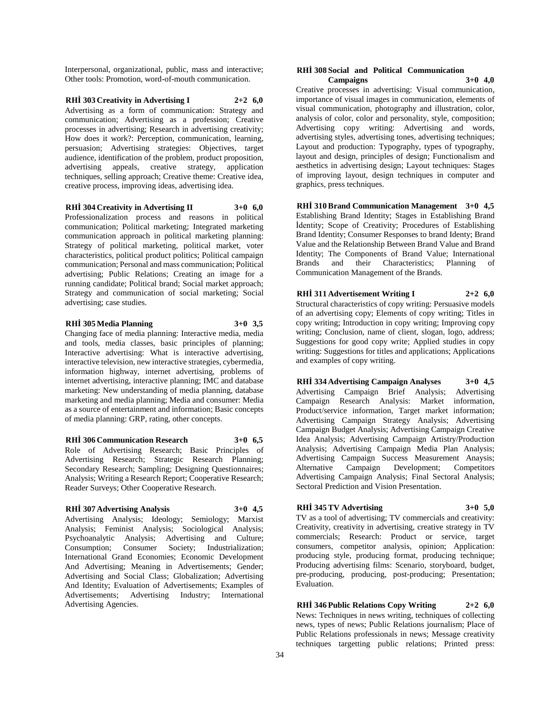Interpersonal, organizational, public, mass and interactive; Other tools: Promotion, word-of-mouth communication.

**RHİ 303 Creativity in Advertising I 2+2 6,0** Advertising as a form of communication: Strategy and communication; Advertising as a profession; Creative processes in advertising; Research in advertising creativity; How does it work?: Perception, communication, learning, persuasion; Advertising strategies: Objectives, target audience, identification of the problem, product proposition, advertising appeals, creative strategy, application techniques, selling approach; Creative theme: Creative idea, creative process, improving ideas, advertising idea.

# **RHİ 304 Creativity in Advertising II 3+0 6,0**

Professionalization process and reasons in political communication; Political marketing; Integrated marketing communication approach in political marketing planning: Strategy of political marketing, political market, voter characteristics, political product politics; Political campaign communication; Personal and mass communication; Political advertising; Public Relations; Creating an image for a running candidate; Political brand; Social market approach; Strategy and communication of social marketing; Social advertising; case studies.

# **RHİ 305 Media Planning 3+0 3,5**

Changing face of media planning: Interactive media, media and tools, media classes, basic principles of planning; Interactive advertising: What is interactive advertising, interactive television, new interactive strategies, cybermedia, information highway, internet advertising, problems of internet advertising, interactive planning; IMC and database marketing: New understanding of media planning, database marketing and media planning; Media and consumer: Media as a source of entertainment and information; Basic concepts of media planning: GRP, rating, other concepts.

#### **RHİ 306 Communication Research 3+0 6,5**

Role of Advertising Research; Basic Principles of Advertising Research; Strategic Research Planning; Secondary Research; Sampling; Designing Questionnaires; Analysis; Writing a Research Report; Cooperative Research; Reader Surveys; Other Cooperative Research.

### **RHİ 307 Advertising Analysis 3+0 4,5**

Advertising Analysis; Ideology; Semiology; Marxist Analysis; Feminist Analysis; Sociological Analysis; Psychoanalytic Analysis; Advertising and Culture; Consumption; Consumer Society; Industrialization; International Grand Economies; Economic Development And Advertising; Meaning in Advertisements; Gender; Advertising and Social Class; Globalization; Advertising And Identity; Evaluation of Advertisements; Examples of Advertisements; Advertising Industry; International Advertising Agencies.

### **RHİ 308 Social and Political Communication Campaigns 3+0 4,0**

Creative processes in advertising: Visual communication, importance of visual images in communication, elements of visual communication, photography and illustration, color, analysis of color, color and personality, style, composition; Advertising copy writing: Advertising and words, advertising styles, advertising tones, advertising techniques; Layout and production: Typography, types of typography, layout and design, principles of design; Functionalism and aesthetics in advertising design; Layout techniques: Stages of improving layout, design techniques in computer and graphics, press techniques.

**RHİ 310 Brand Communication Management 3+0 4,5** Establishing Brand Identity; Stages in Establishing Brand İdentity; Scope of Creativity; Procedures of Establishing Brand Identity; Consumer Responses to brand Identy; Brand Value and the Relationship Between Brand Value and Brand Identity; The Components of Brand Value; International Brands and their Characteristics; Planning of Communication Management of the Brands.

**RHİ 311 Advertisement Writing I 2+2 6,0** Structural characteristics of copy writing: Persuasive models of an advertising copy; Elements of copy writing; Titles in copy writing; Introduction in copy writing; Improving copy writing; Conclusion, name of client, slogan, logo, address; Suggestions for good copy write; Applied studies in copy writing: Suggestions for titles and applications; Applications and examples of copy writing.

**RHİ 334 Advertising Campaign Analyses 3+0 4,5** Advertising Campaign Brief Analysis; Campaign Research Analysis: Market information, Product/service information, Target market information; Advertising Campaign Strategy Analysis; Advertising Campaign Budget Analysis; Advertising Campaign Creative Idea Analysis; Advertising Campaign Artistry/Production Analysis; Advertising Campaign Media Plan Analysis; Advertising Campaign Success Measurement Anaysis; Alternative Campaign Development; Competitors Advertising Campaign Analysis; Final Sectoral Analysis; Sectoral Prediction and Vision Presentation.

# **RHİ 345 TV Advertising 3+0 5,0**

TV as a tool of advertising; TV commercials and creativity: Creativity, creativity in advertising, creative strategy in TV commercials; Research: Product or service, target consumers, competitor analysis, opinion; Application: producing style, producing format, producing technique; Producing advertising films: Scenario, storyboard, budget, pre-producing, producing, post-producing; Presentation; Evaluation.

**RHİ 346 Public Relations Copy Writing 2+2 6,0** News: Techniques in news writing, techniques of collecting news, types of news; Public Relations journalism; Place of Public Relations professionals in news; Message creativity techniques targetting public relations; Printed press: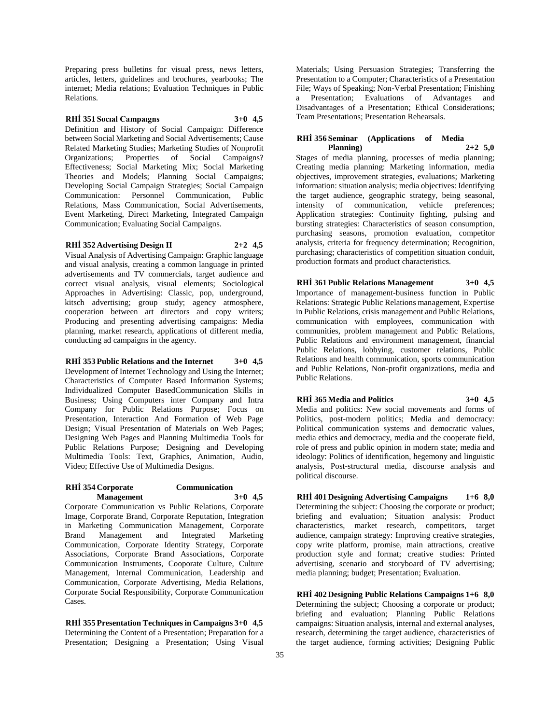Preparing press bulletins for visual press, news letters, articles, letters, guidelines and brochures, yearbooks; The internet; Media relations; Evaluation Techniques in Public Relations.

### **RHİ 351 Socıal Campaıgns 3+0 4,5**

Definition and History of Social Campaign: Difference between Social Marketing and Social Advertisements; Cause Related Marketing Studies; Marketing Studies of Nonprofit Organizations; Properties of Social Campaigns? Effectiveness; Social Marketing Mix; Social Marketing Theories and Models; Planning Social Campaigns; Developing Social Campaign Strategies; Social Campaign Communication: Personnel Communication, Public Relations, Mass Communication, Social Advertisements, Event Marketing, Direct Marketing, Integrated Campaign Communication; Evaluating Social Campaigns.

### **RHİ 352 Advertising Design II 2+2 4,5**

Visual Analysis of Advertising Campaign: Graphic language and visual analysis, creating a common language in printed advertisements and TV commercials, target audience and correct visual analysis, visual elements; Sociological Approaches in Advertising: Classic, pop, underground, kitsch advertising; group study; agency atmosphere, cooperation between art directors and copy writers; Producing and presenting advertising campaigns: Media planning, market research, applications of different media, conducting ad campaigns in the agency.

### **RHİ 353 Public Relations and the Internet 3+0 4,5**

Development of Internet Technology and Using the Internet; Characteristics of Computer Based Information Systems; Individualized Computer BasedCommunication Skills in Business; Using Computers inter Company and Intra Company for Public Relations Purpose; Focus on Presentation, Interaction And Formation of Web Page Design; Visual Presentation of Materials on Web Pages; Designing Web Pages and Planning Multimedia Tools for Public Relations Purpose; Designing and Developing Multimedia Tools: Text, Graphics, Animation, Audio, Video; Effective Use of Multimedia Designs.

# **RHİ 354 Corporate Communication Management 3+0 4,5**

Corporate Communication vs Public Relations, Corporate Image, Corporate Brand, Corporate Reputation, Integration in Marketing Communication Management, Corporate Brand Management and Integrated Marketing Communication, Corporate Identity Strategy, Corporate Associations, Corporate Brand Associations, Corporate Communication Instruments, Cooporate Culture, Culture Management, Internal Communication, Leadership and Communication, Corporate Advertising, Media Relations, Corporate Social Responsibility, Corporate Communication Cases.

**RHİ 355 Presentation Techniques in Campaigns 3+0 4,5** Determining the Content of a Presentation; Preparation for a Presentation; Designing a Presentation; Using Visual Materials; Using Persuasion Strategies; Transferring the Presentation to a Computer; Characteristics of a Presentation File; Ways of Speaking; Non-Verbal Presentation; Finishing a Presentation; Evaluations of Advantages and Disadvantages of a Presentation; Ethical Considerations; Team Presentations; Presentation Rehearsals.

### **RHİ 356 Seminar (Applications of Media Planning) 2+2 5,0**

Stages of media planning, processes of media planning; Creating media planning: Marketing information, media objectives, improvement strategies, evaluations; Marketing information: situation analysis; media objectives: Identifying the target audience, geographic strategy, being seasonal, intensity of communication, vehicle preferences; Application strategies: Continuity fighting, pulsing and bursting strategies: Characteristics of season consumption, purchasing seasons, promotion evaluation, competitor analysis, criteria for frequency determination; Recognition, purchasing; characteristics of competition situation conduit, production formats and product characteristics.

# Importance of management-business function in Public Relations: Strategic Public Relations management, Expertise in Public Relations, crisis management and Public Relations, communication with employees, communication with communities, problem management and Public Relations,

**RHİ 361 Public Relations Management 3+0 4,5**

Public Relations and environment management, financial Public Relations, lobbying, customer relations, Public Relations and health communication, sports communication and Public Relations, Non-profit organizations, media and Public Relations.

# **RHİ 365 Media and Politics 3+0 4,5**

Media and politics: New social movements and forms of Politics, post-modern politics; Media and democracy: Political communication systems and democratic values, media ethics and democracy, media and the cooperate field, role of press and public opinion in modern state; media and ideology: Politics of identification, hegemony and linguistic analysis, Post-structural media, discourse analysis and political discourse.

**RHİ 401 Designing Advertising Campaigns 1+6 8,0** Determining the subject: Choosing the corporate or product; briefing and evaluation; Situation analysis: Product characteristics, market research, competitors, target audience, campaign strategy: Improving creative strategies, copy write platform, promise, main attractions, creative production style and format; creative studies: Printed advertising, scenario and storyboard of TV advertising; media planning; budget; Presentation; Evaluation.

**RHİ 402 Designing Public Relations Campaigns 1+6 8,0** Determining the subject; Choosing a corporate or product; briefing and evaluation; Planning Public Relations campaigns: Situation analysis, internal and external analyses, research, determining the target audience, characteristics of the target audience, forming activities; Designing Public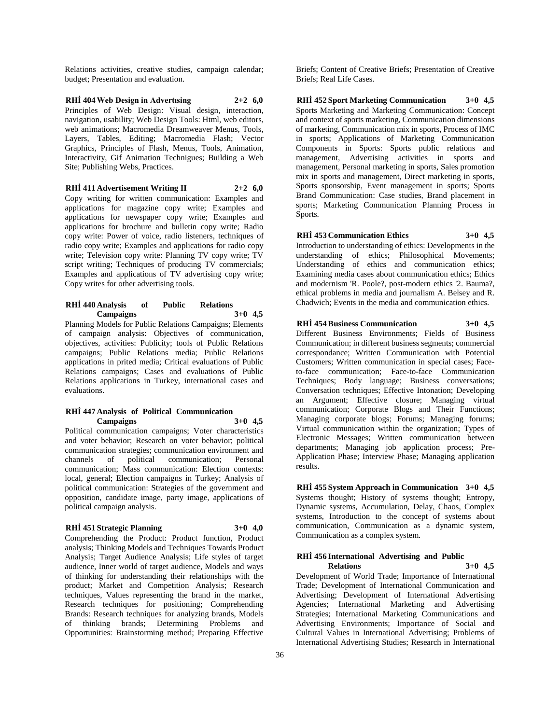Relations activities, creative studies, campaign calendar; budget; Presentation and evaluation.

**RHİ 404 Web Design in Advertısing 2+2 6,0** Principles of Web Design: Visual design, interaction, navigation, usability; Web Design Tools: Html, web editors, web animations; Macromedia Dreamweaver Menus, Tools, Layers, Tables, Editing; Macromedia Flash; Vector Graphics, Principles of Flash, Menus, Tools, Animation, Interactivity, Gif Animation Technigues; Building a Web Site; Publishing Webs, Practices.

**RHİ 411 Advertisement Writing II 2+2 6,0**

Copy writing for written communication: Examples and applications for magazine copy write; Examples and applications for newspaper copy write; Examples and applications for brochure and bulletin copy write; Radio copy write: Power of voice, radio listeners, techniques of radio copy write; Examples and applications for radio copy write; Television copy write: Planning TV copy write; TV script writing; Techniques of producing TV commercials; Examples and applications of TV advertising copy write; Copy writes for other advertising tools.

# **RHİ 440 Analysis of Public Relations Campaigns 3+0 4,5**

Planning Models for Public Relations Campaigns; Elements of campaign analysis: Objectives of communication, objectives, activities: Publicity; tools of Public Relations campaigns; Public Relations media; Public Relations applications in prited media; Critical evaluations of Public Relations campaigns; Cases and evaluations of Public Relations applications in Turkey, international cases and evaluations.

### **RHİ 447 Analysis of Political Communication Campaigns 3+0 4,5**

Political communication campaigns; Voter characteristics and voter behavior; Research on voter behavior; political communication strategies; communication environment and channels of political communication; Personal communication; Mass communication: Election contexts: local, general; Election campaigns in Turkey; Analysis of political communication: Strategies of the government and opposition, candidate image, party image, applications of political campaign analysis.

# **RHİ 451 Strategic Planning 3+0 4,0**

Comprehending the Product: Product function, Product analysis; Thinking Models and Techniques Towards Product Analysis; Target Audience Analysis; Life styles of target audience, Inner world of target audience, Models and ways of thinking for understanding their relationships with the product; Market and Competition Analysis; Research techniques, Values representing the brand in the market, Research techniques for positioning; Comprehending Brands: Research techniques for analyzing brands, Models of thinking brands; Determining Problems and Opportunities: Brainstorming method; Preparing Effective

Briefs; Content of Creative Briefs; Presentation of Creative Briefs; Real Life Cases.

**RHİ 452 Sport Marketing Communication 3+0 4,5** Sports Marketing and Marketing Communication: Concept and context of sports marketing, Communication dimensions of marketing, Communication mix in sports, Process of IMC in sports; Applications of Marketing Communication Components in Sports: Sports public relations and management, Advertising activities in sports and management, Personal marketing in sports, Sales promotion mix in sports and management, Direct marketing in sports, Sports sponsorship, Event management in sports; Sports Brand Communication: Case studies, Brand placement in sports; Marketing Communication Planning Process in Sports.

**RHİ 453 Communication Ethics 3+0 4,5**

Introduction to understanding of ethics: Developments in the understanding of ethics; Philosophical Movements; Understanding of ethics and communication ethics; Examining media cases about communication ethics; Ethics and modernism 'R. Poole?, post-modern ethics '2. Bauma?, ethical problems in media and journalism A. Belsey and R. Chadwich; Events in the media and communication ethics.

# **RHİ 454 Business Communication 3+0 4,5**

Different Business Environments; Fields of Business Communication; in different business segments; commercial correspondance; Written Communication with Potential Customers; Written communication in special cases; Faceto-face communication; Face-to-face Communication Techniques; Body language; Business conversations; Conversation techniques; Effective Intonation; Developing an Argument; Effective closure; Managing virtual communication; Corporate Blogs and Their Functions; Managing corporate blogs; Forums; Managing forums; Virtual communication within the organization; Types of Electronic Messages; Written communication between departments; Managing job application process; Pre-Application Phase; Interview Phase; Managing application results.

**RHİ 455 System Approach in Communication 3+0 4,5** Systems thought; History of systems thought; Entropy, Dynamic systems, Accumulation, Delay, Chaos, Complex systems, Introduction to the concept of systems about communication, Communication as a dynamic system, Communication as a complex system.

# **RHİ 456 International Advertising and Public**

**Relations 3+0 4,5**

Development of World Trade; Importance of International Trade; Development of International Communication and Advertising; Development of International Advertising Agencies; International Marketing and Advertising Strategies; International Marketing Communications and Advertising Environments; Importance of Social and Cultural Values in International Advertising; Problems of International Advertising Studies; Research in International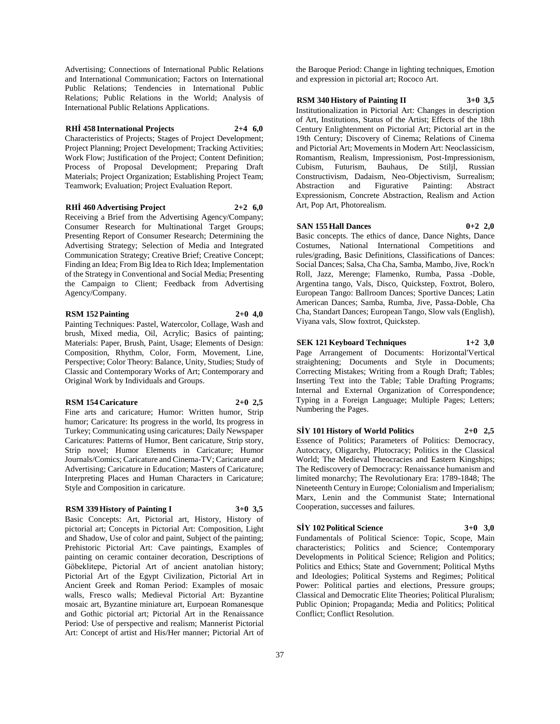Advertising; Connections of International Public Relations and International Communication; Factors on International Public Relations; Tendencies in International Public Relations; Public Relations in the World; Analysis of International Public Relations Applications.

### **RHİ 458 International Projects 2+4 6,0**

Characteristics of Projects; Stages of Project Development; Project Planning; Project Development; Tracking Activities; Work Flow: Justification of the Project: Content Definition: Process of Proposal Development; Preparing Draft Materials; Project Organization; Establishing Project Team; Teamwork; Evaluation; Project Evaluation Report.

### **RHİ 460 Advertising Project 2+2 6,0**

Receiving a Brief from the Advertising Agency/Company; Consumer Research for Multinational Target Groups; Presenting Report of Consumer Research; Determining the Advertising Strategy; Selection of Media and Integrated Communication Strategy; Creative Brief; Creative Concept; Finding an Idea; From Big Idea to Rich Idea; Implementation of the Strategy in Conventional and Social Media; Presenting the Campaign to Client; Feedback from Advertising Agency/Company.

# **RSM 152 Painting 2+0 4,0**

Painting Techniques: Pastel, Watercolor, Collage, Wash and brush, Mixed media, Oil, Acrylic; Basics of painting; Materials: Paper, Brush, Paint, Usage; Elements of Design: Composition, Rhythm, Color, Form, Movement, Line, Perspective; Color Theory: Balance, Unity, Studies; Study of Classic and Contemporary Works of Art; Contemporary and Original Work by Individuals and Groups.

### **RSM 154 Caricature 2+0 2,5**

Fine arts and caricature; Humor: Written humor, Strip humor; Caricature: Its progress in the world, Its progress in Turkey; Communicating using caricatures; Daily Newspaper Caricatures: Patterns of Humor, Bent caricature, Strip story, Strip novel; Humor Elements in Caricature; Humor Journals/Comics; Caricature and Cinema-TV; Caricature and Advertising; Caricature in Education; Masters of Caricature; Interpreting Places and Human Characters in Caricature; Style and Composition in caricature.

### **RSM 339 History of Painting I 3+0 3,5**

Basic Concepts: Art, Pictorial art, History, History of pictorial art; Concepts in Pictorial Art: Composition, Light and Shadow, Use of color and paint, Subject of the painting; Prehistoric Pictorial Art: Cave paintings, Examples of painting on ceramic container decoration, Descriptions of Göbeklitepe, Pictorial Art of ancient anatolian history; Pictorial Art of the Egypt Civilization, Pictorial Art in Ancient Greek and Roman Period: Examples of mosaic walls, Fresco walls; Medieval Pictorial Art: Byzantine mosaic art, Byzantine miniature art, Eurpoean Romanesque and Gothic pictorial art; Pictorial Art in the Renaissance Period: Use of perspective and realism; Mannerist Pictorial Art: Concept of artist and His/Her manner; Pictorial Art of

the Baroque Period: Change in lighting techniques, Emotion and expression in pictorial art; Rococo Art.

### **RSM 340 History of Painting II 3+0 3,5**

Institutionalization in Pictorial Art: Changes in description of Art, Institutions, Status of the Artist; Effects of the 18th Century Enlightenment on Pictorial Art; Pictorial art in the 19th Century; Discovery of Cinema; Relations of Cinema and Pictorial Art; Movements in Modern Art: Neoclassicism, Romantism, Realism, Impressionism, Post-Impressionism, Cubism, Futurism, Bauhaus, De Stiljl, Russian Constructivism, Dadaism, Neo-Objectivism, Surrealism; Abstraction and Figurative Painting: Abstract Expressionism, Concrete Abstraction, Realism and Action Art, Pop Art, Photorealism.

# **SAN 155 Hall Dances 0+2 2,0**

Basic concepts. The ethics of dance, Dance Nights, Dance Costumes, National International Competitions and rules/grading, Basic Definitions, Classifications of Dances: Social Dances; Salsa, Cha Cha, Samba, Mambo, Jive, Rock'n Roll, Jazz, Merenge; Flamenko, Rumba, Passa -Doble, Argentina tango, Vals, Disco, Quickstep, Foxtrot, Bolero, European Tango: Ballroom Dances; Sportive Dances; Latin American Dances; Samba, Rumba, Jive, Passa-Doble, Cha Cha, Standart Dances; European Tango, Slow vals (English), Viyana vals, Slow foxtrot, Quickstep.

**SEK 121 Keyboard Techniques 1+2 3,0** Page Arrangement of Documents: Horizontal'Vertical straightening; Documents and Style in Documents; Correcting Mistakes; Writing from a Rough Draft; Tables; Inserting Text into the Table; Table Drafting Programs; Internal and External Organization of Correspondence; Typing in a Foreign Language; Multiple Pages; Letters; Numbering the Pages.

# **SİY 101 History of World Politics 2+0 2,5** Essence of Politics; Parameters of Politics: Democracy,

Autocracy, Oligarchy, Plutocracy; Politics in the Classical World; The Medieval Theocracies and Eastern Kingships; The Rediscovery of Democracy: Renaissance humanism and limited monarchy; The Revolutionary Era: 1789-1848; The Nineteenth Century in Europe; Colonialism and Imperialism; Marx, Lenin and the Communist State; International Cooperation, successes and failures.

# **SİY 102 Political Science 3+0 3,0**

Fundamentals of Political Science: Topic, Scope, Main characteristics; Politics and Science; Contemporary Developments in Political Science; Religion and Politics; Politics and Ethics; State and Government; Political Myths and Ideologies; Political Systems and Regimes; Political Power: Political parties and elections, Pressure groups; Classical and Democratic Elite Theories; Political Pluralism; Public Opinion; Propaganda; Media and Politics; Political Conflict; Conflict Resolution.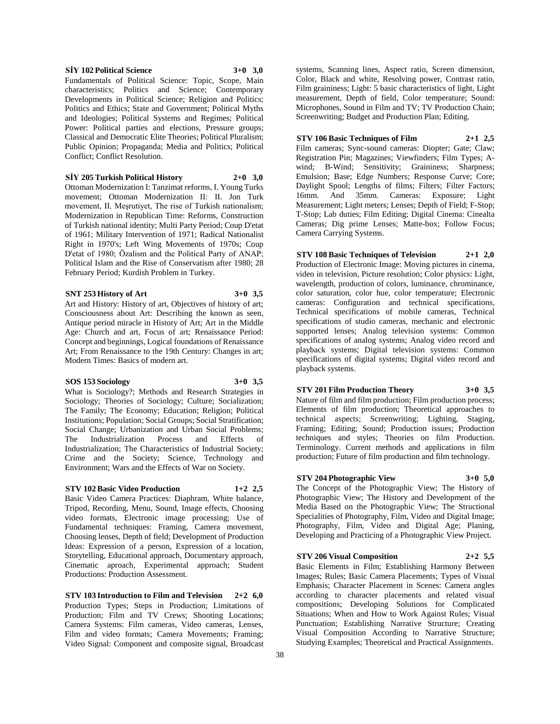# **SİY 102 Political Science 3+0 3,0**

Fundamentals of Political Science: Topic, Scope, Main characteristics; Politics and Science; Contemporary Developments in Political Science; Religion and Politics; Politics and Ethics; State and Government; Political Myths and Ideologies; Political Systems and Regimes; Political Power: Political parties and elections, Pressure groups; Classical and Democratic Elite Theories; Political Pluralism; Public Opinion; Propaganda; Media and Politics; Political Conflict; Conflict Resolution.

#### **SİY 205 Turkish Political History 2+0 3,0**

Ottoman Modernization I: Tanzimat reforms, I. Young Turks movement; Ottoman Modernization II: II. Jon Turk movement, II. Meşrutiyet, The rise of Turkish nationalism; Modernization in Republican Time: Reforms, Construction of Turkish national identity; Multi Party Period; Coup D'etat of 1961; Military Intervention of 1971; Radical Nationalist Right in 1970's; Left Wing Movements of 1970s; Coup D'etat of 1980; Özalism and the Political Party of ANAP; Political Islam and the Rise of Conservatism after 1980; 28 February Period; Kurdish Problem in Turkey.

### **SNT 253 History of Art 3+0 3,5**

Art and History: History of art, Objectives of history of art; Consciousness about Art: Describing the known as seen, Antique period miracle in History of Art; Art in the Middle Age: Church and art, Focus of art; Renaissance Period: Concept and beginnings, Logical foundations of Renaissance Art; From Renaissance to the 19th Century: Changes in art; Modern Times: Basics of modern art.

# **SOS 153 Sociology 3+0 3,5**

What is Sociology?; Methods and Research Strategies in Sociology; Theories of Sociology; Culture; Socialization; The Family; The Economy; Education; Religion; Political Institutions; Population; Social Groups; Social Stratification; Social Change; Urbanization and Urban Social Problems; The Industrialization Process and Effects of Industrialization; The Characteristics of Industrial Society; Crime and the Society; Science, Technology and Environment; Wars and the Effects of War on Society.

# **STV 102 Basic Video Production 1+2 2,5**

Basic Video Camera Practices: Diaphram, White balance, Tripod, Recording, Menu, Sound, Image effects, Choosing video formats, Electronic image processing; Use of Fundamental techniques: Framing, Camera movement, Choosing lenses, Depth of field; Development of Production Ideas: Expression of a person, Expression of a location, Storytelling, Educational approach, Documentary approach, Cinematic aproach, Experimental approach; Student Productions: Production Assessment.

**STV 103 Introduction to Film and Television 2+2 6,0** Production Types; Steps in Production; Limitations of Production; Film and TV Crews; Shooting Locations; Camera Systems: Film cameras, Video cameras, Lenses, Film and video formats; Camera Movements; Framing; Video Signal: Component and composite signal, Broadcast

systems, Scanning lines, Aspect ratio, Screen dimension, Color, Black and white, Resolving power, Contrast ratio, Film graininess; Light: 5 basic characteristics of light, Light measurement, Depth of field, Color temperature; Sound: Microphones, Sound in Film and TV; TV Production Chain; Screenwriting; Budget and Production Plan; Editing.

**STV 106 Basic Techniques of Film 2+1 2,5** Film cameras; Sync-sound cameras: Diopter; Gate; Claw; Registration Pin; Magazines; Viewfinders; Film Types; Awind; B-Wind; Sensitivity; Graininess; Sharpness; Emulsion; Base; Edge Numbers; Response Curve; Core; Daylight Spool; Lengths of films; Filters; Filter Factors; 16mm. And 35mm. Cameras: Exposure; Light Measurement; Light meters; Lenses; Depth of Field; F-Stop; T-Stop; Lab duties; Film Editing; Digital Cinema: Cinealta Cameras; Dig prime Lenses; Matte-box; Follow Focus; Camera Carrying Systems.

# **STV 108 Basic Techniques of Television 2+1 2,0**

Production of Electronic Image: Moving pictures in cinema, video in television, Picture resolution; Color physics: Light, wavelength, production of colors, luminance, chrominance, color saturation, color hue, color temperature; Electronic cameras: Configuration and technical specifications, Technical specifications of mobile cameras, Technical specifications of studio cameras, mechanic and electronic supported lenses; Analog television systems: Common specifications of analog systems; Analog video record and playback systems; Digital television systems: Common specifications of digital systems; Digital video record and playback systems.

#### **STV 201 Film Production Theory 3+0 3,5**

Nature of film and film production; Film production process; Elements of film production; Theoretical approaches to technical aspects; Screenwriting; Lighting, Staging, Framing; Editing; Sound; Production issues; Production techniques and styles; Theories on film Production. Terminology. Current methods and applications in film production; Future of film production and film technology.

# **STV 204 Photographic View 3+0 5,0** The Concept of the Photographic View; The History of

Photographic View; The History and Development of the Media Based on the Photographic View; The Structional Specialities of Photography, Film, Video and Digital Image; Photography, Film, Video and Digital Age; Planing, Developing and Practicing of a Photographic View Project.

**STV 206 Visual Composition 2+2 5,5** Basic Elements in Film; Establishing Harmony Between Images; Rules; Basic Camera Placements; Types of Visual Emphasis; Character Placement in Scenes: Camera angles according to character placements and related visual compositions; Developing Solutions for Complicated Situations; When and How to Work Against Rules; Visual Punctuation; Establishing Narrative Structure; Creating Visual Composition According to Narrative Structure; Studying Examples; Theoretical and Practical Assignments.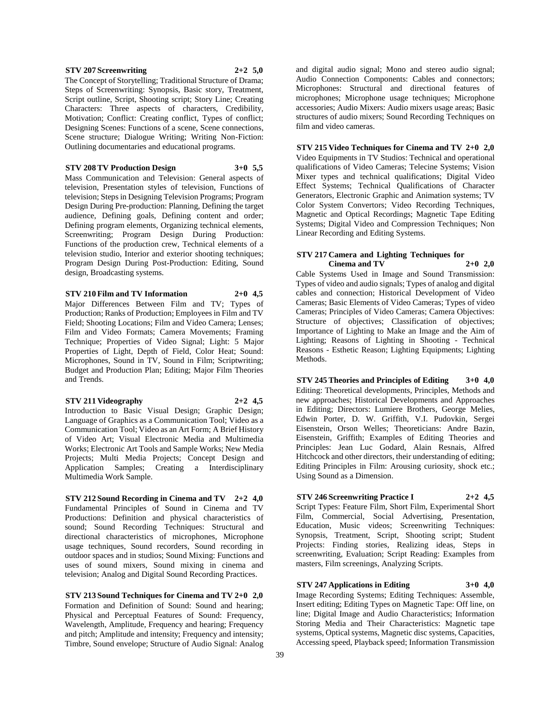### **STV 207 Screenwriting 2+2 5,0**

The Concept of Storytelling; Traditional Structure of Drama; Steps of Screenwriting: Synopsis, Basic story, Treatment, Script outline, Script, Shooting script; Story Line; Creating Characters: Three aspects of characters, Credibility, Motivation; Conflict: Creating conflict, Types of conflict; Designing Scenes: Functions of a scene, Scene connections, Scene structure; Dialogue Writing; Writing Non-Fiction: Outlining documentaries and educational programs.

**STV 208 TV Production Design 3+0 5,5** Mass Communication and Television: General aspects of television, Presentation styles of television, Functions of television; Steps in Designing Television Programs; Program Design During Pre-production: Planning, Defining the target audience, Defining goals, Defining content and order; Defining program elements, Organizing technical elements, Screenwriting; Program Design During Production: Functions of the production crew, Technical elements of a television studio, Interior and exterior shooting techniques; Program Design During Post-Production: Editing, Sound design, Broadcasting systems.

**STV 210 Film and TV Information 2+0 4,5** Major Differences Between Film and TV; Types of Production; Ranks of Production; Employees in Film and TV Field; Shooting Locations; Film and Video Camera; Lenses; Film and Video Formats; Camera Movements; Framing Technique; Properties of Video Signal; Light: 5 Major Properties of Light, Depth of Field, Color Heat; Sound: Microphones, Sound in TV, Sound in Film; Scriptwriting; Budget and Production Plan; Editing; Major Film Theories and Trends.

**STV 211 Videography 2+2 4,5**

Introduction to Basic Visual Design; Graphic Design; Language of Graphics as a Communication Tool; Video as a Communication Tool; Video as an Art Form; A Brief History of Video Art; Visual Electronic Media and Multimedia Works; Electronic Art Tools and Sample Works; New Media Projects; Multi Media Projects; Concept Design and Application Samples; Creating a Interdisciplinary Multimedia Work Sample.

**STV 212 Sound Recording in Cinema and TV 2+2 4,0** Fundamental Principles of Sound in Cinema and TV Productions: Definition and physical characteristics of sound; Sound Recording Techniques: Structural and directional characteristics of microphones, Microphone usage techniques, Sound recorders, Sound recording in outdoor spaces and in studios; Sound Mixing: Functions and uses of sound mixers, Sound mixing in cinema and television; Analog and Digital Sound Recording Practices.

**STV 213 Sound Techniques for Cinema and TV 2+0 2,0** Formation and Definition of Sound: Sound and hearing; Physical and Perceptual Features of Sound: Frequency, Wavelength, Amplitude, Frequency and hearing; Frequency and pitch; Amplitude and intensity; Frequency and intensity; Timbre, Sound envelope; Structure of Audio Signal: Analog

and digital audio signal; Mono and stereo audio signal; Audio Connection Components: Cables and connectors; Microphones: Structural and directional features of microphones; Microphone usage techniques; Microphone accessories; Audio Mixers: Audio mixers usage areas; Basic structures of audio mixers; Sound Recording Techniques on film and video cameras.

**STV 215 Video Techniques for Cinema and TV 2+0 2,0**

Video Equipments in TV Studios: Technical and operational qualifications of Video Cameras; Telecine Systems; Vision Mixer types and technical qualifications; Digital Video Effect Systems; Technical Qualifications of Character Generators, Electronic Graphic and Animation systems; TV Color System Convertors; Video Recording Techniques, Magnetic and Optical Recordings; Magnetic Tape Editing Systems; Digital Video and Compression Techniques; Non Linear Recording and Editing Systems.

# **STV 217 Camera and Lighting Techniques for Cinema and TV 2+0 2,0**

Cable Systems Used in Image and Sound Transmission: Types of video and audio signals; Types of analog and digital cables and connection; Historical Development of Video Cameras; Basic Elements of Video Cameras; Types of video Cameras; Principles of Video Cameras; Camera Objectives: Structure of objectives; Classification of objectives; Importance of Lighting to Make an Image and the Aim of Lighting; Reasons of Lighting in Shooting - Technical Reasons - Esthetic Reason; Lighting Equipments; Lighting Methods.

**STV 245 Theories and Principles of Editing 3+0 4,0** Editing: Theoretical developments, Principles, Methods and new approaches; Historical Developments and Approaches in Editing; Directors: Lumiere Brothers, George Melies, Edwin Porter, D. W. Griffith, V.I. Pudovkin, Sergei Eisenstein, Orson Welles; Theoreticians: Andre Bazin, Eisenstein, Griffith; Examples of Editing Theories and Principles: Jean Luc Godard, Alain Resnais, Alfred Hitchcock and other directors, their understanding of editing; Editing Principles in Film: Arousing curiosity, shock etc.; Using Sound as a Dimension.

**STV 246 Screenwriting Practice I 2+2 4,5**

Script Types: Feature Film, Short Film, Experimental Short Film, Commercial, Social Advertising, Presentation, Education, Music videos; Screenwriting Techniques: Synopsis, Treatment, Script, Shooting script; Student Projects: Finding stories, Realizing ideas, Steps in screenwriting, Evaluation; Script Reading: Examples from masters, Film screenings, Analyzing Scripts.

**STV 247 Applications in Editing 3+0 4,0** Image Recording Systems; Editing Techniques: Assemble, Insert editing; Editing Types on Magnetic Tape: Off line, on line; Digital Image and Audio Characteristics; Information Storing Media and Their Characteristics: Magnetic tape systems, Optical systems, Magnetic disc systems, Capacities, Accessing speed, Playback speed; Information Transmission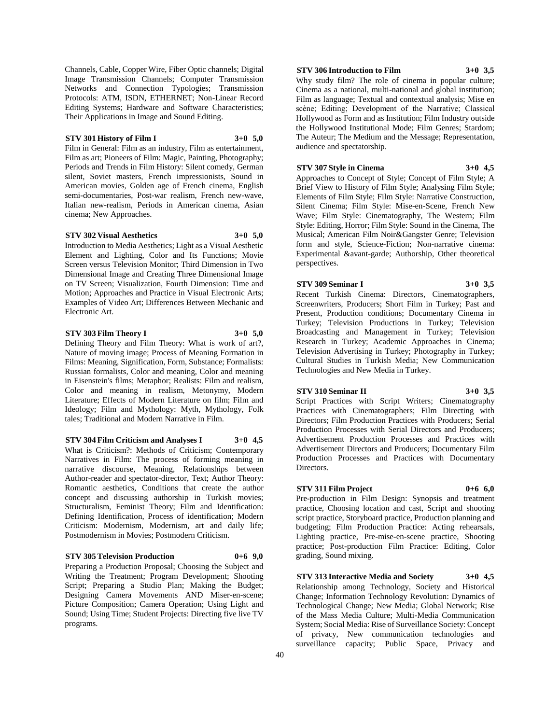Channels, Cable, Copper Wire, Fiber Optic channels; Digital Image Transmission Channels; Computer Transmission Networks and Connection Typologies; Transmission Protocols: ATM, ISDN, ETHERNET; Non-Linear Record Editing Systems; Hardware and Software Characteristics; Their Applications in Image and Sound Editing.

# **STV 301 History of Film I 3+0 5,0**

Film in General: Film as an industry, Film as entertainment, Film as art; Pioneers of Film: Magic, Painting, Photography; Periods and Trends in Film History: Silent comedy, German silent, Soviet masters, French impressionists, Sound in American movies, Golden age of French cinema, English semi-documentaries, Post-war realism, French new-wave, Italian new-realism, Periods in American cinema, Asian cinema; New Approaches.

# **STV 302 Visual Aesthetics 3+0 5,0**

Introduction to Media Aesthetics; Light as a Visual Aesthetic Element and Lighting, Color and Its Functions; Movie Screen versus Television Monitor; Third Dimension in Two Dimensional Image and Creating Three Dimensional Image on TV Screen; Visualization, Fourth Dimension: Time and Motion; Approaches and Practice in Visual Electronic Arts; Examples of Video Art; Differences Between Mechanic and Electronic Art.

### **STV 303 Film Theory I 3+0 5,0**

Defining Theory and Film Theory: What is work of art?, Nature of moving image; Process of Meaning Formation in Films: Meaning, Signification, Form, Substance; Formalists: Russian formalists, Color and meaning, Color and meaning in Eisenstein's films; Metaphor; Realists: Film and realism, Color and meaning in realism, Metonymy, Modern Literature; Effects of Modern Literature on film; Film and Ideology; Film and Mythology: Myth, Mythology, Folk tales; Traditional and Modern Narrative in Film.

**STV 304 Film Criticism and Analyses I 3+0 4,5** What is Criticism?: Methods of Criticism; Contemporary Narratives in Film: The process of forming meaning in narrative discourse, Meaning, Relationships between Author-reader and spectator-director, Text; Author Theory: Romantic aesthetics, Conditions that create the author concept and discussing authorship in Turkish movies; Structuralism, Feminist Theory; Film and Identification: Defining Identification, Process of identification; Modern Criticism: Modernism, Modernism, art and daily life; Postmodernism in Movies; Postmodern Criticism.

### **STV 305 Television Production 0+6 9,0**

Preparing a Production Proposal; Choosing the Subject and Writing the Treatment; Program Development; Shooting Script; Preparing a Studio Plan; Making the Budget; Designing Camera Movements AND Miser-en-scene; Picture Composition; Camera Operation; Using Light and Sound; Using Time; Student Projects: Directing five live TV programs.

### **STV 306 Introduction to Film 3+0 3,5**

Why study film? The role of cinema in popular culture; Cinema as a national, multi-national and global institution; Film as language; Textual and contextual analysis; Mise en scène; Editing; Development of the Narrative; Classical Hollywood as Form and as Institution; Film Industry outside the Hollywood Institutional Mode; Film Genres; Stardom; The Auteur; The Medium and the Message; Representation, audience and spectatorship.

### **STV 307 Style in Cinema 3+0 4,5**

Approaches to Concept of Style; Concept of Film Style; A Brief View to History of Film Style; Analysing Film Style; Elements of Film Style; Film Style: Narrative Construction, Silent Cinema; Film Style: Mise-en-Scene, French New Wave; Film Style: Cinematography, The Western; Film Style: Editing, Horror; Film Style: Sound in the Cinema, The Musical; American Film Noir&Gangster Genre; Television form and style, Science-Fiction; Non-narrative cinema: Experimental &avant-garde; Authorship, Other theoretical perspectives.

### **STV 309 Seminar I 3+0 3,5**

Recent Turkish Cinema: Directors, Cinematographers, Screenwriters, Producers; Short Film in Turkey; Past and Present, Production conditions; Documentary Cinema in Turkey; Television Productions in Turkey; Television Broadcasting and Management in Turkey; Television Research in Turkey; Academic Approaches in Cinema; Television Advertising in Turkey; Photography in Turkey; Cultural Studies in Turkish Media; New Communication Technologies and New Media in Turkey.

### **STV 310 Seminar II 3+0 3,5**

Script Practices with Script Writers; Cinematography Practices with Cinematographers; Film Directing with Directors; Film Production Practices with Producers; Serial

Production Processes with Serial Directors and Producers; Advertisement Production Processes and Practices with Advertisement Directors and Producers; Documentary Film Production Processes and Practices with Documentary Directors.

# **STV 311 Film Project 0+6 6,0**

Pre-production in Film Design: Synopsis and treatment practice, Choosing location and cast, Script and shooting script practice, Storyboard practice, Production planning and budgeting; Film Production Practice: Acting rehearsals, Lighting practice, Pre-mise-en-scene practice, Shooting practice; Post-production Film Practice: Editing, Color grading, Sound mixing.

**STV 313 Interactive Media and Society 3+0 4,5** Relationship among Technology, Society and Historical Change; Information Technology Revolution: Dynamics of Technological Change; New Media; Global Network; Rise of the Mass Media Culture; Multi-Media Communication System; Social Media: Rise of Surveillance Society: Concept of privacy, New communication technologies and surveillance capacity; Public Space, Privacy and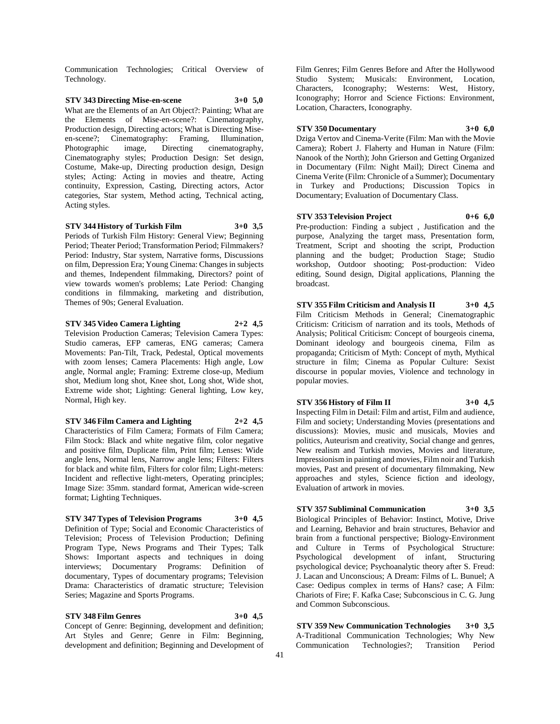Communication Technologies; Critical Overview of Technology.

**STV 343 Directing Mise-en-scene 3+0 5,0** What are the Elements of an Art Object?: Painting; What are the Elements of Mise-en-scene?: Cinematography, Production design, Directing actors; What is Directing Miseen-scene?; Cinematography: Framing, Illumination, Photographic image, Directing cinematography, Cinematography styles; Production Design: Set design, Costume, Make-up, Directing production design, Design styles; Acting: Acting in movies and theatre, Acting continuity, Expression, Casting, Directing actors, Actor categories, Star system, Method acting, Technical acting, Acting styles.

**STV 344 History of Turkish Film 3+0 3,5** Periods of Turkish Film History: General View; Beginning Period; Theater Period; Transformation Period; Filmmakers? Period: Industry, Star system, Narrative forms, Discussions on film, Depression Era; Young Cinema: Changes in subjects and themes, Independent filmmaking, Directors? point of view towards women's problems; Late Period: Changing conditions in filmmaking, marketing and distribution, Themes of 90s; General Evaluation.

# **STV 345 Video Camera Lighting 2+2 4,5**

Television Production Cameras; Television Camera Types: Studio cameras, EFP cameras, ENG cameras; Camera Movements: Pan-Tilt, Track, Pedestal, Optical movements with zoom lenses; Camera Placements: High angle, Low angle, Normal angle; Framing: Extreme close-up, Medium shot, Medium long shot, Knee shot, Long shot, Wide shot, Extreme wide shot; Lighting: General lighting, Low key, Normal, High key.

**STV 346 Film Camera and Lighting 2+2 4,5**

Characteristics of Film Camera; Formats of Film Camera; Film Stock: Black and white negative film, color negative and positive film, Duplicate film, Print film; Lenses: Wide angle lens, Normal lens, Narrow angle lens; Filters: Filters for black and white film, Filters for color film; Light-meters: Incident and reflective light-meters, Operating principles; Image Size: 35mm. standard format, American wide-screen format; Lighting Techniques.

### **STV 347 Types of Television Programs 3+0 4,5**

Definition of Type; Social and Economic Characteristics of Television; Process of Television Production; Defining Program Type, News Programs and Their Types; Talk Shows: Important aspects and techniques in doing interviews; Documentary Programs: Definition of documentary, Types of documentary programs; Television Drama: Characteristics of dramatic structure; Television Series; Magazine and Sports Programs.

**STV 348 Film Genres 3+0 4,5** Concept of Genre: Beginning, development and definition; Art Styles and Genre; Genre in Film: Beginning, development and definition; Beginning and Development of Film Genres; Film Genres Before and After the Hollywood Studio System; Musicals: Environment, Location, Characters, Iconography; Westerns: West, History, Iconography; Horror and Science Fictions: Environment, Location, Characters, Iconography.

#### **STV 350 Documentary 3+0 6,0**

Dziga Vertov and Cinema-Verite (Film: Man with the Movie Camera); Robert J. Flaherty and Human in Nature (Film: Nanook of the North); John Grierson and Getting Organized in Documentary (Film: Night Mail); Direct Cinema and Cinema Verite (Film: Chronicle of a Summer); Documentary in Turkey and Productions; Discussion Topics in Documentary; Evaluation of Documentary Class.

### **STV 353 Television Project 0+6 6,0**

Pre-production: Finding a subject , Justification and the purpose, Analyzing the target mass, Presentation form, Treatment, Script and shooting the script, Production planning and the budget; Production Stage; Studio workshop, Outdoor shooting; Post-production: Video editing, Sound design, Digital applications, Planning the broadcast.

**STV 355 Film Criticism and Analysis II 3+0 4,5** Film Criticism Methods in General; Cinematographic Criticism: Criticism of narration and its tools, Methods of Analysis; Political Criticism: Concept of bourgeois cinema, Dominant ideology and bourgeois cinema, Film as propaganda; Criticism of Myth: Concept of myth, Mythical structure in film; Cinema as Popular Culture: Sexist discourse in popular movies, Violence and technology in popular movies.

# **STV 356 History of Film II 3+0 4,5**

Inspecting Film in Detail: Film and artist, Film and audience, Film and society; Understanding Movies (presentations and discussions): Movies, music and musicals, Movies and politics, Auteurism and creativity, Social change and genres, New realism and Turkish movies, Movies and literature, Impressionism in painting and movies, Film noir and Turkish movies, Past and present of documentary filmmaking, New approaches and styles, Science fiction and ideology, Evaluation of artwork in movies.

# **STV 357 Subliminal Communication 3+0 3,5**

Biological Principles of Behavior: Instinct, Motive, Drive and Learning, Behavior and brain structures, Behavior and brain from a functional perspective; Biology-Environment and Culture in Terms of Psychological Structure: Psychological development of infant, Structuring psychological device; Psychoanalytic theory after S. Freud: J. Lacan and Unconscious; A Dream: Films of L. Bunuel; A Case: Oedipus complex in terms of Hans? case; A Film: Chariots of Fire; F. Kafka Case; Subconscious in C. G. Jung and Common Subconscious.

**STV 359 New Communication Technologies 3+0 3,5** A-Traditional Communication Technologies; Why New Communication Technologies?; Transition Period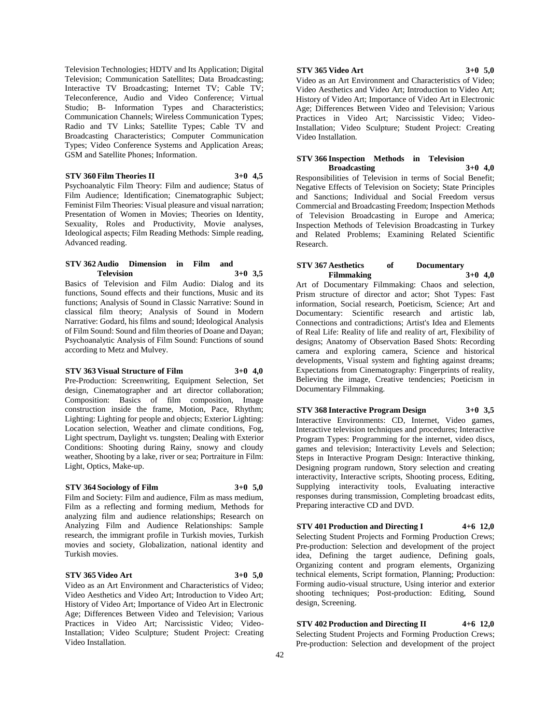Television Technologies; HDTV and Its Application; Digital Television; Communication Satellites; Data Broadcasting; Interactive TV Broadcasting; Internet TV; Cable TV; Teleconference, Audio and Video Conference; Virtual Studio; B- Information Types and Characteristics; Communication Channels; Wireless Communication Types; Radio and TV Links; Satellite Types; Cable TV and Broadcasting Characteristics; Computer Communication Types; Video Conference Systems and Application Areas; GSM and Satellite Phones; Information.

# **STV 360 Film Theories II 3+0 4,5**

Psychoanalytic Film Theory: Film and audience; Status of Film Audience; Identification; Cinematographic Subject; Feminist Film Theories: Visual pleasure and visual narration; Presentation of Women in Movies; Theories on Identity, Sexuality, Roles and Productivity, Movie analyses, Ideological aspects; Film Reading Methods: Simple reading, Advanced reading.

# **STV 362 Audio Dimension in Film and Television 3+0 3,5**

Basics of Television and Film Audio: Dialog and its functions, Sound effects and their functions, Music and its functions; Analysis of Sound in Classic Narrative: Sound in classical film theory; Analysis of Sound in Modern Narrative: Godard, his films and sound; Ideological Analysis of Film Sound: Sound and film theories of Doane and Dayan; Psychoanalytic Analysis of Film Sound: Functions of sound according to Metz and Mulvey.

# **STV 363 Visual Structure of Film 3+0 4,0**

Pre-Production: Screenwriting, Equipment Selection, Set design, Cinematographer and art director collaboration; Composition: Basics of film composition, Image construction inside the frame, Motion, Pace, Rhythm; Lighting: Lighting for people and objects; Exterior Lighting: Location selection, Weather and climate conditions, Fog, Light spectrum, Daylight vs. tungsten; Dealing with Exterior Conditions: Shooting during Rainy, snowy and cloudy weather, Shooting by a lake, river or sea; Portraiture in Film: Light, Optics, Make-up.

# **STV 364 Sociology of Film 3+0 5,0**

Film and Society: Film and audience, Film as mass medium, Film as a reflecting and forming medium, Methods for analyzing film and audience relationships; Research on Analyzing Film and Audience Relationships: Sample research, the immigrant profile in Turkish movies, Turkish movies and society, Globalization, national identity and Turkish movies.

### **STV 365 Video Art 3+0 5,0**

Video as an Art Environment and Characteristics of Video; Video Aesthetics and Video Art; Introduction to Video Art; History of Video Art; Importance of Video Art in Electronic Age; Differences Between Video and Television; Various Practices in Video Art; Narcissistic Video; Video-Installation; Video Sculpture; Student Project: Creating Video Installation.

#### **STV 365 Video Art 3+0 5,0**

Video as an Art Environment and Characteristics of Video; Video Aesthetics and Video Art; Introduction to Video Art; History of Video Art; Importance of Video Art in Electronic Age; Differences Between Video and Television; Various Practices in Video Art; Narcissistic Video; Video-Installation; Video Sculpture; Student Project: Creating Video Installation.

### **STV 366 Inspection Methods in Television Broadcasting 3+0 4,0**

Responsibilities of Television in terms of Social Benefit; Negative Effects of Television on Society; State Principles and Sanctions; Individual and Social Freedom versus Commercial and Broadcasting Freedom; Inspection Methods of Television Broadcasting in Europe and America; Inspection Methods of Television Broadcasting in Turkey and Related Problems; Examining Related Scientific Research.

### **STV 367 Aesthetics of Documentary Filmmaking 3+0 4,0**

Art of Documentary Filmmaking: Chaos and selection, Prism structure of director and actor; Shot Types: Fast information, Social research, Poeticism, Science; Art and Documentary: Scientific research and artistic lab, Connections and contradictions; Artist's Idea and Elements of Real Life: Reality of life and reality of art, Flexibility of designs; Anatomy of Observation Based Shots: Recording camera and exploring camera, Science and historical developments, Visual system and fighting against dreams; Expectations from Cinematography: Fingerprints of reality, Believing the image, Creative tendencies; Poeticism in Documentary Filmmaking.

# **STV 368 Interactive Program Design 3+0 3,5**

Interactive Environments: CD, Internet, Video games, Interactive television techniques and procedures; Interactive Program Types: Programming for the internet, video discs, games and television; Interactivity Levels and Selection; Steps in Interactive Program Design: Interactive thinking, Designing program rundown, Story selection and creating interactivity, Interactive scripts, Shooting process, Editing, Supplying interactivity tools, Evaluating interactive responses during transmission, Completing broadcast edits, Preparing interactive CD and DVD.

#### **STV 401 Production and Directing I 4+6 12,0**

Selecting Student Projects and Forming Production Crews; Pre-production: Selection and development of the project idea, Defining the target audience, Defining goals, Organizing content and program elements, Organizing technical elements, Script formation, Planning; Production: Forming audio-visual structure, Using interior and exterior shooting techniques; Post-production: Editing, Sound design, Screening.

**STV 402 Production and Directing II 4+6 12,0** Selecting Student Projects and Forming Production Crews; Pre-production: Selection and development of the project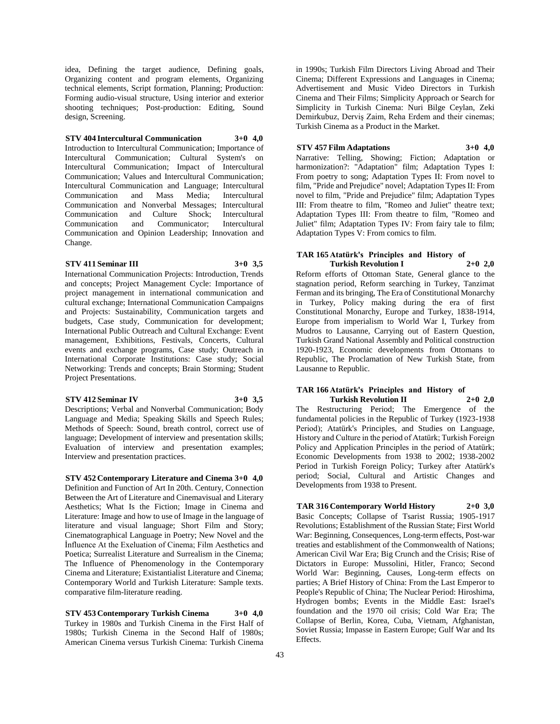idea, Defining the target audience, Defining goals, Organizing content and program elements, Organizing technical elements, Script formation, Planning; Production: Forming audio-visual structure, Using interior and exterior shooting techniques; Post-production: Editing, Sound design, Screening.

# **STV 404 Intercultural Communication 3+0 4,0**

Introduction to Intercultural Communication; Importance of Intercultural Communication; Cultural System's on Intercultural Communication; Impact of Intercultural Communication; Values and Intercultural Communication; Intercultural Communication and Language; Intercultural Communication and Mass Media; Intercultural Communication and Nonverbal Messages; Intercultural Communication and Culture Shock; Intercultural Communication and Communicator; Intercultural Communication and Opinion Leadership; Innovation and Change.

### **STV 411 Seminar III 3+0 3,5**

International Communication Projects: Introduction, Trends and concepts; Project Management Cycle: Importance of project management in international communication and cultural exchange; International Communication Campaigns and Projects: Sustainability, Communication targets and budgets, Case study, Communication for development; International Public Outreach and Cultural Exchange: Event management, Exhibitions, Festivals, Concerts, Cultural events and exchange programs, Case study; Outreach in International Corporate Institutions: Case study; Social Networking: Trends and concepts; Brain Storming; Student Project Presentations.

### **STV 412 Seminar IV 3+0 3,5**

Descriptions; Verbal and Nonverbal Communication; Body Language and Media; Speaking Skills and Speech Rules; Methods of Speech: Sound, breath control, correct use of language; Development of interview and presentation skills; Evaluation of interview and presentation examples; Interview and presentation practices.

**STV 452 Contemporary Literature and Cinema 3+0 4,0** Definition and Function of Art In 20th. Century, Connection Between the Art of Literature and Cinemavisual and Literary Aesthetics; What Is the Fiction; Image in Cinema and Literature: Image and how to use of Image in the language of literature and visual language; Short Film and Story; Cinematographical Language in Poetry; New Novel and the İnfluence At the Exeluation of Cinema; Film Aesthetics and Poetica; Surrealist Literature and Surrealism in the Cinema; The Influence of Phenomenology in the Contemporary Cinema and Literature; Existantialist Literature and Cinema; Contemporary World and Turkish Literature: Sample texts. comparative film-literature reading.

**STV 453 Contemporary Turkish Cinema 3+0 4,0** Turkey in 1980s and Turkish Cinema in the First Half of 1980s; Turkish Cinema in the Second Half of 1980s; American Cinema versus Turkish Cinema: Turkish Cinema in 1990s; Turkish Film Directors Living Abroad and Their Cinema; Different Expressions and Languages in Cinema; Advertisement and Music Video Directors in Turkish Cinema and Their Films; Simplicity Approach or Search for Simplicity in Turkish Cinema: Nuri Bilge Ceylan, Zeki Demirkubuz, Derviş Zaim, Reha Erdem and their cinemas; Turkish Cinema as a Product in the Market.

### **STV 457 Film Adaptations 3+0 4,0**

Narrative: Telling, Showing; Fiction; Adaptation or harmonization?: "Adaptation" film; Adaptation Types I: From poetry to song; Adaptation Types II: From novel to film, "Pride and Prejudice" novel; Adaptation Types II: From novel to film, "Pride and Prejudice" film; Adaptation Types III: From theatre to film, "Romeo and Juliet" theatre text; Adaptation Types III: From theatre to film, "Romeo and Juliet" film; Adaptation Types IV: From fairy tale to film; Adaptation Types V: From comics to film.

## **TAR 165 Atatürk's Principles and History of Turkish Revolution I 2+0 2,0**

Reform efforts of Ottoman State, General glance to the stagnation period, Reform searching in Turkey, Tanzimat Ferman and its bringing, The Era of Constitutional Monarchy in Turkey, Policy making during the era of first Constitutional Monarchy, Europe and Turkey, 1838-1914, Europe from imperialism to World War I, Turkey from Mudros to Lausanne, Carrying out of Eastern Question, Turkish Grand National Assembly and Political construction 1920-1923, Economic developments from Ottomans to Republic, The Proclamation of New Turkish State, from Lausanne to Republic.

### **TAR 166 Atatürk's Principles and History of Turkish Revolution II 2+0 2,0**

The Restructuring Period; The Emergence of the fundamental policies in the Republic of Turkey (1923-1938 Period); Atatürk's Principles, and Studies on Language, History and Culture in the period of Atatürk; Turkish Foreign Policy and Application Principles in the period of Atatürk; Economic Developments from 1938 to 2002; 1938-2002 Period in Turkish Foreign Policy; Turkey after Atatürk's period; Social, Cultural and Artistic Changes and Developments from 1938 to Present.

**TAR 316 Contemporary World History 2+0 3,0** Basic Concepts; Collapse of Tsarist Russia; 1905-1917 Revolutions; Establishment of the Russian State; First World War: Beginning, Consequences, Long-term effects, Post-war treaties and establishment of the Commonwealth of Nations; American Civil War Era; Big Crunch and the Crisis; Rise of Dictators in Europe: Mussolini, Hitler, Franco; Second World War: Beginning, Causes, Long-term effects on parties; A Brief History of China: From the Last Emperor to People's Republic of China; The Nuclear Period: Hiroshima, Hydrogen bombs; Events in the Middle East: Israel's foundation and the 1970 oil crisis; Cold War Era; The Collapse of Berlin, Korea, Cuba, Vietnam, Afghanistan, Soviet Russia; Impasse in Eastern Europe; Gulf War and Its Effects.